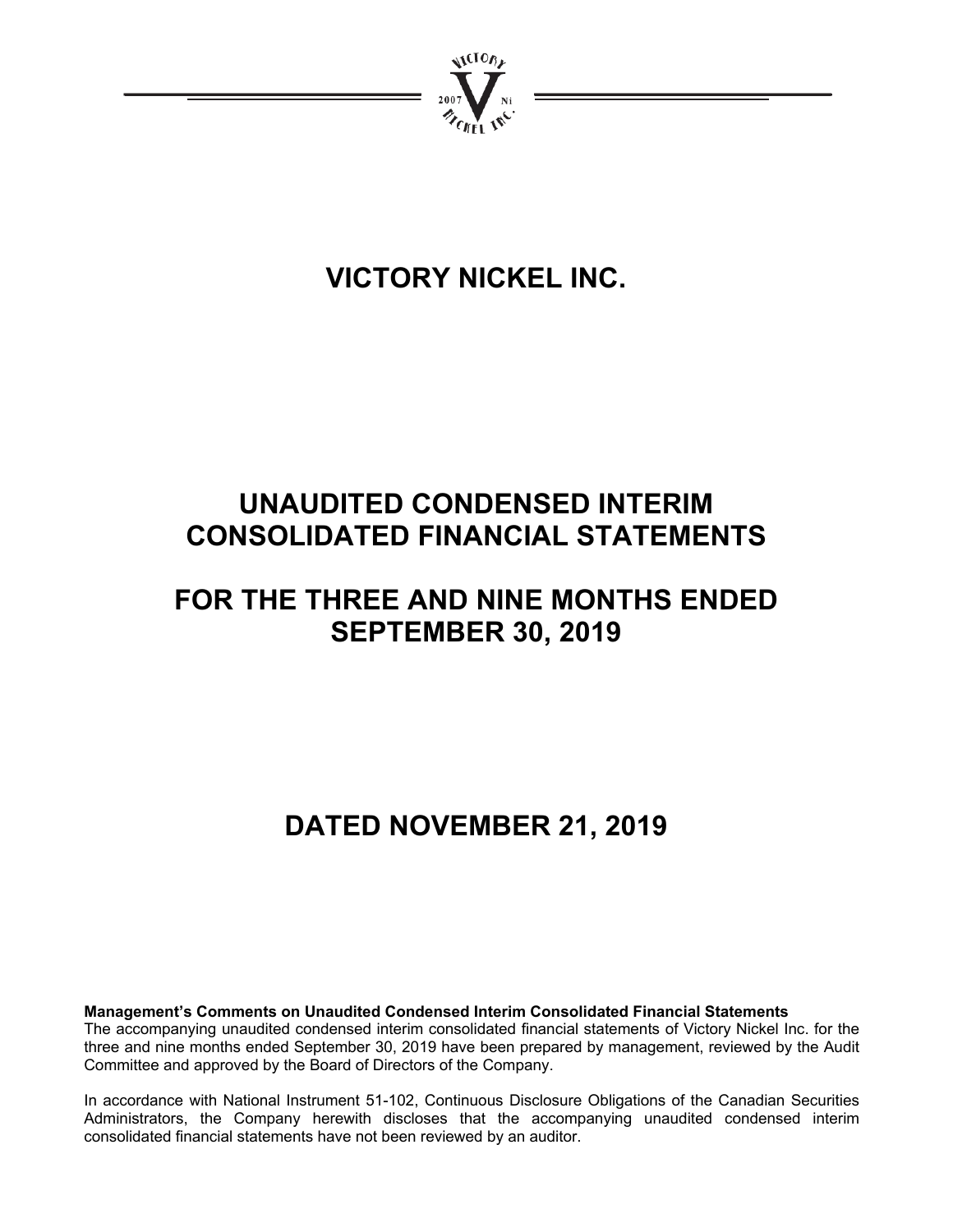

# **VICTORY NICKEL INC.**

# **UNAUDITED CONDENSED INTERIM CONSOLIDATED FINANCIAL STATEMENTS**

# **FOR THE THREE AND NINE MONTHS ENDED SEPTEMBER 30, 2019**

# **DATED NOVEMBER 21, 2019**

**Management's Comments on Unaudited Condensed Interim Consolidated Financial Statements** 

The accompanying unaudited condensed interim consolidated financial statements of Victory Nickel Inc. for the three and nine months ended September 30, 2019 have been prepared by management, reviewed by the Audit Committee and approved by the Board of Directors of the Company.

In accordance with National Instrument 51-102, Continuous Disclosure Obligations of the Canadian Securities Administrators, the Company herewith discloses that the accompanying unaudited condensed interim consolidated financial statements have not been reviewed by an auditor.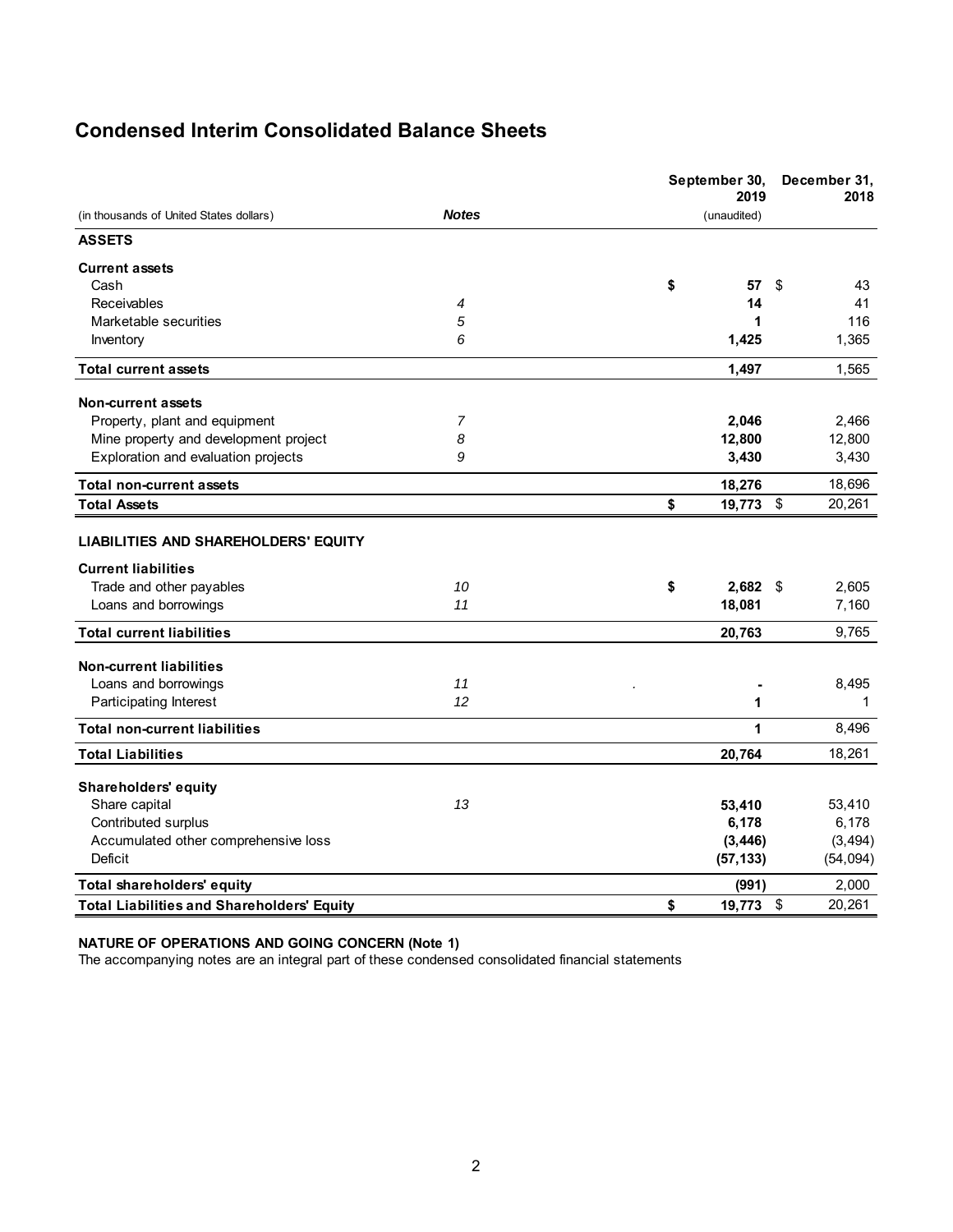# **Condensed Interim Consolidated Balance Sheets**

|                                                                    |              | September 30,<br>2019 |    | December 31,<br>2018 |
|--------------------------------------------------------------------|--------------|-----------------------|----|----------------------|
| (in thousands of United States dollars)                            | <b>Notes</b> | (unaudited)           |    |                      |
| <b>ASSETS</b>                                                      |              |                       |    |                      |
| <b>Current assets</b>                                              |              |                       |    |                      |
| Cash                                                               |              | \$<br>57              | \$ | 43                   |
| Receivables                                                        | 4            | 14                    |    | 41                   |
| Marketable securities                                              | 5            |                       | 1  | 116                  |
| Inventory                                                          | 6            | 1,425                 |    | 1,365                |
| <b>Total current assets</b>                                        |              | 1,497                 |    | 1,565                |
| Non-current assets                                                 |              |                       |    |                      |
| Property, plant and equipment                                      | 7            | 2,046                 |    | 2,466                |
| Mine property and development project                              | 8            | 12,800                |    | 12,800               |
| Exploration and evaluation projects                                | 9            | 3,430                 |    | 3,430                |
| <b>Total non-current assets</b>                                    |              | 18,276                |    | 18,696               |
| <b>Total Assets</b>                                                |              | 19,773 \$<br>\$       |    | 20,261               |
| LIABILITIES AND SHAREHOLDERS' EQUITY<br><b>Current liabilities</b> |              |                       |    |                      |
| Trade and other payables                                           | 10           | \$<br>$2,682$ \$      |    | 2,605                |
| Loans and borrowings                                               | 11           | 18,081                |    | 7,160                |
| <b>Total current liabilities</b>                                   |              | 20,763                |    | 9,765                |
| <b>Non-current liabilities</b>                                     |              |                       |    |                      |
| Loans and borrowings                                               | 11           |                       |    | 8,495                |
| Participating Interest                                             | 12           |                       | 1  | 1                    |
| <b>Total non-current liabilities</b>                               |              |                       | 1  | 8,496                |
| <b>Total Liabilities</b>                                           |              | 20,764                |    | 18,261               |
| Shareholders' equity                                               |              |                       |    |                      |
| Share capital                                                      | 13           | 53,410                |    | 53,410               |
| Contributed surplus                                                |              | 6,178                 |    | 6,178                |
| Accumulated other comprehensive loss                               |              | (3, 446)              |    | (3, 494)             |
| Deficit                                                            |              | (57, 133)             |    | (54, 094)            |
| <b>Total shareholders' equity</b>                                  |              | (991)                 |    | 2,000                |
| <b>Total Liabilities and Shareholders' Equity</b>                  |              | 19,773 \$<br>\$       |    | 20,261               |

#### **NATURE OF OPERATIONS AND GOING CONCERN (Note 1)**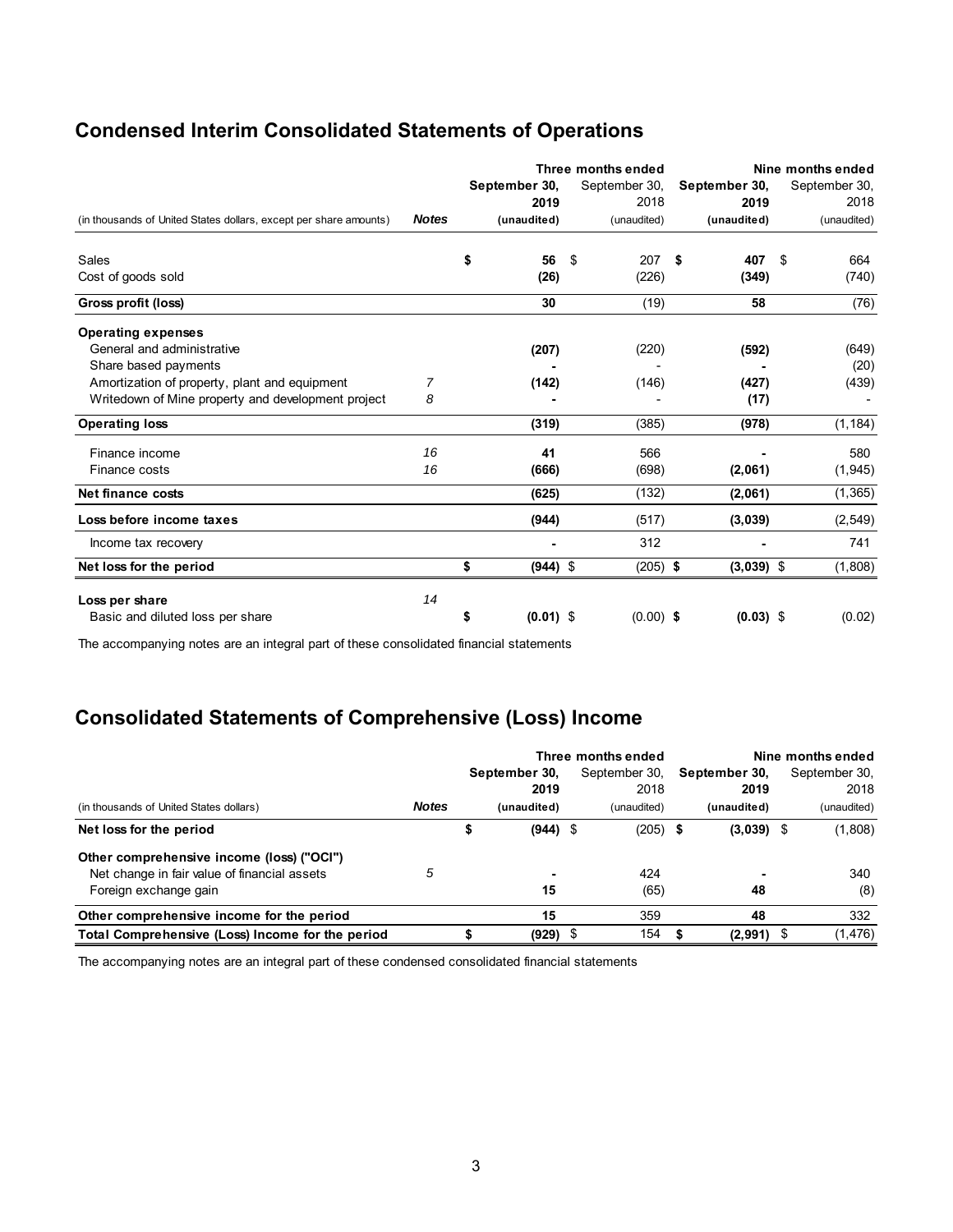# **Condensed Interim Consolidated Statements of Operations**

|                                                                   |              |                   | Three months ended |               | Nine months ended |               |  |
|-------------------------------------------------------------------|--------------|-------------------|--------------------|---------------|-------------------|---------------|--|
|                                                                   |              | September 30,     | September 30,      | September 30, |                   | September 30, |  |
|                                                                   |              | 2019              | 2018               | 2019          |                   | 2018          |  |
| (in thousands of United States dollars, except per share amounts) | <b>Notes</b> | (unaudited)       | (unaudited)        | (unaudited)   |                   | (unaudited)   |  |
| Sales                                                             |              | \$<br>56          | 207<br>\$          | \$<br>407     | \$                | 664           |  |
| Cost of goods sold                                                |              | (26)              | (226)              | (349)         |                   | (740)         |  |
| Gross profit (loss)                                               |              | 30                | (19)               | 58            |                   | (76)          |  |
| <b>Operating expenses</b>                                         |              |                   |                    |               |                   |               |  |
| General and administrative                                        |              | (207)             | (220)              | (592)         |                   | (649)         |  |
| Share based payments                                              |              |                   |                    |               |                   | (20)          |  |
| Amortization of property, plant and equipment                     | 7            | (142)             | (146)              | (427)         |                   | (439)         |  |
| Writedown of Mine property and development project                | 8            |                   |                    | (17)          |                   |               |  |
| <b>Operating loss</b>                                             |              | (319)             | (385)              | (978)         |                   | (1, 184)      |  |
| Finance income                                                    | 16           | 41                | 566                |               |                   | 580           |  |
| Finance costs                                                     | 16           | (666)             | (698)              | (2,061)       |                   | (1, 945)      |  |
| <b>Net finance costs</b>                                          |              | (625)             | (132)              | (2,061)       |                   | (1, 365)      |  |
| Loss before income taxes                                          |              | (944)             | (517)              | (3,039)       |                   | (2, 549)      |  |
| Income tax recovery                                               |              |                   | 312                |               |                   | 741           |  |
| Net loss for the period                                           |              | \$<br>$(944)$ \$  | $(205)$ \$         | $(3,039)$ \$  |                   | (1,808)       |  |
| Loss per share                                                    | 14           |                   |                    |               |                   |               |  |
| Basic and diluted loss per share                                  |              | \$<br>$(0.01)$ \$ | $(0.00)$ \$        | $(0.03)$ \$   |                   | (0.02)        |  |

The accompanying notes are an integral part of these consolidated financial statements

# **Consolidated Statements of Comprehensive (Loss) Income**

|                                                  |              |                  | Three months ended |               | Nine months ended |
|--------------------------------------------------|--------------|------------------|--------------------|---------------|-------------------|
|                                                  |              | September 30,    | September 30.      | September 30, | September 30,     |
|                                                  |              | 2019             | 2018               | 2019          | 2018              |
| (in thousands of United States dollars)          | <b>Notes</b> | (unaudited)      | (unaudited)        | (unaudited)   | (unaudited)       |
| Net loss for the period                          |              | \$<br>$(944)$ \$ | $(205)$ \$         | $(3,039)$ \$  | (1,808)           |
| Other comprehensive income (loss) ("OCI")        |              |                  |                    |               |                   |
| Net change in fair value of financial assets     | 5            |                  | 424                |               | 340               |
| Foreign exchange gain                            |              | 15               | (65)               | 48            | (8)               |
| Other comprehensive income for the period        |              | 15               | 359                | 48            | 332               |
| Total Comprehensive (Loss) Income for the period |              | (929)            | 154<br>- \$        | $(2,991)$ \$  | (1, 476)          |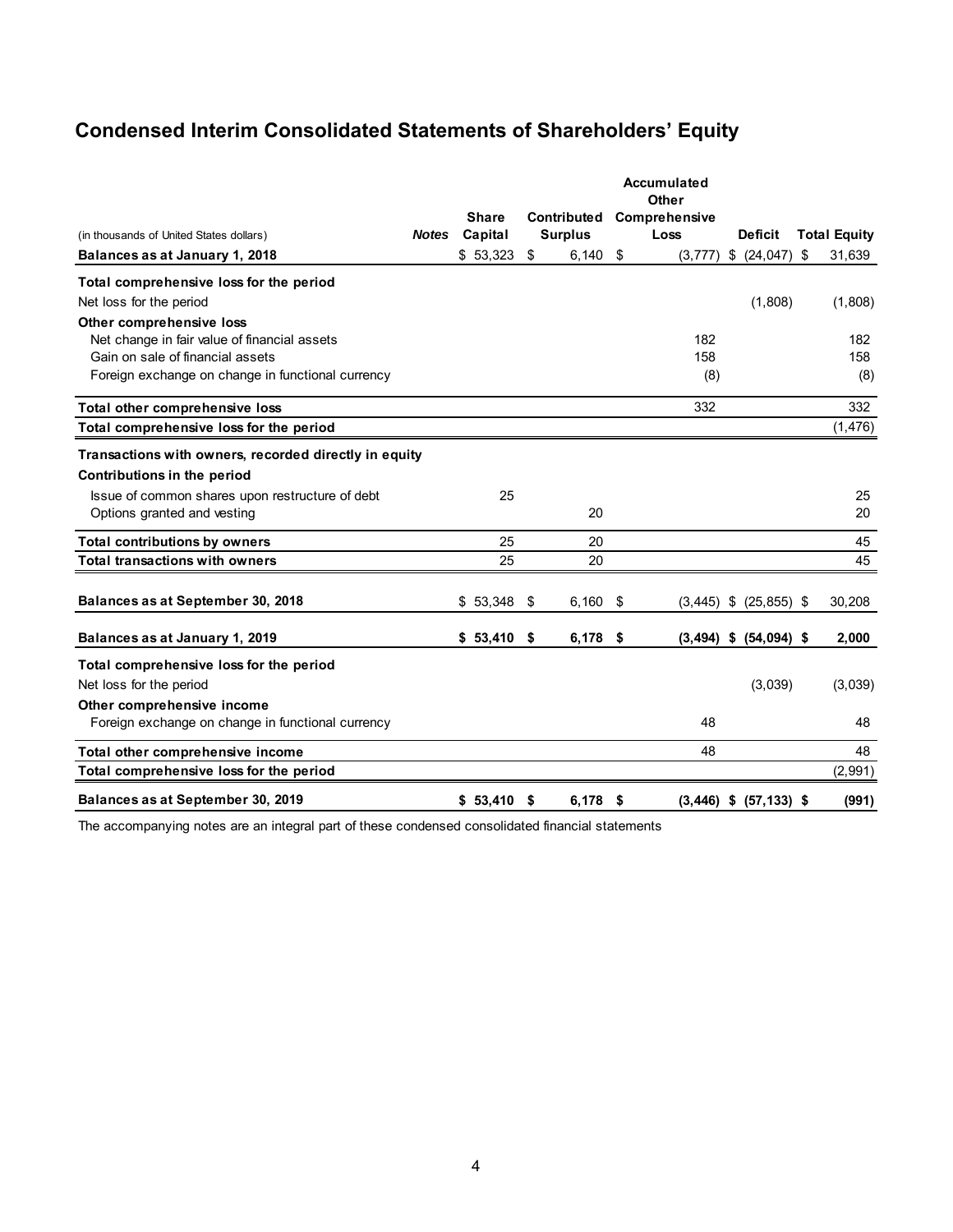# **Condensed Interim Consolidated Statements of Shareholders' Equity**

|                                                       |              |              |                    |     | <b>Accumulated</b><br>Other    |    |                     |
|-------------------------------------------------------|--------------|--------------|--------------------|-----|--------------------------------|----|---------------------|
|                                                       |              | <b>Share</b> | <b>Contributed</b> |     | <b>Comprehensive</b>           |    |                     |
| (in thousands of United States dollars)               | <b>Notes</b> | Capital      | <b>Surplus</b>     |     | Loss<br><b>Deficit</b>         |    | <b>Total Equity</b> |
| Balances as at January 1, 2018                        |              | \$53,323     | \$<br>$6,140$ \$   |     | \$<br>(24, 047)<br>(3, 777)    | \$ | 31,639              |
| Total comprehensive loss for the period               |              |              |                    |     |                                |    |                     |
| Net loss for the period                               |              |              |                    |     | (1,808)                        |    | (1,808)             |
| Other comprehensive loss                              |              |              |                    |     |                                |    |                     |
| Net change in fair value of financial assets          |              |              |                    |     | 182                            |    | 182                 |
| Gain on sale of financial assets                      |              |              |                    |     | 158                            |    | 158                 |
| Foreign exchange on change in functional currency     |              |              |                    |     | (8)                            |    | (8)                 |
| Total other comprehensive loss                        |              |              |                    |     | 332                            |    | 332                 |
| Total comprehensive loss for the period               |              |              |                    |     |                                |    | (1, 476)            |
| Transactions with owners, recorded directly in equity |              |              |                    |     |                                |    |                     |
| Contributions in the period                           |              |              |                    |     |                                |    |                     |
|                                                       |              |              |                    |     |                                |    |                     |
| Issue of common shares upon restructure of debt       |              | 25           |                    |     |                                |    | 25                  |
| Options granted and vesting                           |              |              | 20                 |     |                                |    | 20                  |
| <b>Total contributions by owners</b>                  |              | 25           | 20                 |     |                                |    | 45                  |
| <b>Total transactions with owners</b>                 |              | 25           | 20                 |     |                                |    | 45                  |
|                                                       |              |              |                    |     |                                |    |                     |
| Balances as at September 30, 2018                     |              | \$53,348     | \$<br>6,160        | -\$ | $(3,445)$ \$<br>$(25, 855)$ \$ |    | 30,208              |
| Balances as at January 1, 2019                        |              | \$53,410     | \$<br>6,178        | -\$ | $(3,494)$ \$<br>$(54,094)$ \$  |    | 2,000               |
| Total comprehensive loss for the period               |              |              |                    |     |                                |    |                     |
| Net loss for the period                               |              |              |                    |     | (3,039)                        |    | (3,039)             |
| Other comprehensive income                            |              |              |                    |     |                                |    |                     |
| Foreign exchange on change in functional currency     |              |              |                    |     | 48                             |    | 48                  |
| Total other comprehensive income                      |              |              |                    |     | 48                             |    | 48                  |
| Total comprehensive loss for the period               |              |              |                    |     |                                |    | (2,991)             |
| Balances as at September 30, 2019                     |              | $$53,410$ \$ | $6,178$ \$         |     | $(3,446)$ \$ $(57,133)$ \$     |    | (991)               |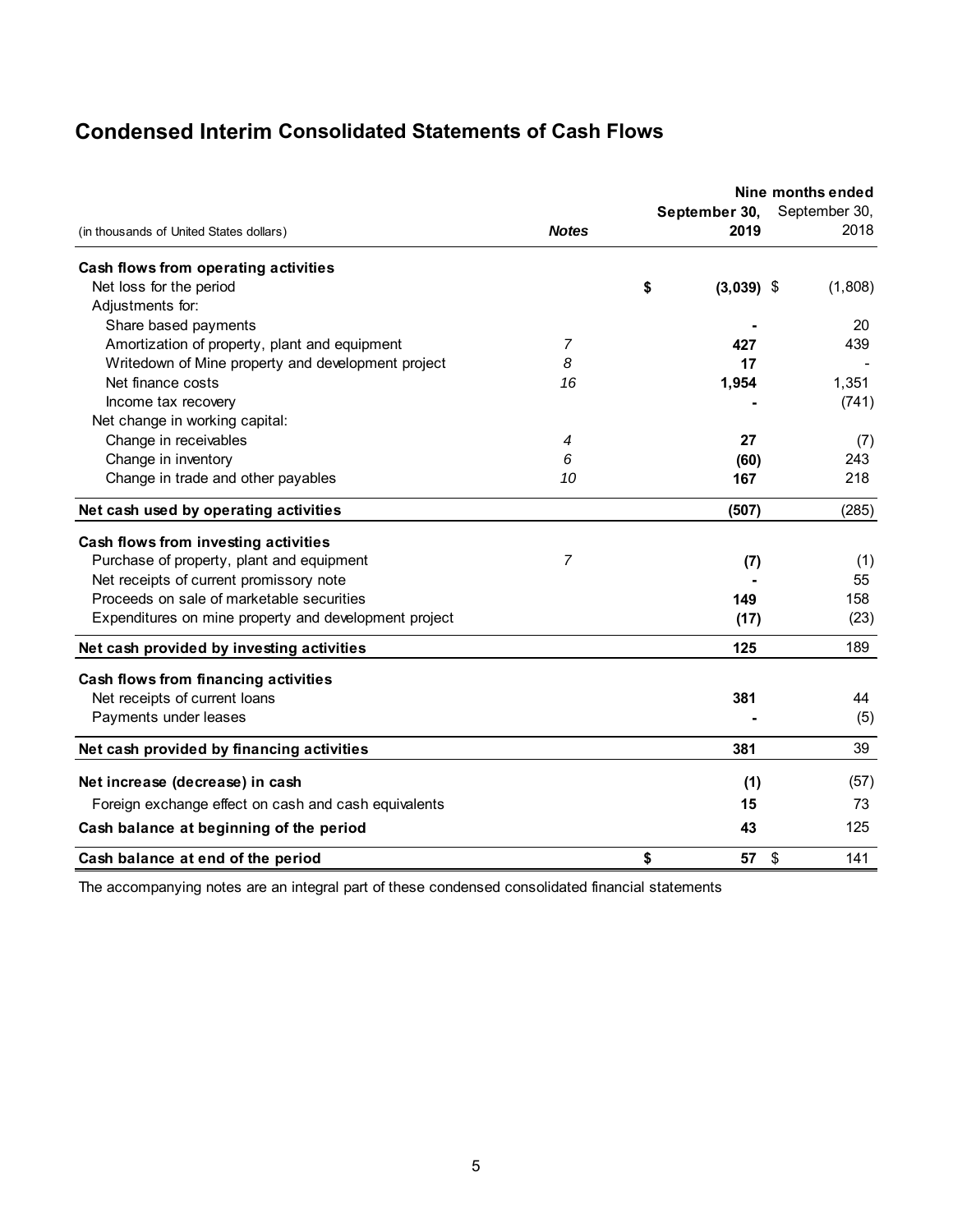# **Condensed Interim Consolidated Statements of Cash Flows**

| (in thousands of United States dollars)               | <b>Notes</b>   | September 30,<br>2019 | Nine months ended<br>September 30,<br>2018 |
|-------------------------------------------------------|----------------|-----------------------|--------------------------------------------|
|                                                       |                |                       |                                            |
| Cash flows from operating activities                  |                |                       |                                            |
| Net loss for the period                               |                | \$<br>$(3,039)$ \$    | (1,808)                                    |
| Adjustments for:                                      |                |                       |                                            |
| Share based payments                                  |                |                       | 20                                         |
| Amortization of property, plant and equipment         | $\overline{7}$ | 427                   | 439                                        |
| Writedown of Mine property and development project    | 8              | 17                    |                                            |
| Net finance costs                                     | 16             | 1,954                 | 1,351                                      |
| Income tax recovery                                   |                |                       | (741)                                      |
| Net change in working capital:                        |                |                       |                                            |
| Change in receivables                                 | 4              | 27                    | (7)                                        |
| Change in inventory                                   | 6              | (60)                  | 243                                        |
| Change in trade and other payables                    | 10             | 167                   | 218                                        |
| Net cash used by operating activities                 |                | (507)                 | (285)                                      |
| Cash flows from investing activities                  |                |                       |                                            |
| Purchase of property, plant and equipment             | $\overline{7}$ | (7)                   | (1)                                        |
| Net receipts of current promissory note               |                |                       | 55                                         |
| Proceeds on sale of marketable securities             |                | 149                   | 158                                        |
| Expenditures on mine property and development project |                | (17)                  | (23)                                       |
| Net cash provided by investing activities             |                | 125                   | 189                                        |
| Cash flows from financing activities                  |                |                       |                                            |
| Net receipts of current loans                         |                | 381                   | 44                                         |
| Payments under leases                                 |                |                       | (5)                                        |
| Net cash provided by financing activities             |                | 381                   | 39                                         |
| Net increase (decrease) in cash                       |                | (1)                   | (57)                                       |
|                                                       |                |                       |                                            |
| Foreign exchange effect on cash and cash equivalents  |                | 15                    | 73                                         |
| Cash balance at beginning of the period               |                | 43                    | 125                                        |
| Cash balance at end of the period                     |                | \$<br>57              | \$<br>141                                  |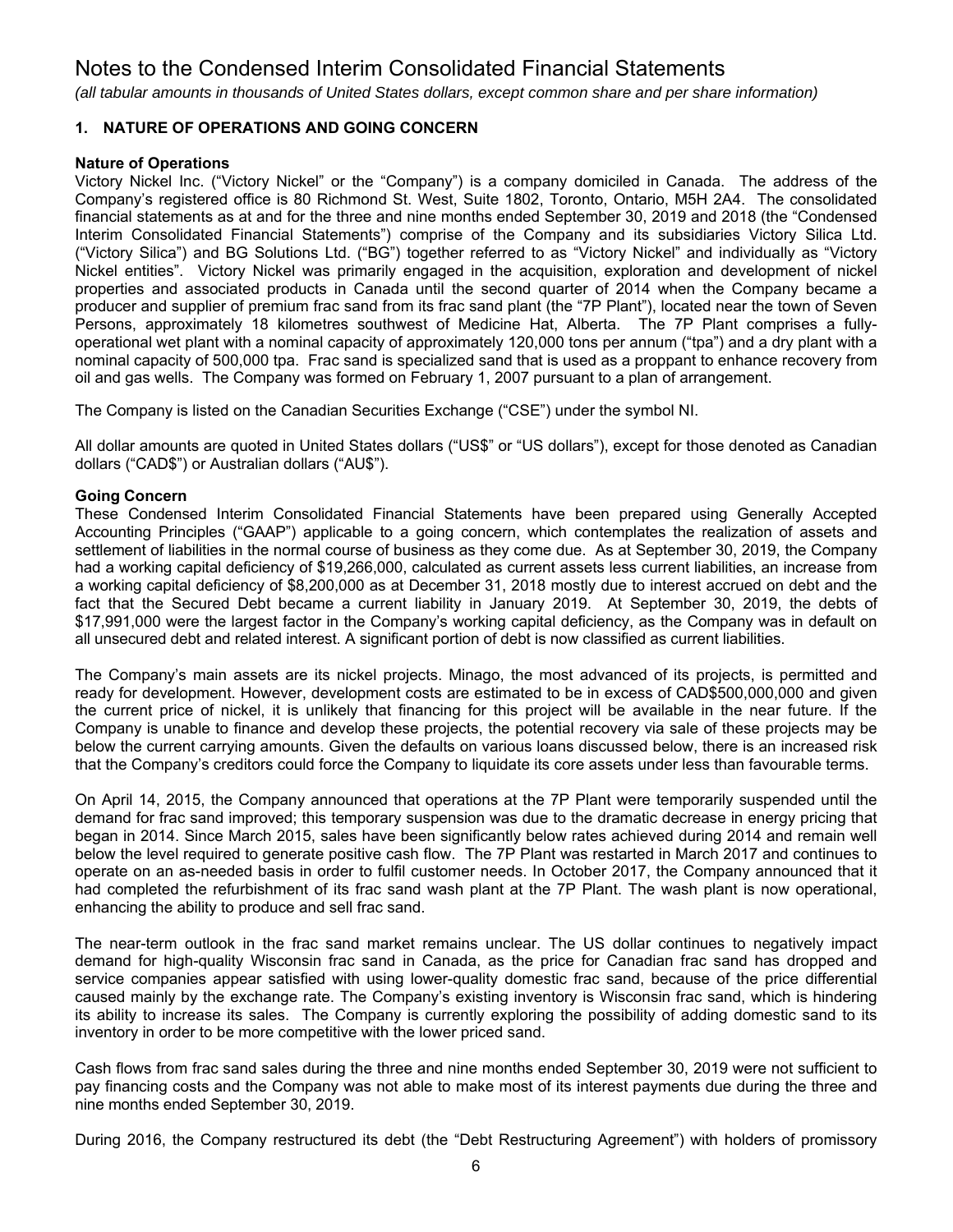*(all tabular amounts in thousands of United States dollars, except common share and per share information)*

## **1. NATURE OF OPERATIONS AND GOING CONCERN**

### **Nature of Operations**

Victory Nickel Inc. ("Victory Nickel" or the "Company") is a company domiciled in Canada. The address of the Company's registered office is 80 Richmond St. West, Suite 1802, Toronto, Ontario, M5H 2A4. The consolidated financial statements as at and for the three and nine months ended September 30, 2019 and 2018 (the "Condensed Interim Consolidated Financial Statements") comprise of the Company and its subsidiaries Victory Silica Ltd. ("Victory Silica") and BG Solutions Ltd. ("BG") together referred to as "Victory Nickel" and individually as "Victory Nickel entities". Victory Nickel was primarily engaged in the acquisition, exploration and development of nickel properties and associated products in Canada until the second quarter of 2014 when the Company became a producer and supplier of premium frac sand from its frac sand plant (the "7P Plant"), located near the town of Seven Persons, approximately 18 kilometres southwest of Medicine Hat, Alberta. The 7P Plant comprises a fullyoperational wet plant with a nominal capacity of approximately 120,000 tons per annum ("tpa") and a dry plant with a nominal capacity of 500,000 tpa. Frac sand is specialized sand that is used as a proppant to enhance recovery from oil and gas wells. The Company was formed on February 1, 2007 pursuant to a plan of arrangement.

The Company is listed on the Canadian Securities Exchange ("CSE") under the symbol NI.

All dollar amounts are quoted in United States dollars ("US\$" or "US dollars"), except for those denoted as Canadian dollars ("CAD\$") or Australian dollars ("AU\$").

### **Going Concern**

These Condensed Interim Consolidated Financial Statements have been prepared using Generally Accepted Accounting Principles ("GAAP") applicable to a going concern, which contemplates the realization of assets and settlement of liabilities in the normal course of business as they come due. As at September 30, 2019, the Company had a working capital deficiency of \$19,266,000, calculated as current assets less current liabilities, an increase from a working capital deficiency of \$8,200,000 as at December 31, 2018 mostly due to interest accrued on debt and the fact that the Secured Debt became a current liability in January 2019. At September 30, 2019, the debts of \$17,991,000 were the largest factor in the Company's working capital deficiency, as the Company was in default on all unsecured debt and related interest. A significant portion of debt is now classified as current liabilities.

The Company's main assets are its nickel projects. Minago, the most advanced of its projects, is permitted and ready for development. However, development costs are estimated to be in excess of CAD\$500,000,000 and given the current price of nickel, it is unlikely that financing for this project will be available in the near future. If the Company is unable to finance and develop these projects, the potential recovery via sale of these projects may be below the current carrying amounts. Given the defaults on various loans discussed below, there is an increased risk that the Company's creditors could force the Company to liquidate its core assets under less than favourable terms.

On April 14, 2015, the Company announced that operations at the 7P Plant were temporarily suspended until the demand for frac sand improved; this temporary suspension was due to the dramatic decrease in energy pricing that began in 2014. Since March 2015, sales have been significantly below rates achieved during 2014 and remain well below the level required to generate positive cash flow. The 7P Plant was restarted in March 2017 and continues to operate on an as-needed basis in order to fulfil customer needs. In October 2017, the Company announced that it had completed the refurbishment of its frac sand wash plant at the 7P Plant. The wash plant is now operational, enhancing the ability to produce and sell frac sand.

The near-term outlook in the frac sand market remains unclear. The US dollar continues to negatively impact demand for high-quality Wisconsin frac sand in Canada, as the price for Canadian frac sand has dropped and service companies appear satisfied with using lower-quality domestic frac sand, because of the price differential caused mainly by the exchange rate. The Company's existing inventory is Wisconsin frac sand, which is hindering its ability to increase its sales. The Company is currently exploring the possibility of adding domestic sand to its inventory in order to be more competitive with the lower priced sand.

Cash flows from frac sand sales during the three and nine months ended September 30, 2019 were not sufficient to pay financing costs and the Company was not able to make most of its interest payments due during the three and nine months ended September 30, 2019.

During 2016, the Company restructured its debt (the "Debt Restructuring Agreement") with holders of promissory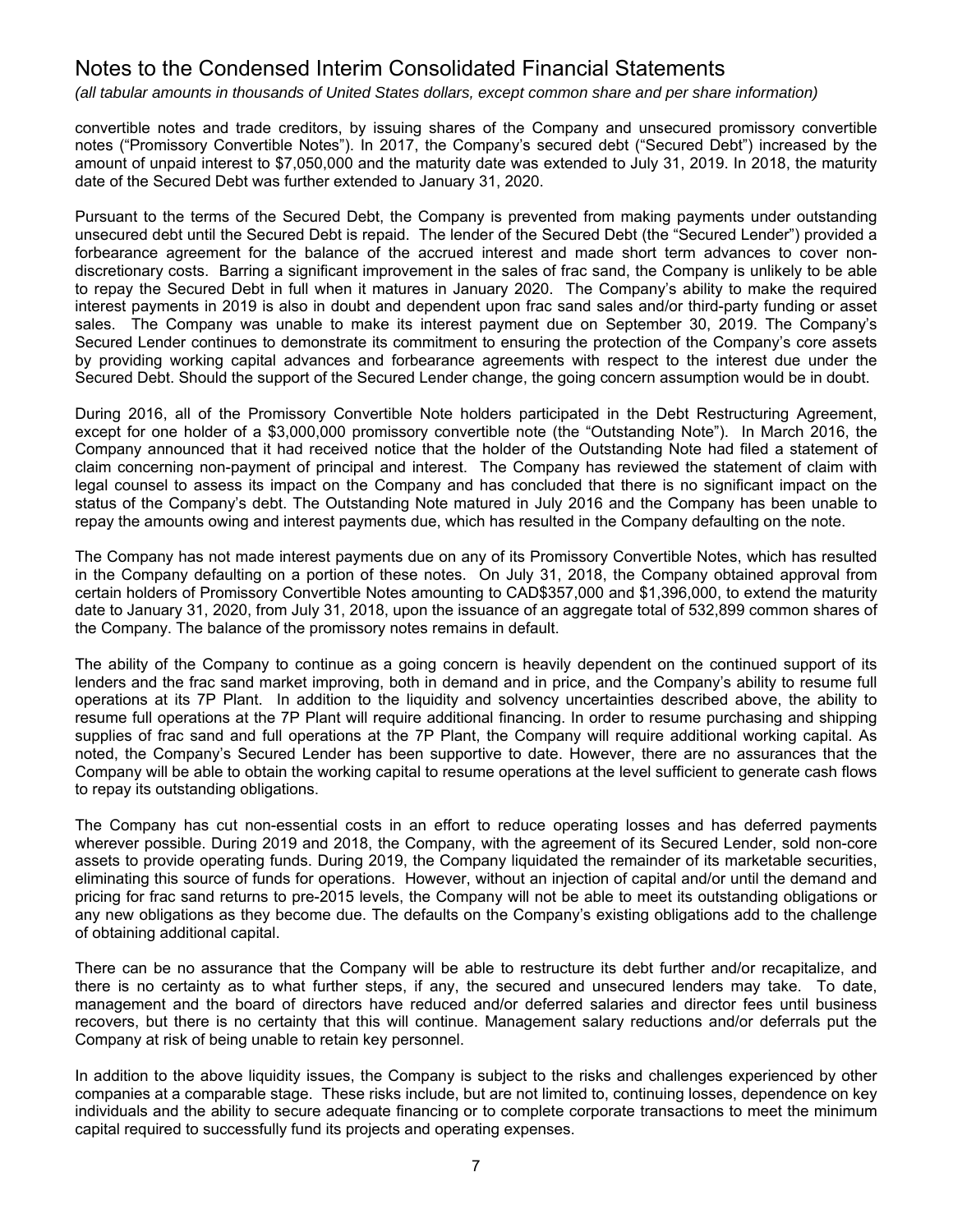*(all tabular amounts in thousands of United States dollars, except common share and per share information)*

convertible notes and trade creditors, by issuing shares of the Company and unsecured promissory convertible notes ("Promissory Convertible Notes"). In 2017, the Company's secured debt ("Secured Debt") increased by the amount of unpaid interest to \$7,050,000 and the maturity date was extended to July 31, 2019. In 2018, the maturity date of the Secured Debt was further extended to January 31, 2020.

Pursuant to the terms of the Secured Debt, the Company is prevented from making payments under outstanding unsecured debt until the Secured Debt is repaid. The lender of the Secured Debt (the "Secured Lender") provided a forbearance agreement for the balance of the accrued interest and made short term advances to cover nondiscretionary costs. Barring a significant improvement in the sales of frac sand, the Company is unlikely to be able to repay the Secured Debt in full when it matures in January 2020. The Company's ability to make the required interest payments in 2019 is also in doubt and dependent upon frac sand sales and/or third-party funding or asset sales. The Company was unable to make its interest payment due on September 30, 2019. The Company's Secured Lender continues to demonstrate its commitment to ensuring the protection of the Company's core assets by providing working capital advances and forbearance agreements with respect to the interest due under the Secured Debt. Should the support of the Secured Lender change, the going concern assumption would be in doubt.

During 2016, all of the Promissory Convertible Note holders participated in the Debt Restructuring Agreement, except for one holder of a \$3,000,000 promissory convertible note (the "Outstanding Note"). In March 2016, the Company announced that it had received notice that the holder of the Outstanding Note had filed a statement of claim concerning non-payment of principal and interest. The Company has reviewed the statement of claim with legal counsel to assess its impact on the Company and has concluded that there is no significant impact on the status of the Company's debt. The Outstanding Note matured in July 2016 and the Company has been unable to repay the amounts owing and interest payments due, which has resulted in the Company defaulting on the note.

The Company has not made interest payments due on any of its Promissory Convertible Notes, which has resulted in the Company defaulting on a portion of these notes. On July 31, 2018, the Company obtained approval from certain holders of Promissory Convertible Notes amounting to CAD\$357,000 and \$1,396,000, to extend the maturity date to January 31, 2020, from July 31, 2018, upon the issuance of an aggregate total of 532,899 common shares of the Company. The balance of the promissory notes remains in default.

The ability of the Company to continue as a going concern is heavily dependent on the continued support of its lenders and the frac sand market improving, both in demand and in price, and the Company's ability to resume full operations at its 7P Plant. In addition to the liquidity and solvency uncertainties described above, the ability to resume full operations at the 7P Plant will require additional financing. In order to resume purchasing and shipping supplies of frac sand and full operations at the 7P Plant, the Company will require additional working capital. As noted, the Company's Secured Lender has been supportive to date. However, there are no assurances that the Company will be able to obtain the working capital to resume operations at the level sufficient to generate cash flows to repay its outstanding obligations.

The Company has cut non-essential costs in an effort to reduce operating losses and has deferred payments wherever possible. During 2019 and 2018, the Company, with the agreement of its Secured Lender, sold non-core assets to provide operating funds. During 2019, the Company liquidated the remainder of its marketable securities, eliminating this source of funds for operations. However, without an injection of capital and/or until the demand and pricing for frac sand returns to pre-2015 levels, the Company will not be able to meet its outstanding obligations or any new obligations as they become due. The defaults on the Company's existing obligations add to the challenge of obtaining additional capital.

There can be no assurance that the Company will be able to restructure its debt further and/or recapitalize, and there is no certainty as to what further steps, if any, the secured and unsecured lenders may take. To date, management and the board of directors have reduced and/or deferred salaries and director fees until business recovers, but there is no certainty that this will continue. Management salary reductions and/or deferrals put the Company at risk of being unable to retain key personnel.

In addition to the above liquidity issues, the Company is subject to the risks and challenges experienced by other companies at a comparable stage. These risks include, but are not limited to, continuing losses, dependence on key individuals and the ability to secure adequate financing or to complete corporate transactions to meet the minimum capital required to successfully fund its projects and operating expenses.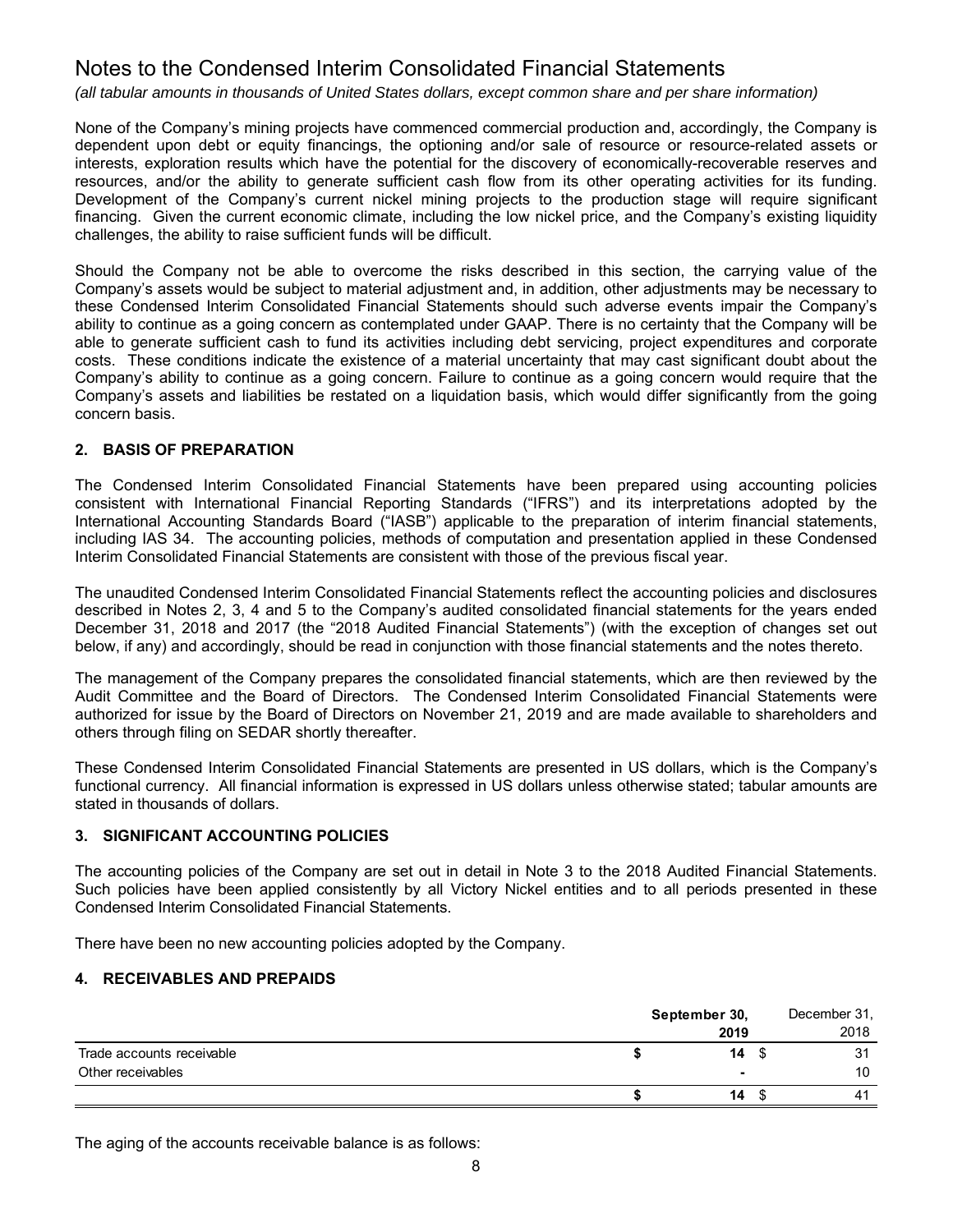*(all tabular amounts in thousands of United States dollars, except common share and per share information)*

None of the Company's mining projects have commenced commercial production and, accordingly, the Company is dependent upon debt or equity financings, the optioning and/or sale of resource or resource-related assets or interests, exploration results which have the potential for the discovery of economically-recoverable reserves and resources, and/or the ability to generate sufficient cash flow from its other operating activities for its funding. Development of the Company's current nickel mining projects to the production stage will require significant financing. Given the current economic climate, including the low nickel price, and the Company's existing liquidity challenges, the ability to raise sufficient funds will be difficult.

Should the Company not be able to overcome the risks described in this section, the carrying value of the Company's assets would be subject to material adjustment and, in addition, other adjustments may be necessary to these Condensed Interim Consolidated Financial Statements should such adverse events impair the Company's ability to continue as a going concern as contemplated under GAAP. There is no certainty that the Company will be able to generate sufficient cash to fund its activities including debt servicing, project expenditures and corporate costs. These conditions indicate the existence of a material uncertainty that may cast significant doubt about the Company's ability to continue as a going concern. Failure to continue as a going concern would require that the Company's assets and liabilities be restated on a liquidation basis, which would differ significantly from the going concern basis.

# **2. BASIS OF PREPARATION**

The Condensed Interim Consolidated Financial Statements have been prepared using accounting policies consistent with International Financial Reporting Standards ("IFRS") and its interpretations adopted by the International Accounting Standards Board ("IASB") applicable to the preparation of interim financial statements, including IAS 34. The accounting policies, methods of computation and presentation applied in these Condensed Interim Consolidated Financial Statements are consistent with those of the previous fiscal year.

The unaudited Condensed Interim Consolidated Financial Statements reflect the accounting policies and disclosures described in Notes 2, 3, 4 and 5 to the Company's audited consolidated financial statements for the years ended December 31, 2018 and 2017 (the "2018 Audited Financial Statements") (with the exception of changes set out below, if any) and accordingly, should be read in conjunction with those financial statements and the notes thereto.

The management of the Company prepares the consolidated financial statements, which are then reviewed by the Audit Committee and the Board of Directors. The Condensed Interim Consolidated Financial Statements were authorized for issue by the Board of Directors on November 21, 2019 and are made available to shareholders and others through filing on SEDAR shortly thereafter.

These Condensed Interim Consolidated Financial Statements are presented in US dollars, which is the Company's functional currency. All financial information is expressed in US dollars unless otherwise stated; tabular amounts are stated in thousands of dollars.

## **3. SIGNIFICANT ACCOUNTING POLICIES**

The accounting policies of the Company are set out in detail in Note 3 to the 2018 Audited Financial Statements. Such policies have been applied consistently by all Victory Nickel entities and to all periods presented in these Condensed Interim Consolidated Financial Statements.

There have been no new accounting policies adopted by the Company.

#### **4. RECEIVABLES AND PREPAIDS**

|                           | September 30, | December 31,   |
|---------------------------|---------------|----------------|
|                           | 2019          | 2018           |
| Trade accounts receivable | $14 \quad$    | 31             |
| Other receivables         |               | 10             |
|                           | 14            | 4 <sup>′</sup> |

The aging of the accounts receivable balance is as follows: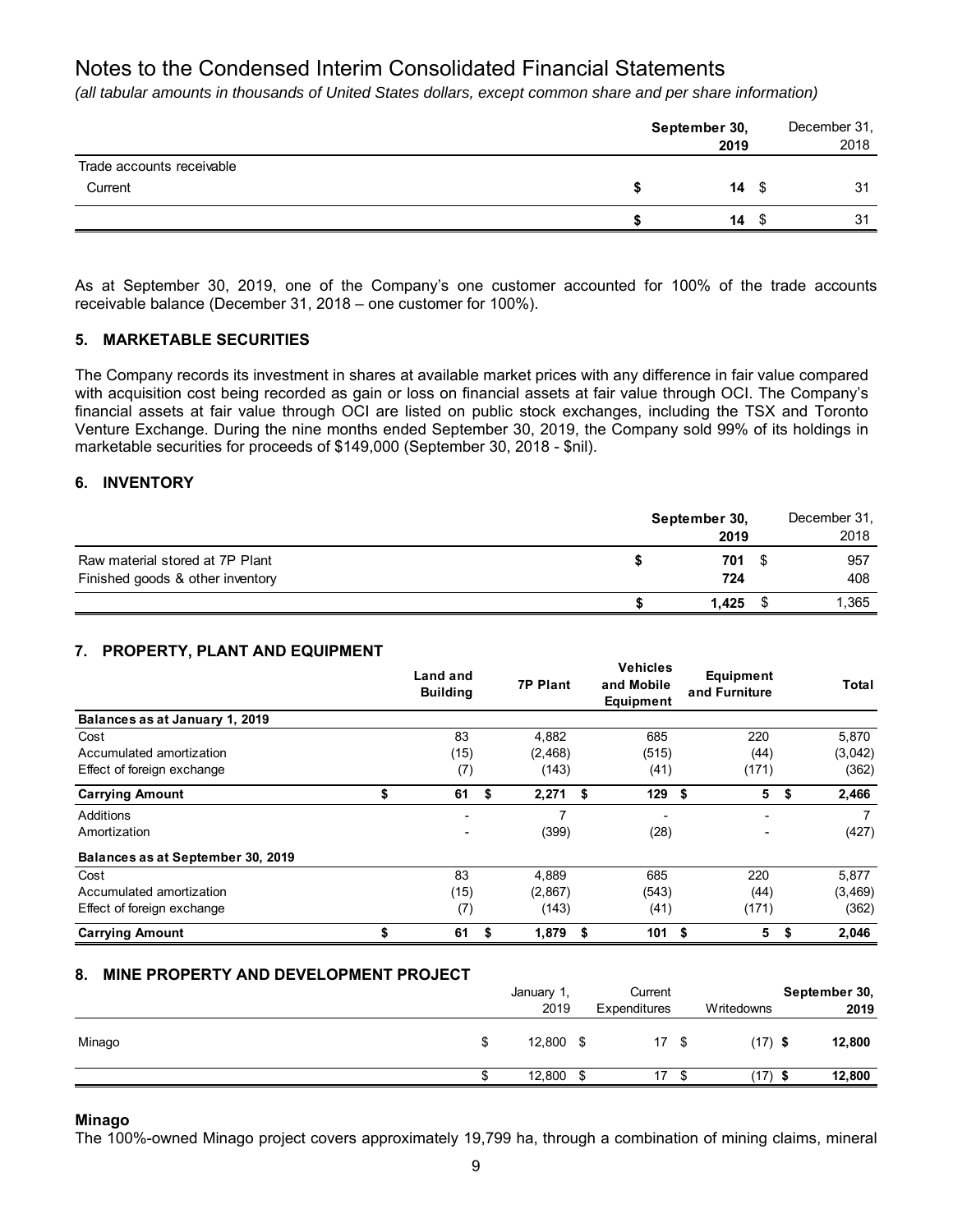*(all tabular amounts in thousands of United States dollars, except common share and per share information)*

|                           | September 30,<br>2019 |      | December 31,<br>2018 |
|---------------------------|-----------------------|------|----------------------|
| Trade accounts receivable |                       |      |                      |
| Current                   | $14 \text{ }$ \$      |      | 31                   |
|                           | 14                    | - \$ | 31                   |

As at September 30, 2019, one of the Company's one customer accounted for 100% of the trade accounts receivable balance (December 31, 2018 – one customer for 100%).

### **5. MARKETABLE SECURITIES**

The Company records its investment in shares at available market prices with any difference in fair value compared with acquisition cost being recorded as gain or loss on financial assets at fair value through OCI. The Company's financial assets at fair value through OCI are listed on public stock exchanges, including the TSX and Toronto Venture Exchange. During the nine months ended September 30, 2019, the Company sold 99% of its holdings in marketable securities for proceeds of \$149,000 (September 30, 2018 - \$nil).

### **6. INVENTORY**

|                                                                     | September 30, |      | December 31, |
|---------------------------------------------------------------------|---------------|------|--------------|
|                                                                     | 2019          |      | 2018         |
| Raw material stored at 7P Plant<br>Finished goods & other inventory | 701<br>724    | - \$ | 957<br>408   |
|                                                                     | 1.425         |      | 1,365        |

## **7. PROPERTY, PLANT AND EQUIPMENT**

|                                   | <b>Land and</b><br><b>Building</b> |    | <b>7P Plant</b> | <b>Vehicles</b><br>and Mobile<br>Equipment |     | Equipment<br>and Furniture | Total       |
|-----------------------------------|------------------------------------|----|-----------------|--------------------------------------------|-----|----------------------------|-------------|
| Balances as at January 1, 2019    |                                    |    |                 |                                            |     |                            |             |
| Cost                              | 83                                 |    | 4,882           | 685                                        |     | 220                        | 5,870       |
| Accumulated amortization          | (15)                               |    | (2, 468)        | (515)                                      |     | (44)                       | (3,042)     |
| Effect of foreign exchange        | (7)                                |    | (143)           | (41)                                       |     | (171)                      | (362)       |
| <b>Carrying Amount</b>            | \$<br>61                           | \$ | 2,271           | \$<br>129                                  | -\$ | 5                          | \$<br>2,466 |
| Additions                         | $\blacksquare$                     |    | 7               |                                            |     | $\overline{\phantom{0}}$   |             |
| Amortization                      | -                                  |    | (399)           | (28)                                       |     | ٠                          | (427)       |
| Balances as at September 30, 2019 |                                    |    |                 |                                            |     |                            |             |
| Cost                              | 83                                 |    | 4,889           | 685                                        |     | 220                        | 5,877       |
| Accumulated amortization          | (15)                               |    | (2,867)         | (543)                                      |     | (44)                       | (3, 469)    |
| Effect of foreign exchange        | (7)                                |    | (143)           | (41)                                       |     | (171)                      | (362)       |
| <b>Carrying Amount</b>            | \$<br>61                           | S. | 1,879           | \$<br>101                                  | -\$ | 5                          | \$<br>2,046 |

## **8. MINE PROPERTY AND DEVELOPMENT PROJECT**

| 2019<br>Writedowns<br>Expenditures                   | September 30, |  |
|------------------------------------------------------|---------------|--|
|                                                      | 2019          |  |
| 12,800<br>17 \$<br>$(17)$ \$<br>Minago<br>\$<br>- \$ | 12,800        |  |
| 12,800<br>17<br>(17)<br>-S<br>S<br>S<br>S            | 12,800        |  |

#### **Minago**

The 100%-owned Minago project covers approximately 19,799 ha, through a combination of mining claims, mineral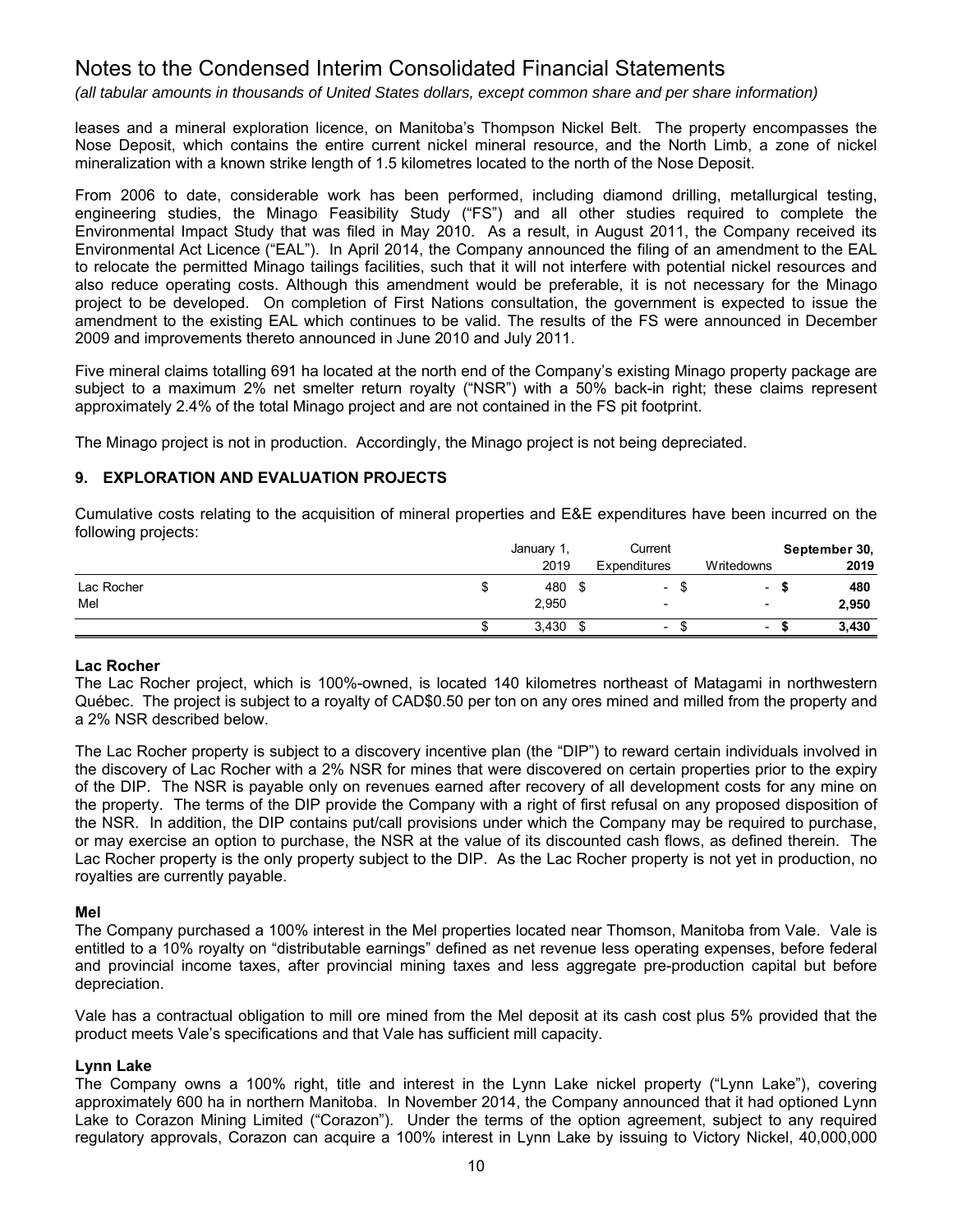*(all tabular amounts in thousands of United States dollars, except common share and per share information)*

leases and a mineral exploration licence, on Manitoba's Thompson Nickel Belt. The property encompasses the Nose Deposit, which contains the entire current nickel mineral resource, and the North Limb, a zone of nickel mineralization with a known strike length of 1.5 kilometres located to the north of the Nose Deposit.

From 2006 to date, considerable work has been performed, including diamond drilling, metallurgical testing, engineering studies, the Minago Feasibility Study ("FS") and all other studies required to complete the Environmental Impact Study that was filed in May 2010. As a result, in August 2011, the Company received its Environmental Act Licence ("EAL"). In April 2014, the Company announced the filing of an amendment to the EAL to relocate the permitted Minago tailings facilities, such that it will not interfere with potential nickel resources and also reduce operating costs. Although this amendment would be preferable, it is not necessary for the Minago project to be developed. On completion of First Nations consultation, the government is expected to issue the amendment to the existing EAL which continues to be valid. The results of the FS were announced in December 2009 and improvements thereto announced in June 2010 and July 2011.

Five mineral claims totalling 691 ha located at the north end of the Company's existing Minago property package are subject to a maximum 2% net smelter return royalty ("NSR") with a 50% back-in right; these claims represent approximately 2.4% of the total Minago project and are not contained in the FS pit footprint.

The Minago project is not in production. Accordingly, the Minago project is not being depreciated.

## **9. EXPLORATION AND EVALUATION PROJECTS**

Cumulative costs relating to the acquisition of mineral properties and E&E expenditures have been incurred on the following projects:

|            | January 1, | Current                  |                          | September 30, |
|------------|------------|--------------------------|--------------------------|---------------|
|            | 2019       | Expenditures             | Writedowns               | 2019          |
| Lac Rocher | 480        | -                        | ۰                        | 480           |
| Mel        | 2,950      | -                        | $\overline{\phantom{0}}$ | 2,950         |
|            | 3,430      | $\overline{\phantom{a}}$ | $\overline{\phantom{0}}$ | 3,430         |

#### **Lac Rocher**

The Lac Rocher project, which is 100%-owned, is located 140 kilometres northeast of Matagami in northwestern Québec. The project is subject to a royalty of CAD\$0.50 per ton on any ores mined and milled from the property and a 2% NSR described below.

The Lac Rocher property is subject to a discovery incentive plan (the "DIP") to reward certain individuals involved in the discovery of Lac Rocher with a 2% NSR for mines that were discovered on certain properties prior to the expiry of the DIP. The NSR is payable only on revenues earned after recovery of all development costs for any mine on the property. The terms of the DIP provide the Company with a right of first refusal on any proposed disposition of the NSR. In addition, the DIP contains put/call provisions under which the Company may be required to purchase, or may exercise an option to purchase, the NSR at the value of its discounted cash flows, as defined therein. The Lac Rocher property is the only property subject to the DIP. As the Lac Rocher property is not yet in production, no royalties are currently payable.

#### **Mel**

The Company purchased a 100% interest in the Mel properties located near Thomson, Manitoba from Vale. Vale is entitled to a 10% royalty on "distributable earnings" defined as net revenue less operating expenses, before federal and provincial income taxes, after provincial mining taxes and less aggregate pre-production capital but before depreciation.

Vale has a contractual obligation to mill ore mined from the Mel deposit at its cash cost plus 5% provided that the product meets Vale's specifications and that Vale has sufficient mill capacity.

#### **Lynn Lake**

The Company owns a 100% right, title and interest in the Lynn Lake nickel property ("Lynn Lake"), covering approximately 600 ha in northern Manitoba. In November 2014, the Company announced that it had optioned Lynn Lake to Corazon Mining Limited ("Corazon"). Under the terms of the option agreement, subject to any required regulatory approvals, Corazon can acquire a 100% interest in Lynn Lake by issuing to Victory Nickel, 40,000,000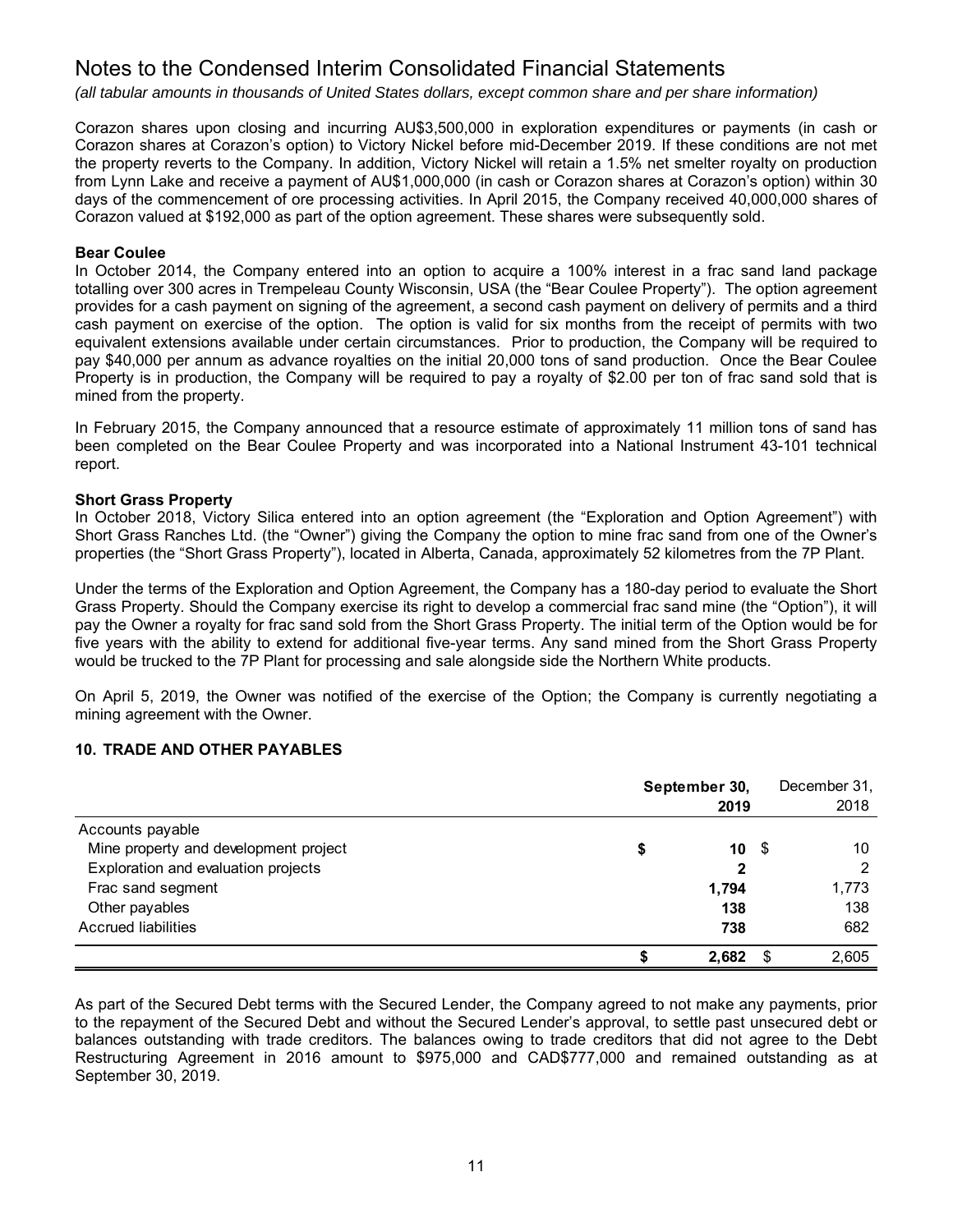*(all tabular amounts in thousands of United States dollars, except common share and per share information)*

Corazon shares upon closing and incurring AU\$3,500,000 in exploration expenditures or payments (in cash or Corazon shares at Corazon's option) to Victory Nickel before mid-December 2019. If these conditions are not met the property reverts to the Company. In addition, Victory Nickel will retain a 1.5% net smelter royalty on production from Lynn Lake and receive a payment of AU\$1,000,000 (in cash or Corazon shares at Corazon's option) within 30 days of the commencement of ore processing activities. In April 2015, the Company received 40,000,000 shares of Corazon valued at \$192,000 as part of the option agreement. These shares were subsequently sold.

#### **Bear Coulee**

In October 2014, the Company entered into an option to acquire a 100% interest in a frac sand land package totalling over 300 acres in Trempeleau County Wisconsin, USA (the "Bear Coulee Property"). The option agreement provides for a cash payment on signing of the agreement, a second cash payment on delivery of permits and a third cash payment on exercise of the option. The option is valid for six months from the receipt of permits with two equivalent extensions available under certain circumstances. Prior to production, the Company will be required to pay \$40,000 per annum as advance royalties on the initial 20,000 tons of sand production. Once the Bear Coulee Property is in production, the Company will be required to pay a royalty of \$2.00 per ton of frac sand sold that is mined from the property.

In February 2015, the Company announced that a resource estimate of approximately 11 million tons of sand has been completed on the Bear Coulee Property and was incorporated into a National Instrument 43-101 technical report.

### **Short Grass Property**

In October 2018, Victory Silica entered into an option agreement (the "Exploration and Option Agreement") with Short Grass Ranches Ltd. (the "Owner") giving the Company the option to mine frac sand from one of the Owner's properties (the "Short Grass Property"), located in Alberta, Canada, approximately 52 kilometres from the 7P Plant.

Under the terms of the Exploration and Option Agreement, the Company has a 180-day period to evaluate the Short Grass Property. Should the Company exercise its right to develop a commercial frac sand mine (the "Option"), it will pay the Owner a royalty for frac sand sold from the Short Grass Property. The initial term of the Option would be for five years with the ability to extend for additional five-year terms. Any sand mined from the Short Grass Property would be trucked to the 7P Plant for processing and sale alongside side the Northern White products.

On April 5, 2019, the Owner was notified of the exercise of the Option; the Company is currently negotiating a mining agreement with the Owner.

#### **10. TRADE AND OTHER PAYABLES**

|                                       | September 30, | 2019  | December 31,<br>2018 |
|---------------------------------------|---------------|-------|----------------------|
| Accounts payable                      |               |       |                      |
| Mine property and development project | \$            | 10S   | 10                   |
| Exploration and evaluation projects   |               | 2     |                      |
| Frac sand segment                     |               | 1,794 | 1,773                |
| Other payables                        |               | 138   | 138                  |
| <b>Accrued liabilities</b>            |               | 738   | 682                  |
|                                       |               | 2,682 | 2,605                |

As part of the Secured Debt terms with the Secured Lender, the Company agreed to not make any payments, prior to the repayment of the Secured Debt and without the Secured Lender's approval, to settle past unsecured debt or balances outstanding with trade creditors. The balances owing to trade creditors that did not agree to the Debt Restructuring Agreement in 2016 amount to \$975,000 and CAD\$777,000 and remained outstanding as at September 30, 2019.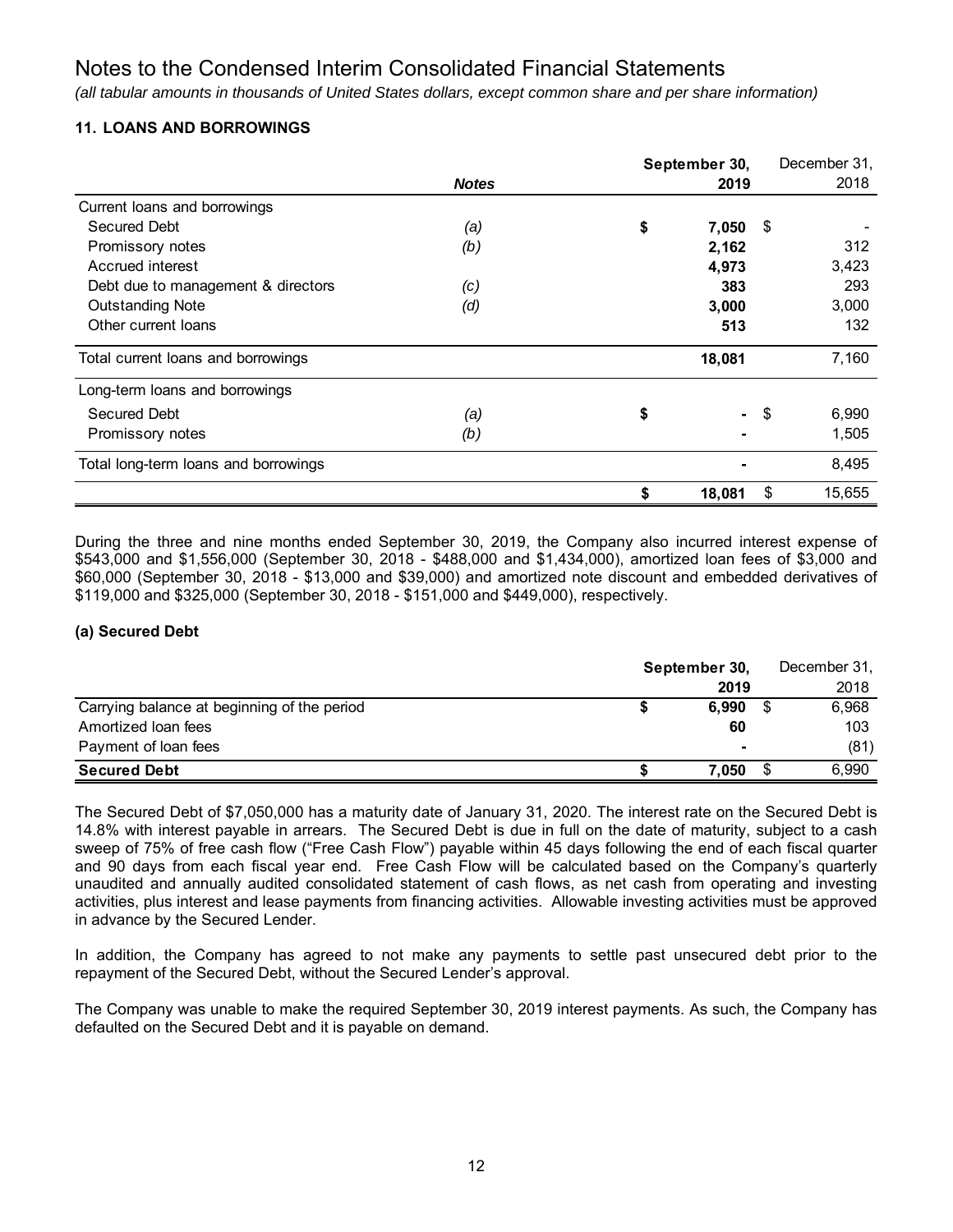*(all tabular amounts in thousands of United States dollars, except common share and per share information)*

# **11. LOANS AND BORROWINGS**

|                                      |              | September 30, |        | December 31, |
|--------------------------------------|--------------|---------------|--------|--------------|
|                                      | <b>Notes</b> | 2019          |        | 2018         |
| Current loans and borrowings         |              |               |        |              |
| Secured Debt                         | (a)          | \$<br>7,050   | \$     |              |
| Promissory notes                     | (b)          | 2,162         |        | 312          |
| Accrued interest                     |              | 4,973         |        | 3,423        |
| Debt due to management & directors   | (c)          | 383           |        | 293          |
| <b>Outstanding Note</b>              | (d)          | 3,000         |        | 3,000        |
| Other current loans                  |              | 513           |        | 132          |
| Total current loans and borrowings   |              | 18,081        |        | 7,160        |
| Long-term loans and borrowings       |              |               |        |              |
| Secured Debt                         | (a)          | \$            | $-$ \$ | 6,990        |
| Promissory notes                     | (b)          |               |        | 1,505        |
| Total long-term loans and borrowings |              |               |        | 8,495        |
|                                      |              | \$<br>18,081  | \$     | 15,655       |

During the three and nine months ended September 30, 2019, the Company also incurred interest expense of \$543,000 and \$1,556,000 (September 30, 2018 - \$488,000 and \$1,434,000), amortized loan fees of \$3,000 and \$60,000 (September 30, 2018 - \$13,000 and \$39,000) and amortized note discount and embedded derivatives of \$119,000 and \$325,000 (September 30, 2018 - \$151,000 and \$449,000), respectively.

## **(a) Secured Debt**

|                                             | September 30, |                |  | December 31, |  |  |
|---------------------------------------------|---------------|----------------|--|--------------|--|--|
|                                             |               | 2019           |  | 2018         |  |  |
| Carrying balance at beginning of the period |               | 6.990          |  | 6,968        |  |  |
| Amortized loan fees                         |               | 60             |  | 103          |  |  |
| Payment of loan fees                        |               | $\blacksquare$ |  | (81)         |  |  |
| <b>Secured Debt</b>                         |               | 7.050          |  | 6.990        |  |  |

The Secured Debt of \$7,050,000 has a maturity date of January 31, 2020. The interest rate on the Secured Debt is 14.8% with interest payable in arrears. The Secured Debt is due in full on the date of maturity, subject to a cash sweep of 75% of free cash flow ("Free Cash Flow") payable within 45 days following the end of each fiscal quarter and 90 days from each fiscal year end. Free Cash Flow will be calculated based on the Company's quarterly unaudited and annually audited consolidated statement of cash flows, as net cash from operating and investing activities, plus interest and lease payments from financing activities. Allowable investing activities must be approved in advance by the Secured Lender.

In addition, the Company has agreed to not make any payments to settle past unsecured debt prior to the repayment of the Secured Debt, without the Secured Lender's approval.

The Company was unable to make the required September 30, 2019 interest payments. As such, the Company has defaulted on the Secured Debt and it is payable on demand.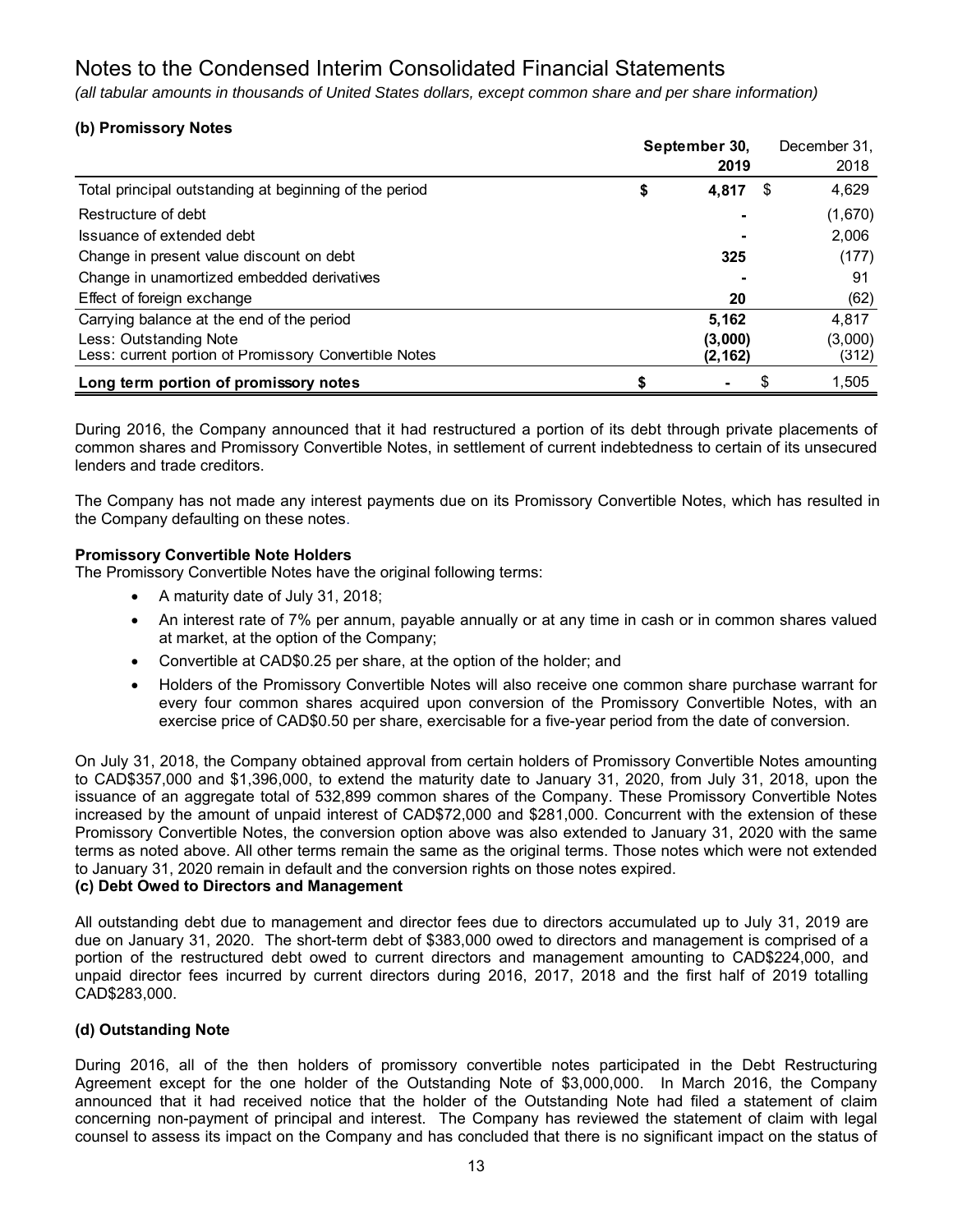*(all tabular amounts in thousands of United States dollars, except common share and per share information)*

# **(b) Promissory Notes**

|                                                        | September 30, |    | December 31. |
|--------------------------------------------------------|---------------|----|--------------|
|                                                        | 2019          |    | 2018         |
| Total principal outstanding at beginning of the period | \$<br>4,817   | S  | 4,629        |
| Restructure of debt                                    |               |    | (1,670)      |
| Issuance of extended debt                              |               |    | 2,006        |
| Change in present value discount on debt               | 325           |    | (177)        |
| Change in unamortized embedded derivatives             |               |    | 91           |
| Effect of foreign exchange                             | 20            |    | (62)         |
| Carrying balance at the end of the period              | 5,162         |    | 4,817        |
| Less: Outstanding Note                                 | (3,000)       |    | (3,000)      |
| Less: current portion of Promissory Convertible Notes  | (2, 162)      |    | (312)        |
| Long term portion of promissory notes                  |               | \$ | 1,505        |

During 2016, the Company announced that it had restructured a portion of its debt through private placements of common shares and Promissory Convertible Notes, in settlement of current indebtedness to certain of its unsecured lenders and trade creditors.

The Company has not made any interest payments due on its Promissory Convertible Notes, which has resulted in the Company defaulting on these notes.

### **Promissory Convertible Note Holders**

The Promissory Convertible Notes have the original following terms:

- A maturity date of July 31, 2018;
- An interest rate of 7% per annum, payable annually or at any time in cash or in common shares valued at market, at the option of the Company;
- Convertible at CAD\$0.25 per share, at the option of the holder; and
- Holders of the Promissory Convertible Notes will also receive one common share purchase warrant for every four common shares acquired upon conversion of the Promissory Convertible Notes, with an exercise price of CAD\$0.50 per share, exercisable for a five-year period from the date of conversion.

On July 31, 2018, the Company obtained approval from certain holders of Promissory Convertible Notes amounting to CAD\$357,000 and \$1,396,000, to extend the maturity date to January 31, 2020, from July 31, 2018, upon the issuance of an aggregate total of 532,899 common shares of the Company. These Promissory Convertible Notes increased by the amount of unpaid interest of CAD\$72,000 and \$281,000. Concurrent with the extension of these Promissory Convertible Notes, the conversion option above was also extended to January 31, 2020 with the same terms as noted above. All other terms remain the same as the original terms. Those notes which were not extended to January 31, 2020 remain in default and the conversion rights on those notes expired.

#### **(c) Debt Owed to Directors and Management**

All outstanding debt due to management and director fees due to directors accumulated up to July 31, 2019 are due on January 31, 2020. The short-term debt of \$383,000 owed to directors and management is comprised of a portion of the restructured debt owed to current directors and management amounting to CAD\$224,000, and unpaid director fees incurred by current directors during 2016, 2017, 2018 and the first half of 2019 totalling CAD\$283,000.

#### **(d) Outstanding Note**

During 2016, all of the then holders of promissory convertible notes participated in the Debt Restructuring Agreement except for the one holder of the Outstanding Note of \$3,000,000. In March 2016, the Company announced that it had received notice that the holder of the Outstanding Note had filed a statement of claim concerning non-payment of principal and interest. The Company has reviewed the statement of claim with legal counsel to assess its impact on the Company and has concluded that there is no significant impact on the status of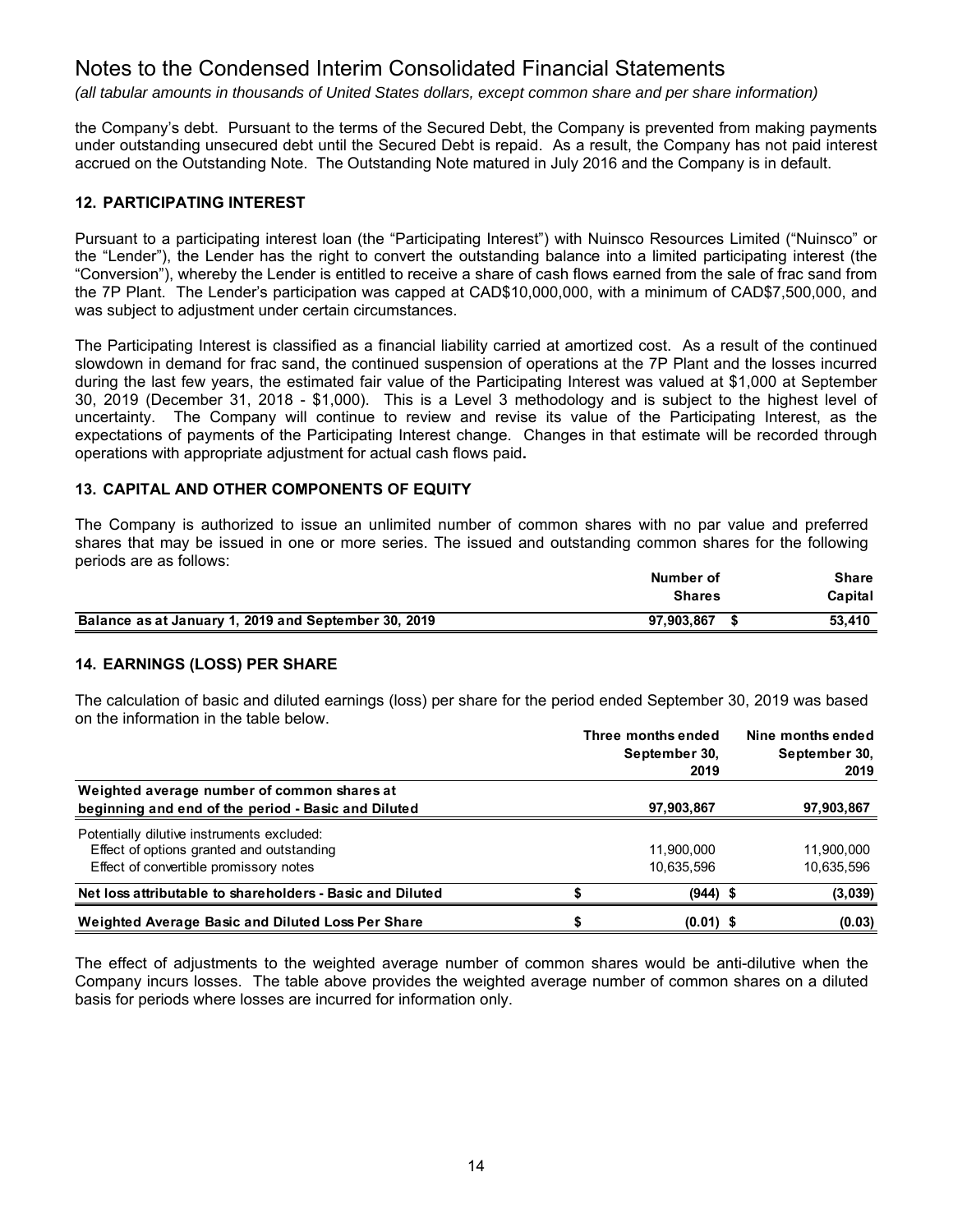*(all tabular amounts in thousands of United States dollars, except common share and per share information)*

the Company's debt. Pursuant to the terms of the Secured Debt, the Company is prevented from making payments under outstanding unsecured debt until the Secured Debt is repaid. As a result, the Company has not paid interest accrued on the Outstanding Note. The Outstanding Note matured in July 2016 and the Company is in default.

### **12. PARTICIPATING INTEREST**

Pursuant to a participating interest loan (the "Participating Interest") with Nuinsco Resources Limited ("Nuinsco" or the "Lender"), the Lender has the right to convert the outstanding balance into a limited participating interest (the "Conversion"), whereby the Lender is entitled to receive a share of cash flows earned from the sale of frac sand from the 7P Plant. The Lender's participation was capped at CAD\$10,000,000, with a minimum of CAD\$7,500,000, and was subject to adjustment under certain circumstances.

The Participating Interest is classified as a financial liability carried at amortized cost. As a result of the continued slowdown in demand for frac sand, the continued suspension of operations at the 7P Plant and the losses incurred during the last few years, the estimated fair value of the Participating Interest was valued at \$1,000 at September 30, 2019 (December 31, 2018 - \$1,000). This is a Level 3 methodology and is subject to the highest level of uncertainty. The Company will continue to review and revise its value of the Participating Interest, as the expectations of payments of the Participating Interest change. Changes in that estimate will be recorded through operations with appropriate adjustment for actual cash flows paid**.** 

## **13. CAPITAL AND OTHER COMPONENTS OF EQUITY**

The Company is authorized to issue an unlimited number of common shares with no par value and preferred shares that may be issued in one or more series. The issued and outstanding common shares for the following periods are as follows:

|                                                      | Number of<br><b>Shares</b> | Share<br>Capital |
|------------------------------------------------------|----------------------------|------------------|
| Balance as at January 1, 2019 and September 30, 2019 | 97.903.867                 | 53.410           |

#### **14. EARNINGS (LOSS) PER SHARE**

The calculation of basic and diluted earnings (loss) per share for the period ended September 30, 2019 was based on the information in the table below.

|                                                                                                                                   |  | Three months ended<br>September 30,<br>2019 | Nine months ended<br>September 30,<br>2019 |
|-----------------------------------------------------------------------------------------------------------------------------------|--|---------------------------------------------|--------------------------------------------|
| Weighted average number of common shares at<br>beginning and end of the period - Basic and Diluted                                |  | 97,903,867                                  | 97,903,867                                 |
| Potentially dilutive instruments excluded:<br>Effect of options granted and outstanding<br>Effect of convertible promissory notes |  | 11.900.000<br>10,635,596                    | 11.900.000<br>10,635,596                   |
| Net loss attributable to shareholders - Basic and Diluted                                                                         |  | $(944)$ \$                                  | (3,039)                                    |
| Weighted Average Basic and Diluted Loss Per Share                                                                                 |  | $(0.01)$ \$                                 | (0.03)                                     |

The effect of adjustments to the weighted average number of common shares would be anti-dilutive when the Company incurs losses. The table above provides the weighted average number of common shares on a diluted basis for periods where losses are incurred for information only.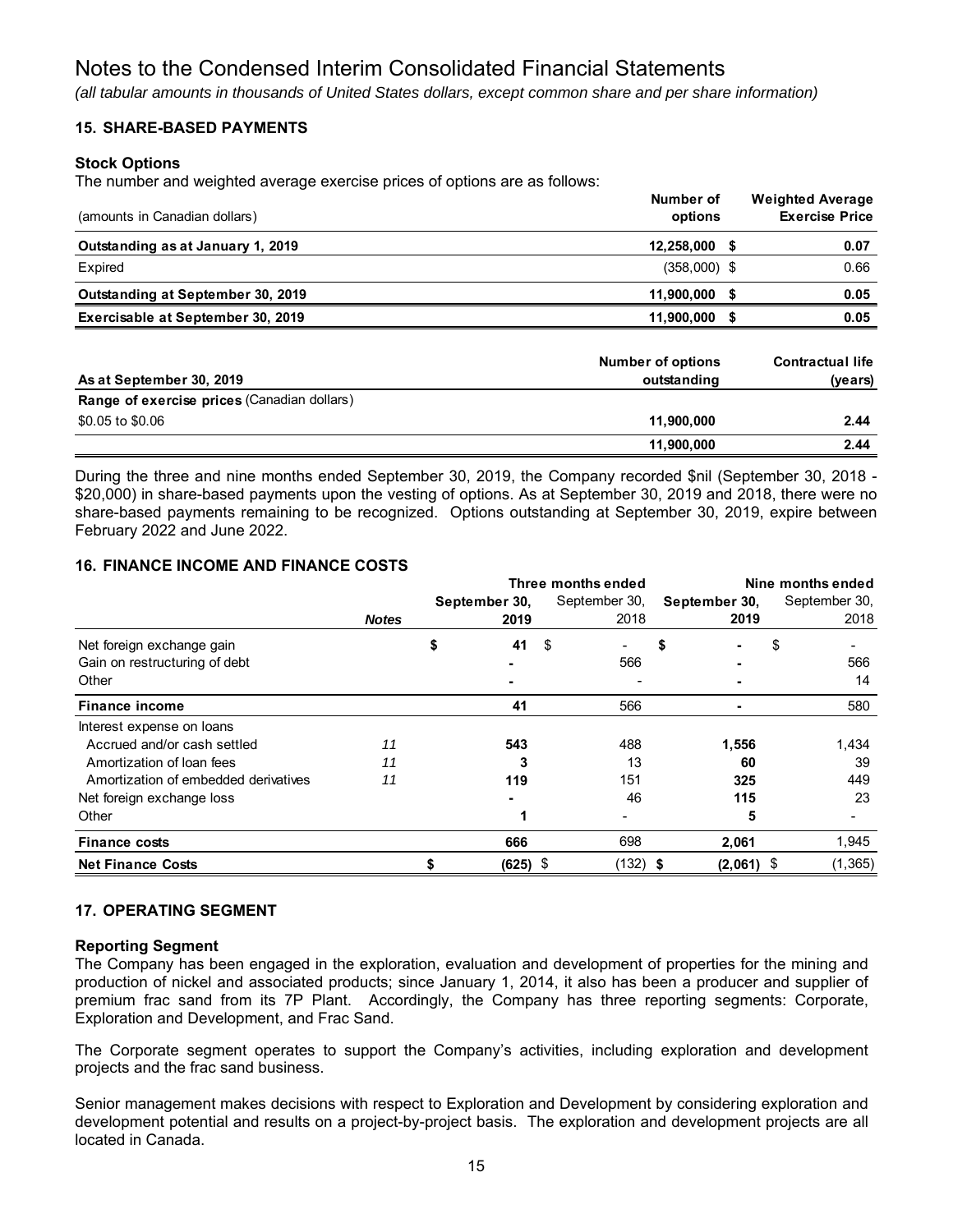*(all tabular amounts in thousands of United States dollars, except common share and per share information)*

## **15. SHARE-BASED PAYMENTS**

#### **Stock Options**

The number and weighted average exercise prices of options are as follows:

| (amounts in Canadian dollars)     | Number of<br>options | <b>Weighted Average</b><br><b>Exercise Price</b> |
|-----------------------------------|----------------------|--------------------------------------------------|
| Outstanding as at January 1, 2019 | 12,258,000           | 0.07                                             |
| Expired                           | $(358,000)$ \$       | 0.66                                             |
| Outstanding at September 30, 2019 | 11.900.000           | 0.05                                             |
| Exercisable at September 30, 2019 | 11.900.000           | 0.05                                             |
|                                   |                      |                                                  |

| As at September 30, 2019                    | <b>Number of options</b><br>outstanding | <b>Contractual life</b><br>(years) |
|---------------------------------------------|-----------------------------------------|------------------------------------|
| Range of exercise prices (Canadian dollars) |                                         |                                    |
| \$0.05 to \$0.06                            | 11,900,000                              | 2.44                               |
|                                             | 11,900,000                              | 2.44                               |

During the three and nine months ended September 30, 2019, the Company recorded \$nil (September 30, 2018 - \$20,000) in share-based payments upon the vesting of options. As at September 30, 2019 and 2018, there were no share-based payments remaining to be recognized. Options outstanding at September 30, 2019, expire between February 2022 and June 2022.

## **16. FINANCE INCOME AND FINANCE COSTS**

|                                      |              |               | Three months ended | Nine months ended |               |  |
|--------------------------------------|--------------|---------------|--------------------|-------------------|---------------|--|
|                                      |              | September 30, | September 30,      | September 30,     | September 30, |  |
|                                      | <b>Notes</b> | 2019          | 2018               | 2019              | 2018          |  |
| Net foreign exchange gain            |              | 41<br>\$      | - \$               | S                 | S             |  |
| Gain on restructuring of debt        |              |               | 566                |                   | 566           |  |
| Other                                |              |               |                    |                   | 14            |  |
| <b>Finance income</b>                |              | 41            | 566                |                   | 580           |  |
| Interest expense on loans            |              |               |                    |                   |               |  |
| Accrued and/or cash settled          | 11           | 543           | 488                | 1,556             | 1,434         |  |
| Amortization of loan fees            | 11           |               | 13                 | 60                | 39            |  |
| Amortization of embedded derivatives | 11           | 119           | 151                | 325               | 449           |  |
| Net foreign exchange loss            |              |               | 46                 | 115               | 23            |  |
| Other                                |              |               |                    | 5                 |               |  |
| <b>Finance costs</b>                 |              | 666           | 698                | 2,061             | 1,945         |  |
| <b>Net Finance Costs</b>             |              | $(625)$ \$    | $(132)$ \$         | $(2,061)$ \$      | (1, 365)      |  |

## **17. OPERATING SEGMENT**

#### **Reporting Segment**

The Company has been engaged in the exploration, evaluation and development of properties for the mining and production of nickel and associated products; since January 1, 2014, it also has been a producer and supplier of premium frac sand from its 7P Plant. Accordingly, the Company has three reporting segments: Corporate, Exploration and Development, and Frac Sand.

The Corporate segment operates to support the Company's activities, including exploration and development projects and the frac sand business.

Senior management makes decisions with respect to Exploration and Development by considering exploration and development potential and results on a project-by-project basis. The exploration and development projects are all located in Canada.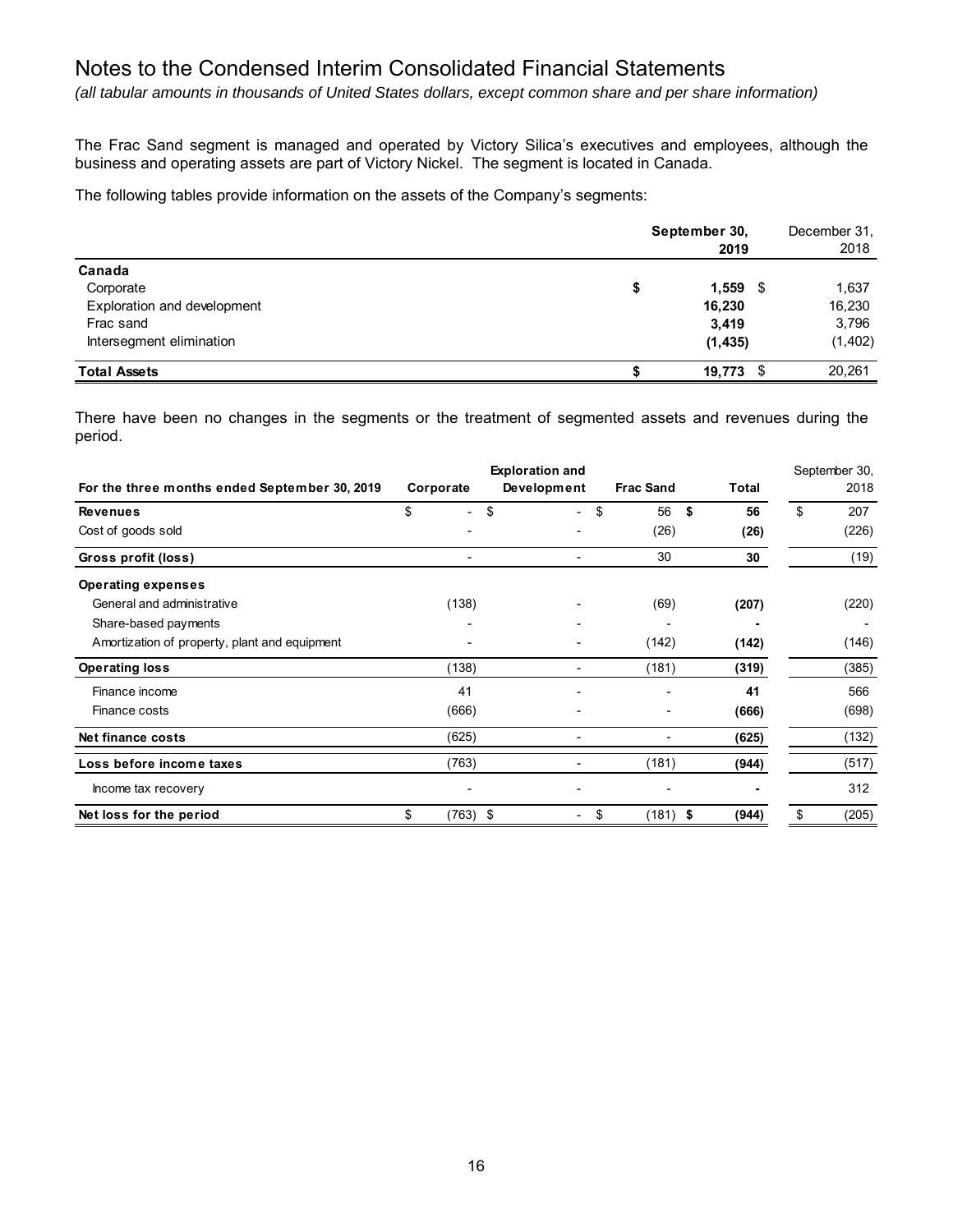*(all tabular amounts in thousands of United States dollars, except common share and per share information)*

The Frac Sand segment is managed and operated by Victory Silica's executives and employees, although the business and operating assets are part of Victory Nickel. The segment is located in Canada.

The following tables provide information on the assets of the Company's segments:

|                             | September 30,<br>2019 |          |  |  |  |
|-----------------------------|-----------------------|----------|--|--|--|
| Canada                      |                       |          |  |  |  |
| Corporate                   | \$<br>$1,559$ \$      | 1,637    |  |  |  |
| Exploration and development | 16,230                | 16,230   |  |  |  |
| Frac sand                   | 3,419                 | 3,796    |  |  |  |
| Intersegment elimination    | (1, 435)              | (1, 402) |  |  |  |
| <b>Total Assets</b>         | $19,773$ \$           | 20,261   |  |  |  |

There have been no changes in the segments or the treatment of segmented assets and revenues during the period.

|                                               |                                | <b>Exploration and</b> |                  |          | September 30, |
|-----------------------------------------------|--------------------------------|------------------------|------------------|----------|---------------|
| For the three months ended September 30, 2019 | Corporate                      | Development            | <b>Frac Sand</b> | Total    | 2018          |
| <b>Revenues</b>                               | \$<br>$\overline{\phantom{0}}$ | \$                     | \$<br>56         | \$<br>56 | \$<br>207     |
| Cost of goods sold                            |                                |                        | (26)             | (26)     | (226)         |
| Gross profit (loss)                           |                                |                        | 30               | 30       | (19)          |
| <b>Operating expenses</b>                     |                                |                        |                  |          |               |
| General and administrative                    | (138)                          |                        | (69)             | (207)    | (220)         |
| Share-based payments                          |                                |                        |                  |          |               |
| Amortization of property, plant and equipment |                                |                        | (142)            | (142)    | (146)         |
| <b>Operating loss</b>                         | (138)                          |                        | (181)            | (319)    | (385)         |
| Finance income                                | 41                             |                        |                  | 41       | 566           |
| Finance costs                                 | (666)                          |                        |                  | (666)    | (698)         |
| Net finance costs                             | (625)                          |                        |                  | (625)    | (132)         |
| Loss before income taxes                      | (763)                          |                        | (181)            | (944)    | (517)         |
| Income tax recovery                           |                                |                        |                  |          | 312           |
| Net loss for the period                       | \$<br>$(763)$ \$               |                        | \$<br>$(181)$ \$ | (944)    | \$<br>(205)   |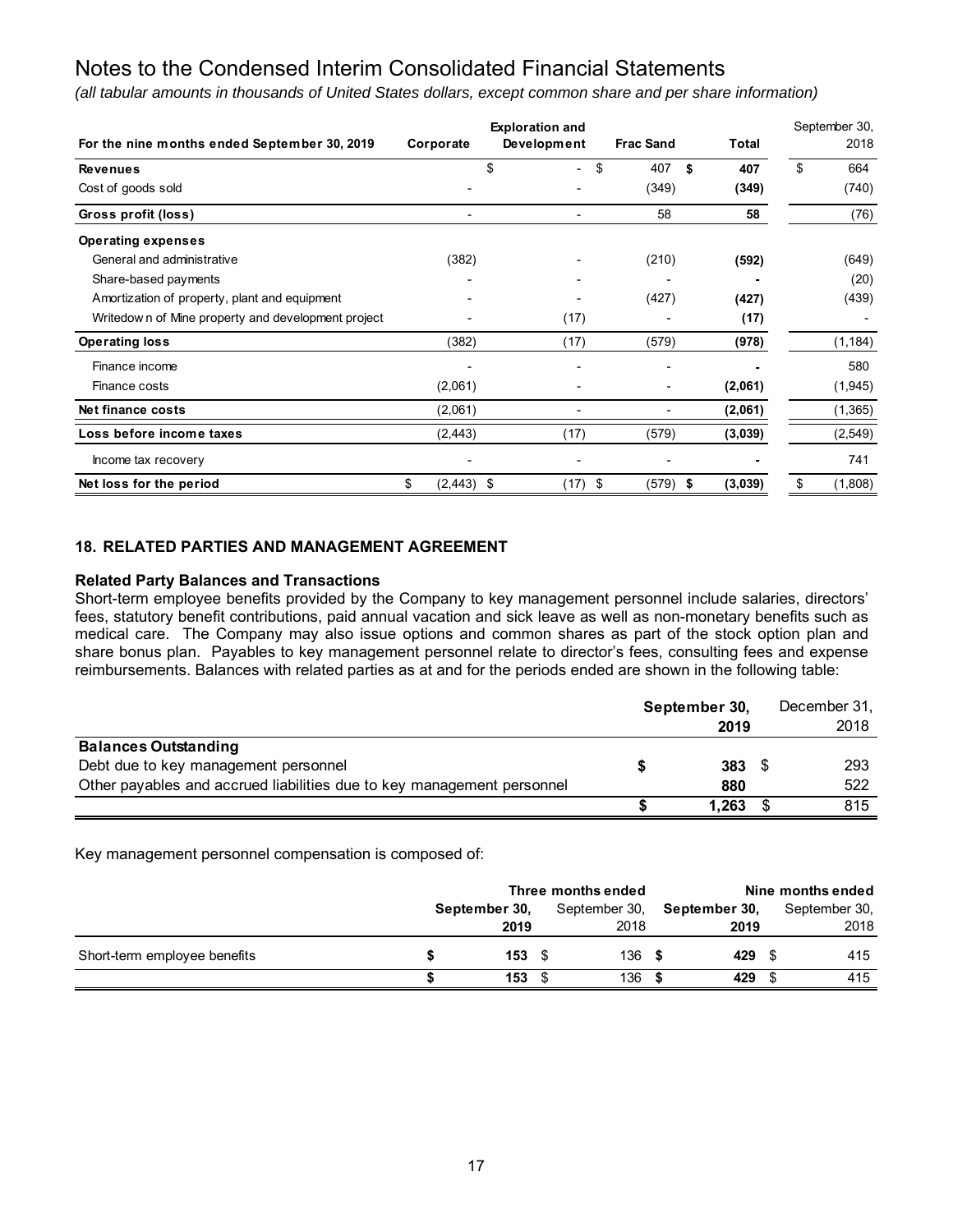*(all tabular amounts in thousands of United States dollars, except common share and per share information)*

|                                                    |                    | <b>Exploration and</b> |                  |           | September 30, |
|----------------------------------------------------|--------------------|------------------------|------------------|-----------|---------------|
| For the nine months ended September 30, 2019       | Corporate          | Development            | <b>Frac Sand</b> | Total     | 2018          |
| <b>Revenues</b>                                    |                    | \$                     | \$<br>407        | \$<br>407 | \$<br>664     |
| Cost of goods sold                                 |                    |                        | (349)            | (349)     | (740)         |
| Gross profit (loss)                                |                    | -                      | 58               | 58        | (76)          |
| <b>Operating expenses</b>                          |                    |                        |                  |           |               |
| General and administrative                         | (382)              |                        | (210)            | (592)     | (649)         |
| Share-based payments                               |                    |                        |                  |           | (20)          |
| Amortization of property, plant and equipment      |                    |                        | (427)            | (427)     | (439)         |
| Writedown of Mine property and development project |                    | (17)                   |                  | (17)      |               |
| <b>Operating loss</b>                              | (382)              | (17)                   | (579)            | (978)     | (1, 184)      |
| Finance income                                     |                    |                        |                  |           | 580           |
| Finance costs                                      | (2,061)            |                        |                  | (2,061)   | (1, 945)      |
| Net finance costs                                  | (2,061)            |                        |                  | (2,061)   | (1,365)       |
| Loss before income taxes                           | (2, 443)           | (17)                   | (579)            | (3,039)   | (2, 549)      |
| Income tax recovery                                |                    |                        |                  |           | 741           |
| Net loss for the period                            | \$<br>$(2,443)$ \$ | (17)                   | \$<br>$(579)$ \$ | (3,039)   | \$<br>(1,808) |

### **18. RELATED PARTIES AND MANAGEMENT AGREEMENT**

#### **Related Party Balances and Transactions**

Short-term employee benefits provided by the Company to key management personnel include salaries, directors' fees, statutory benefit contributions, paid annual vacation and sick leave as well as non-monetary benefits such as medical care. The Company may also issue options and common shares as part of the stock option plan and share bonus plan. Payables to key management personnel relate to director's fees, consulting fees and expense reimbursements. Balances with related parties as at and for the periods ended are shown in the following table:

|                                                                        | September 30, |       | December 31, |
|------------------------------------------------------------------------|---------------|-------|--------------|
|                                                                        |               | 2019  | 2018         |
| <b>Balances Outstanding</b>                                            |               |       |              |
| Debt due to key management personnel                                   |               | 383   | 293          |
| Other payables and accrued liabilities due to key management personnel |               | 880   | 522          |
|                                                                        |               | 1,263 | 815          |

Key management personnel compensation is composed of:

|                              | Three months ended |                   |  |               |  | Nine months ended |  |               |  |
|------------------------------|--------------------|-------------------|--|---------------|--|-------------------|--|---------------|--|
|                              | September 30.      |                   |  | September 30, |  | September 30,     |  | September 30, |  |
|                              |                    | 2019              |  | 2018          |  | 2019              |  | 2018          |  |
| Short-term employee benefits |                    | $153 \text{ }$ \$ |  | 136           |  | 429               |  | 415           |  |
|                              |                    | $153 \tIm$        |  | 136           |  | 429               |  | 415           |  |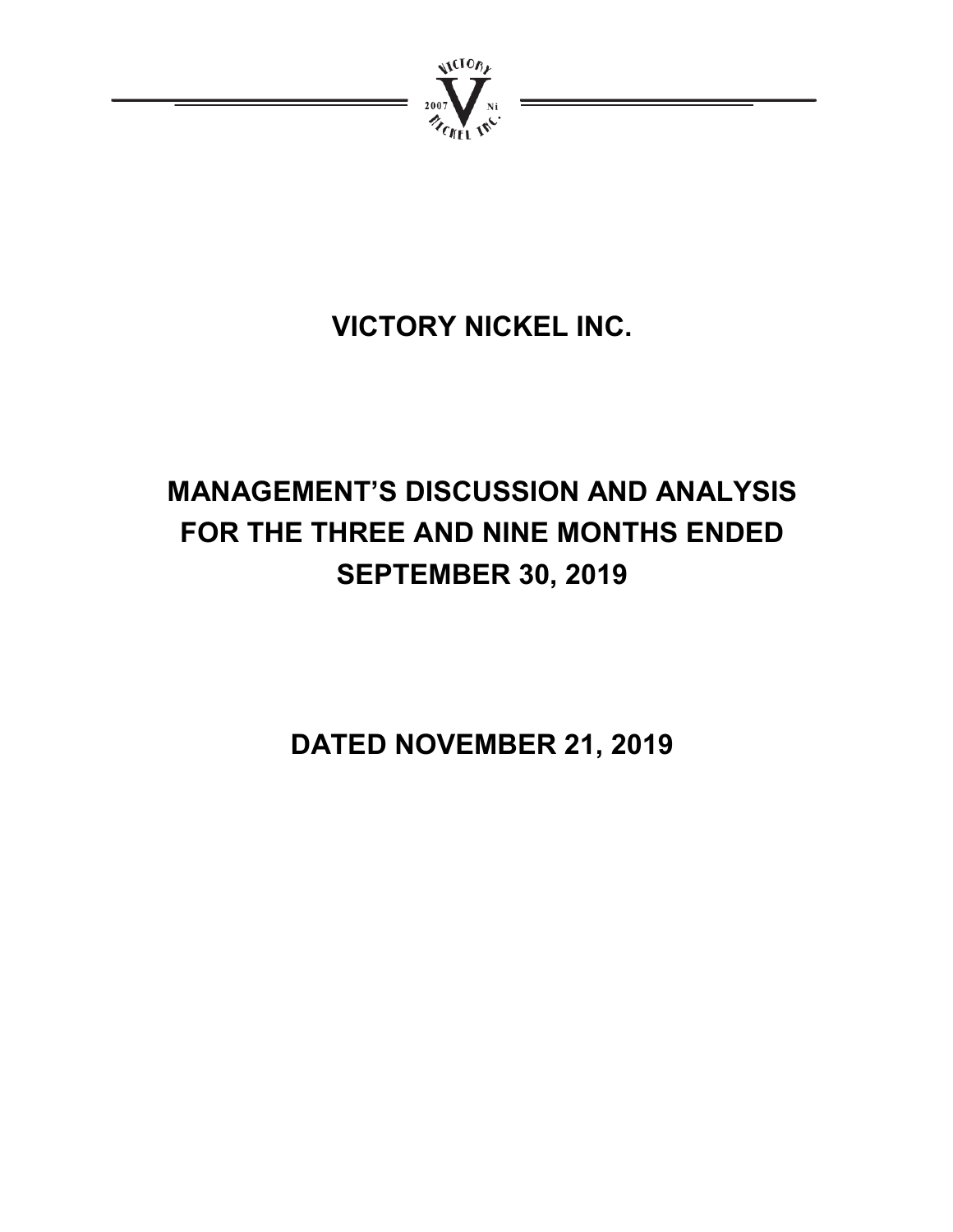

# **VICTORY NICKEL INC.**

# **MANAGEMENT'S DISCUSSION AND ANALYSIS FOR THE THREE AND NINE MONTHS ENDED SEPTEMBER 30, 2019**

**DATED NOVEMBER 21, 2019**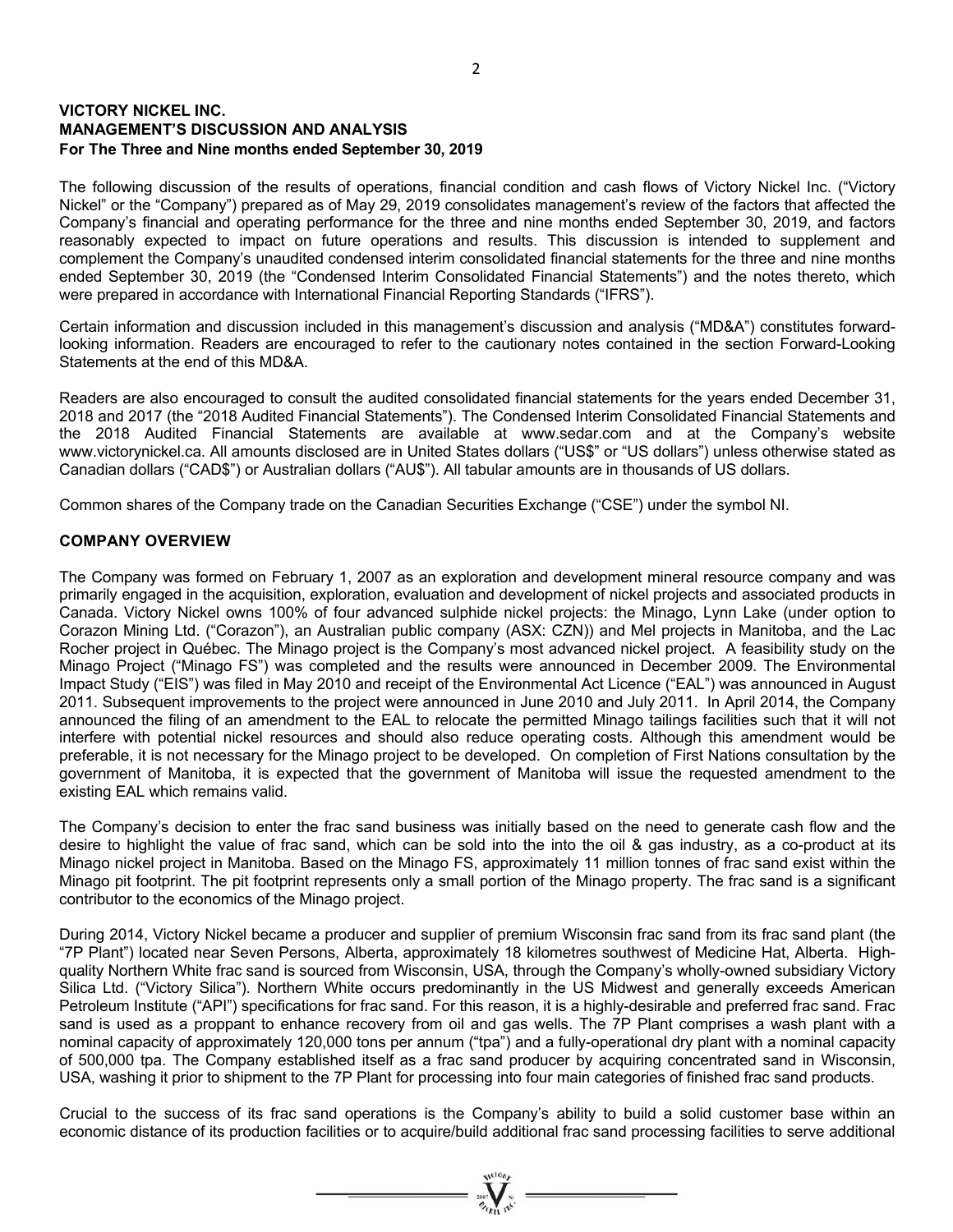## **VICTORY NICKEL INC. MANAGEMENT'S DISCUSSION AND ANALYSIS For The Three and Nine months ended September 30, 2019**

The following discussion of the results of operations, financial condition and cash flows of Victory Nickel Inc. ("Victory Nickel" or the "Company") prepared as of May 29, 2019 consolidates management's review of the factors that affected the Company's financial and operating performance for the three and nine months ended September 30, 2019, and factors reasonably expected to impact on future operations and results. This discussion is intended to supplement and complement the Company's unaudited condensed interim consolidated financial statements for the three and nine months ended September 30, 2019 (the "Condensed Interim Consolidated Financial Statements") and the notes thereto, which were prepared in accordance with International Financial Reporting Standards ("IFRS").

Certain information and discussion included in this management's discussion and analysis ("MD&A") constitutes forwardlooking information. Readers are encouraged to refer to the cautionary notes contained in the section Forward-Looking Statements at the end of this MD&A.

Readers are also encouraged to consult the audited consolidated financial statements for the years ended December 31, 2018 and 2017 (the "2018 Audited Financial Statements"). The Condensed Interim Consolidated Financial Statements and the 2018 Audited Financial Statements are available at www.sedar.com and at the Company's website www.victorynickel.ca. All amounts disclosed are in United States dollars ("US\$" or "US dollars") unless otherwise stated as Canadian dollars ("CAD\$") or Australian dollars ("AU\$"). All tabular amounts are in thousands of US dollars.

Common shares of the Company trade on the Canadian Securities Exchange ("CSE") under the symbol NI.

### **COMPANY OVERVIEW**

The Company was formed on February 1, 2007 as an exploration and development mineral resource company and was primarily engaged in the acquisition, exploration, evaluation and development of nickel projects and associated products in Canada. Victory Nickel owns 100% of four advanced sulphide nickel projects: the Minago, Lynn Lake (under option to Corazon Mining Ltd. ("Corazon"), an Australian public company (ASX: CZN)) and Mel projects in Manitoba, and the Lac Rocher project in Québec. The Minago project is the Company's most advanced nickel project. A feasibility study on the Minago Project ("Minago FS") was completed and the results were announced in December 2009. The Environmental Impact Study ("EIS") was filed in May 2010 and receipt of the Environmental Act Licence ("EAL") was announced in August 2011. Subsequent improvements to the project were announced in June 2010 and July 2011. In April 2014, the Company announced the filing of an amendment to the EAL to relocate the permitted Minago tailings facilities such that it will not interfere with potential nickel resources and should also reduce operating costs. Although this amendment would be preferable, it is not necessary for the Minago project to be developed. On completion of First Nations consultation by the government of Manitoba, it is expected that the government of Manitoba will issue the requested amendment to the existing EAL which remains valid.

The Company's decision to enter the frac sand business was initially based on the need to generate cash flow and the desire to highlight the value of frac sand, which can be sold into the into the oil & gas industry, as a co-product at its Minago nickel project in Manitoba. Based on the Minago FS, approximately 11 million tonnes of frac sand exist within the Minago pit footprint. The pit footprint represents only a small portion of the Minago property. The frac sand is a significant contributor to the economics of the Minago project.

During 2014, Victory Nickel became a producer and supplier of premium Wisconsin frac sand from its frac sand plant (the "7P Plant") located near Seven Persons, Alberta, approximately 18 kilometres southwest of Medicine Hat, Alberta. Highquality Northern White frac sand is sourced from Wisconsin, USA, through the Company's wholly-owned subsidiary Victory Silica Ltd. ("Victory Silica"). Northern White occurs predominantly in the US Midwest and generally exceeds American Petroleum Institute ("API") specifications for frac sand. For this reason, it is a highly-desirable and preferred frac sand. Frac sand is used as a proppant to enhance recovery from oil and gas wells. The 7P Plant comprises a wash plant with a nominal capacity of approximately 120,000 tons per annum ("tpa") and a fully-operational dry plant with a nominal capacity of 500,000 tpa. The Company established itself as a frac sand producer by acquiring concentrated sand in Wisconsin, USA, washing it prior to shipment to the 7P Plant for processing into four main categories of finished frac sand products.

Crucial to the success of its frac sand operations is the Company's ability to build a solid customer base within an economic distance of its production facilities or to acquire/build additional frac sand processing facilities to serve additional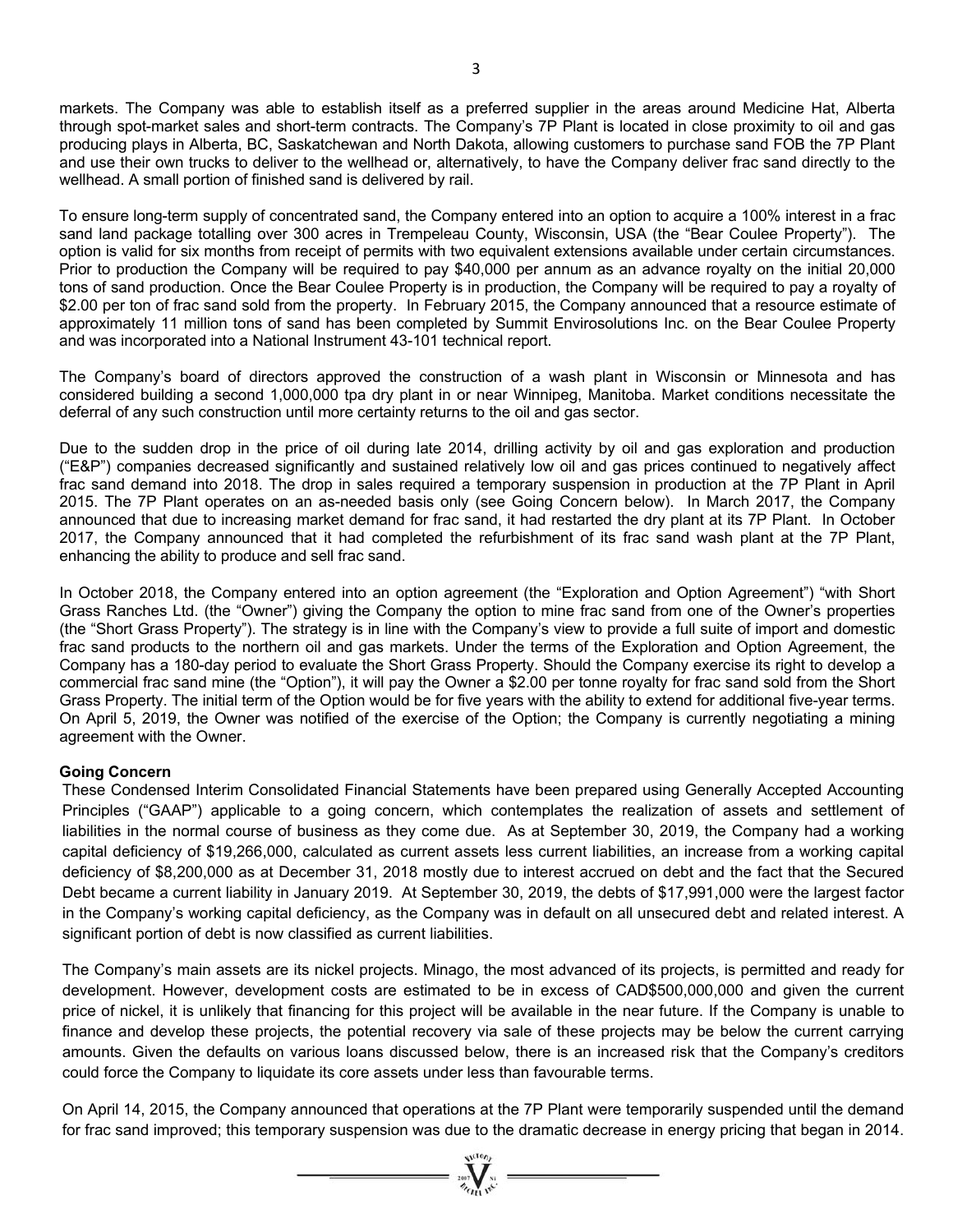markets. The Company was able to establish itself as a preferred supplier in the areas around Medicine Hat, Alberta through spot-market sales and short-term contracts. The Company's 7P Plant is located in close proximity to oil and gas producing plays in Alberta, BC, Saskatchewan and North Dakota, allowing customers to purchase sand FOB the 7P Plant and use their own trucks to deliver to the wellhead or, alternatively, to have the Company deliver frac sand directly to the wellhead. A small portion of finished sand is delivered by rail.

To ensure long-term supply of concentrated sand, the Company entered into an option to acquire a 100% interest in a frac sand land package totalling over 300 acres in Trempeleau County, Wisconsin, USA (the "Bear Coulee Property"). The option is valid for six months from receipt of permits with two equivalent extensions available under certain circumstances. Prior to production the Company will be required to pay \$40,000 per annum as an advance royalty on the initial 20,000 tons of sand production. Once the Bear Coulee Property is in production, the Company will be required to pay a royalty of \$2.00 per ton of frac sand sold from the property. In February 2015, the Company announced that a resource estimate of approximately 11 million tons of sand has been completed by Summit Envirosolutions Inc. on the Bear Coulee Property and was incorporated into a National Instrument 43-101 technical report.

The Company's board of directors approved the construction of a wash plant in Wisconsin or Minnesota and has considered building a second 1,000,000 tpa dry plant in or near Winnipeg, Manitoba. Market conditions necessitate the deferral of any such construction until more certainty returns to the oil and gas sector.

Due to the sudden drop in the price of oil during late 2014, drilling activity by oil and gas exploration and production ("E&P") companies decreased significantly and sustained relatively low oil and gas prices continued to negatively affect frac sand demand into 2018. The drop in sales required a temporary suspension in production at the 7P Plant in April 2015. The 7P Plant operates on an as-needed basis only (see Going Concern below). In March 2017, the Company announced that due to increasing market demand for frac sand, it had restarted the dry plant at its 7P Plant. In October 2017, the Company announced that it had completed the refurbishment of its frac sand wash plant at the 7P Plant, enhancing the ability to produce and sell frac sand.

In October 2018, the Company entered into an option agreement (the "Exploration and Option Agreement") "with Short Grass Ranches Ltd. (the "Owner") giving the Company the option to mine frac sand from one of the Owner's properties (the "Short Grass Property"). The strategy is in line with the Company's view to provide a full suite of import and domestic frac sand products to the northern oil and gas markets. Under the terms of the Exploration and Option Agreement, the Company has a 180-day period to evaluate the Short Grass Property. Should the Company exercise its right to develop a commercial frac sand mine (the "Option"), it will pay the Owner a \$2.00 per tonne royalty for frac sand sold from the Short Grass Property. The initial term of the Option would be for five years with the ability to extend for additional five-year terms. On April 5, 2019, the Owner was notified of the exercise of the Option; the Company is currently negotiating a mining agreement with the Owner.

## **Going Concern**

These Condensed Interim Consolidated Financial Statements have been prepared using Generally Accepted Accounting Principles ("GAAP") applicable to a going concern, which contemplates the realization of assets and settlement of liabilities in the normal course of business as they come due. As at September 30, 2019, the Company had a working capital deficiency of \$19,266,000, calculated as current assets less current liabilities, an increase from a working capital deficiency of \$8,200,000 as at December 31, 2018 mostly due to interest accrued on debt and the fact that the Secured Debt became a current liability in January 2019. At September 30, 2019, the debts of \$17,991,000 were the largest factor in the Company's working capital deficiency, as the Company was in default on all unsecured debt and related interest. A significant portion of debt is now classified as current liabilities.

The Company's main assets are its nickel projects. Minago, the most advanced of its projects, is permitted and ready for development. However, development costs are estimated to be in excess of CAD\$500,000,000 and given the current price of nickel, it is unlikely that financing for this project will be available in the near future. If the Company is unable to finance and develop these projects, the potential recovery via sale of these projects may be below the current carrying amounts. Given the defaults on various loans discussed below, there is an increased risk that the Company's creditors could force the Company to liquidate its core assets under less than favourable terms.

On April 14, 2015, the Company announced that operations at the 7P Plant were temporarily suspended until the demand for frac sand improved; this temporary suspension was due to the dramatic decrease in energy pricing that began in 2014.

 $=\sum_{n=1}^{\infty}$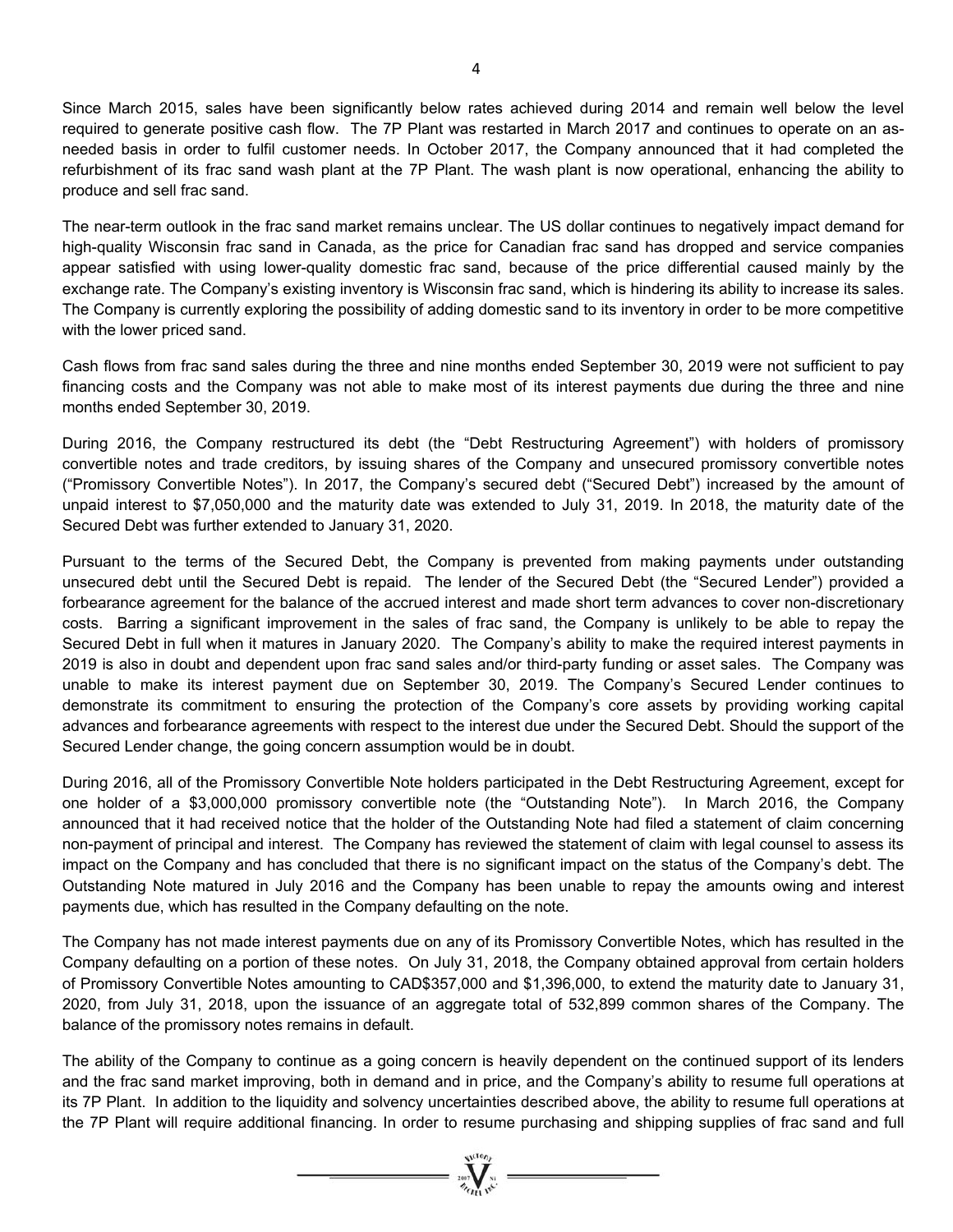Since March 2015, sales have been significantly below rates achieved during 2014 and remain well below the level required to generate positive cash flow. The 7P Plant was restarted in March 2017 and continues to operate on an asneeded basis in order to fulfil customer needs. In October 2017, the Company announced that it had completed the refurbishment of its frac sand wash plant at the 7P Plant. The wash plant is now operational, enhancing the ability to produce and sell frac sand.

The near-term outlook in the frac sand market remains unclear. The US dollar continues to negatively impact demand for high-quality Wisconsin frac sand in Canada, as the price for Canadian frac sand has dropped and service companies appear satisfied with using lower-quality domestic frac sand, because of the price differential caused mainly by the exchange rate. The Company's existing inventory is Wisconsin frac sand, which is hindering its ability to increase its sales. The Company is currently exploring the possibility of adding domestic sand to its inventory in order to be more competitive with the lower priced sand.

Cash flows from frac sand sales during the three and nine months ended September 30, 2019 were not sufficient to pay financing costs and the Company was not able to make most of its interest payments due during the three and nine months ended September 30, 2019.

During 2016, the Company restructured its debt (the "Debt Restructuring Agreement") with holders of promissory convertible notes and trade creditors, by issuing shares of the Company and unsecured promissory convertible notes ("Promissory Convertible Notes"). In 2017, the Company's secured debt ("Secured Debt") increased by the amount of unpaid interest to \$7,050,000 and the maturity date was extended to July 31, 2019. In 2018, the maturity date of the Secured Debt was further extended to January 31, 2020.

Pursuant to the terms of the Secured Debt, the Company is prevented from making payments under outstanding unsecured debt until the Secured Debt is repaid. The lender of the Secured Debt (the "Secured Lender") provided a forbearance agreement for the balance of the accrued interest and made short term advances to cover non-discretionary costs. Barring a significant improvement in the sales of frac sand, the Company is unlikely to be able to repay the Secured Debt in full when it matures in January 2020. The Company's ability to make the required interest payments in 2019 is also in doubt and dependent upon frac sand sales and/or third-party funding or asset sales. The Company was unable to make its interest payment due on September 30, 2019. The Company's Secured Lender continues to demonstrate its commitment to ensuring the protection of the Company's core assets by providing working capital advances and forbearance agreements with respect to the interest due under the Secured Debt. Should the support of the Secured Lender change, the going concern assumption would be in doubt.

During 2016, all of the Promissory Convertible Note holders participated in the Debt Restructuring Agreement, except for one holder of a \$3,000,000 promissory convertible note (the "Outstanding Note"). In March 2016, the Company announced that it had received notice that the holder of the Outstanding Note had filed a statement of claim concerning non-payment of principal and interest. The Company has reviewed the statement of claim with legal counsel to assess its impact on the Company and has concluded that there is no significant impact on the status of the Company's debt. The Outstanding Note matured in July 2016 and the Company has been unable to repay the amounts owing and interest payments due, which has resulted in the Company defaulting on the note.

The Company has not made interest payments due on any of its Promissory Convertible Notes, which has resulted in the Company defaulting on a portion of these notes. On July 31, 2018, the Company obtained approval from certain holders of Promissory Convertible Notes amounting to CAD\$357,000 and \$1,396,000, to extend the maturity date to January 31, 2020, from July 31, 2018, upon the issuance of an aggregate total of 532,899 common shares of the Company. The balance of the promissory notes remains in default.

The ability of the Company to continue as a going concern is heavily dependent on the continued support of its lenders and the frac sand market improving, both in demand and in price, and the Company's ability to resume full operations at its 7P Plant. In addition to the liquidity and solvency uncertainties described above, the ability to resume full operations at the 7P Plant will require additional financing. In order to resume purchasing and shipping supplies of frac sand and full

 $=\prod_{\alpha}^{N(\alpha)}$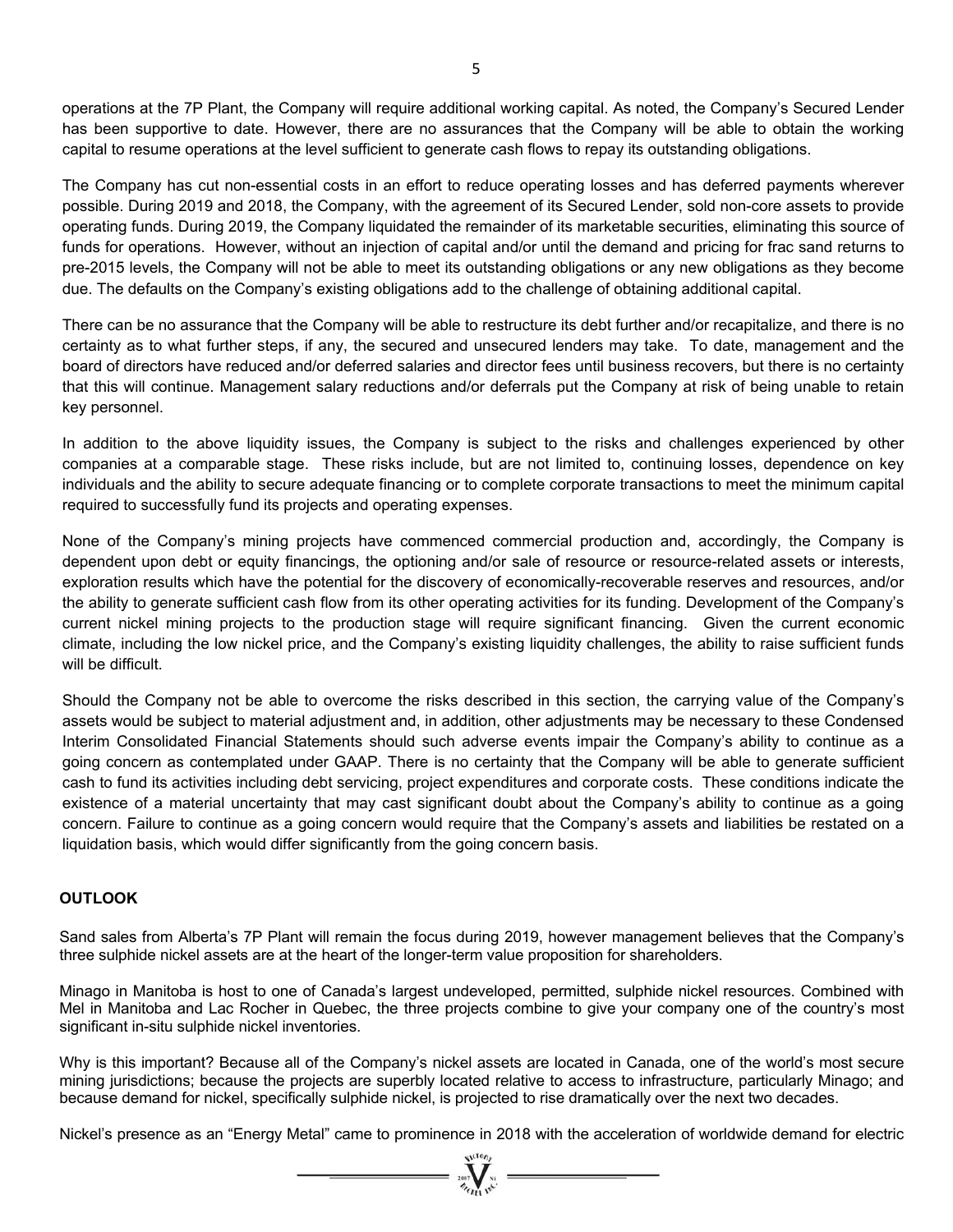operations at the 7P Plant, the Company will require additional working capital. As noted, the Company's Secured Lender has been supportive to date. However, there are no assurances that the Company will be able to obtain the working capital to resume operations at the level sufficient to generate cash flows to repay its outstanding obligations.

The Company has cut non-essential costs in an effort to reduce operating losses and has deferred payments wherever possible. During 2019 and 2018, the Company, with the agreement of its Secured Lender, sold non-core assets to provide operating funds. During 2019, the Company liquidated the remainder of its marketable securities, eliminating this source of funds for operations. However, without an injection of capital and/or until the demand and pricing for frac sand returns to pre-2015 levels, the Company will not be able to meet its outstanding obligations or any new obligations as they become due. The defaults on the Company's existing obligations add to the challenge of obtaining additional capital.

There can be no assurance that the Company will be able to restructure its debt further and/or recapitalize, and there is no certainty as to what further steps, if any, the secured and unsecured lenders may take. To date, management and the board of directors have reduced and/or deferred salaries and director fees until business recovers, but there is no certainty that this will continue. Management salary reductions and/or deferrals put the Company at risk of being unable to retain key personnel.

In addition to the above liquidity issues, the Company is subject to the risks and challenges experienced by other companies at a comparable stage. These risks include, but are not limited to, continuing losses, dependence on key individuals and the ability to secure adequate financing or to complete corporate transactions to meet the minimum capital required to successfully fund its projects and operating expenses.

None of the Company's mining projects have commenced commercial production and, accordingly, the Company is dependent upon debt or equity financings, the optioning and/or sale of resource or resource-related assets or interests, exploration results which have the potential for the discovery of economically-recoverable reserves and resources, and/or the ability to generate sufficient cash flow from its other operating activities for its funding. Development of the Company's current nickel mining projects to the production stage will require significant financing. Given the current economic climate, including the low nickel price, and the Company's existing liquidity challenges, the ability to raise sufficient funds will be difficult.

Should the Company not be able to overcome the risks described in this section, the carrying value of the Company's assets would be subject to material adjustment and, in addition, other adjustments may be necessary to these Condensed Interim Consolidated Financial Statements should such adverse events impair the Company's ability to continue as a going concern as contemplated under GAAP. There is no certainty that the Company will be able to generate sufficient cash to fund its activities including debt servicing, project expenditures and corporate costs. These conditions indicate the existence of a material uncertainty that may cast significant doubt about the Company's ability to continue as a going concern. Failure to continue as a going concern would require that the Company's assets and liabilities be restated on a liquidation basis, which would differ significantly from the going concern basis.

## **OUTLOOK**

Sand sales from Alberta's 7P Plant will remain the focus during 2019, however management believes that the Company's three sulphide nickel assets are at the heart of the longer-term value proposition for shareholders.

Minago in Manitoba is host to one of Canada's largest undeveloped, permitted, sulphide nickel resources. Combined with Mel in Manitoba and Lac Rocher in Quebec, the three projects combine to give your company one of the country's most significant in-situ sulphide nickel inventories.

Why is this important? Because all of the Company's nickel assets are located in Canada, one of the world's most secure mining jurisdictions; because the projects are superbly located relative to access to infrastructure, particularly Minago; and because demand for nickel, specifically sulphide nickel, is projected to rise dramatically over the next two decades.

Nickel's presence as an "Energy Metal" came to prominence in 2018 with the acceleration of worldwide demand for electric

 $=\sum_{\nu \in \mathbf{V}_{\text{GLO},\nu}}^{\infty}$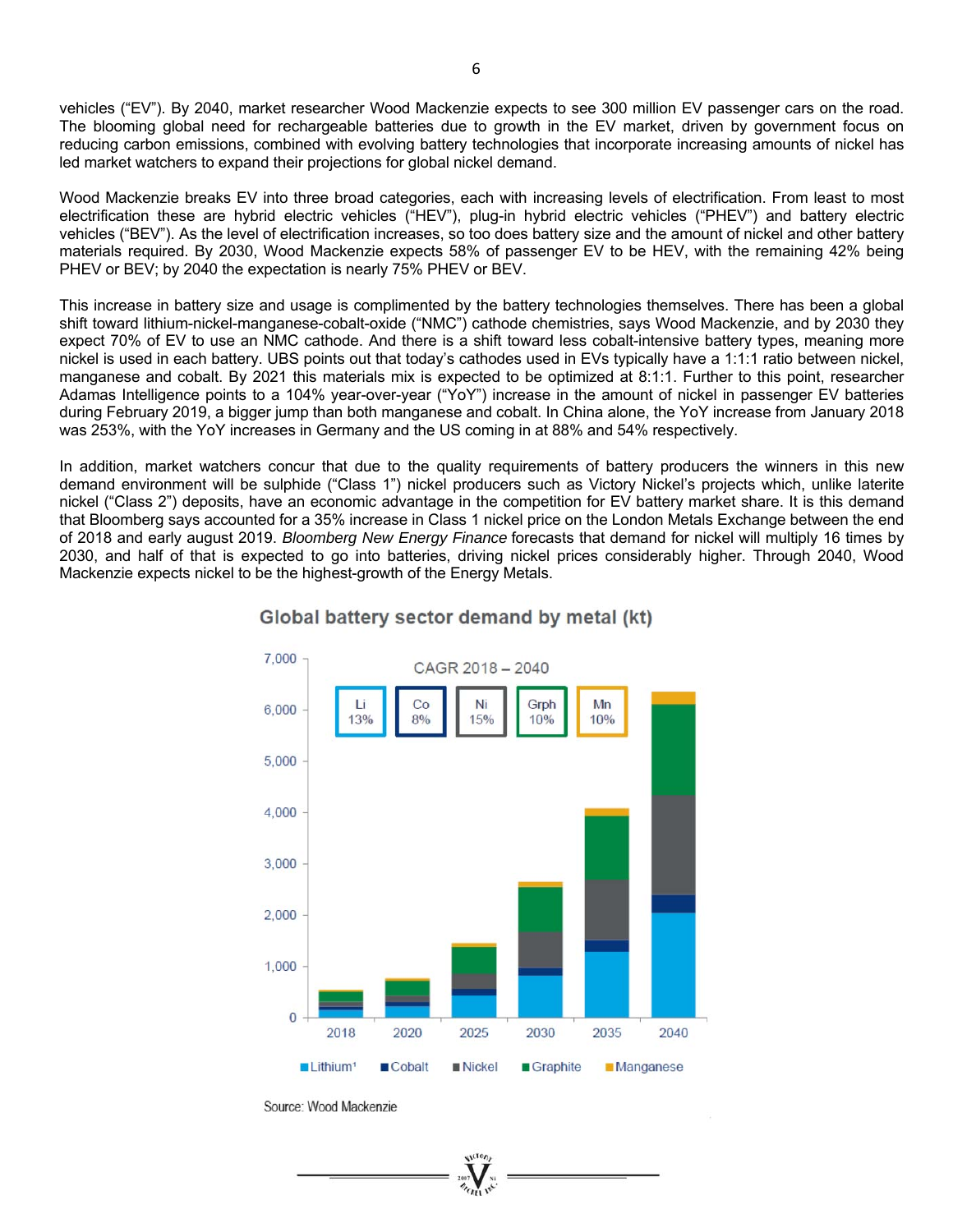vehicles ("EV"). By 2040, market researcher Wood Mackenzie expects to see 300 million EV passenger cars on the road. The blooming global need for rechargeable batteries due to growth in the EV market, driven by government focus on reducing carbon emissions, combined with evolving battery technologies that incorporate increasing amounts of nickel has led market watchers to expand their projections for global nickel demand.

Wood Mackenzie breaks EV into three broad categories, each with increasing levels of electrification. From least to most electrification these are hybrid electric vehicles ("HEV"), plug-in hybrid electric vehicles ("PHEV") and battery electric vehicles ("BEV"). As the level of electrification increases, so too does battery size and the amount of nickel and other battery materials required. By 2030, Wood Mackenzie expects 58% of passenger EV to be HEV, with the remaining 42% being PHEV or BEV; by 2040 the expectation is nearly 75% PHEV or BEV.

This increase in battery size and usage is complimented by the battery technologies themselves. There has been a global shift toward lithium-nickel-manganese-cobalt-oxide ("NMC") cathode chemistries, says Wood Mackenzie, and by 2030 they expect 70% of EV to use an NMC cathode. And there is a shift toward less cobalt-intensive battery types, meaning more nickel is used in each battery. UBS points out that today's cathodes used in EVs typically have a 1:1:1 ratio between nickel, manganese and cobalt. By 2021 this materials mix is expected to be optimized at 8:1:1. Further to this point, researcher Adamas Intelligence points to a 104% year-over-year ("YoY") increase in the amount of nickel in passenger EV batteries during February 2019, a bigger jump than both manganese and cobalt. In China alone, the YoY increase from January 2018 was 253%, with the YoY increases in Germany and the US coming in at 88% and 54% respectively.

In addition, market watchers concur that due to the quality requirements of battery producers the winners in this new demand environment will be sulphide ("Class 1") nickel producers such as Victory Nickel's projects which, unlike laterite nickel ("Class 2") deposits, have an economic advantage in the competition for EV battery market share. It is this demand that Bloomberg says accounted for a 35% increase in Class 1 nickel price on the London Metals Exchange between the end of 2018 and early august 2019. *Bloomberg New Energy Finance* forecasts that demand for nickel will multiply 16 times by 2030, and half of that is expected to go into batteries, driving nickel prices considerably higher. Through 2040, Wood Mackenzie expects nickel to be the highest-growth of the Energy Metals.



# Global battery sector demand by metal (kt)

Source: Wood Mackenzie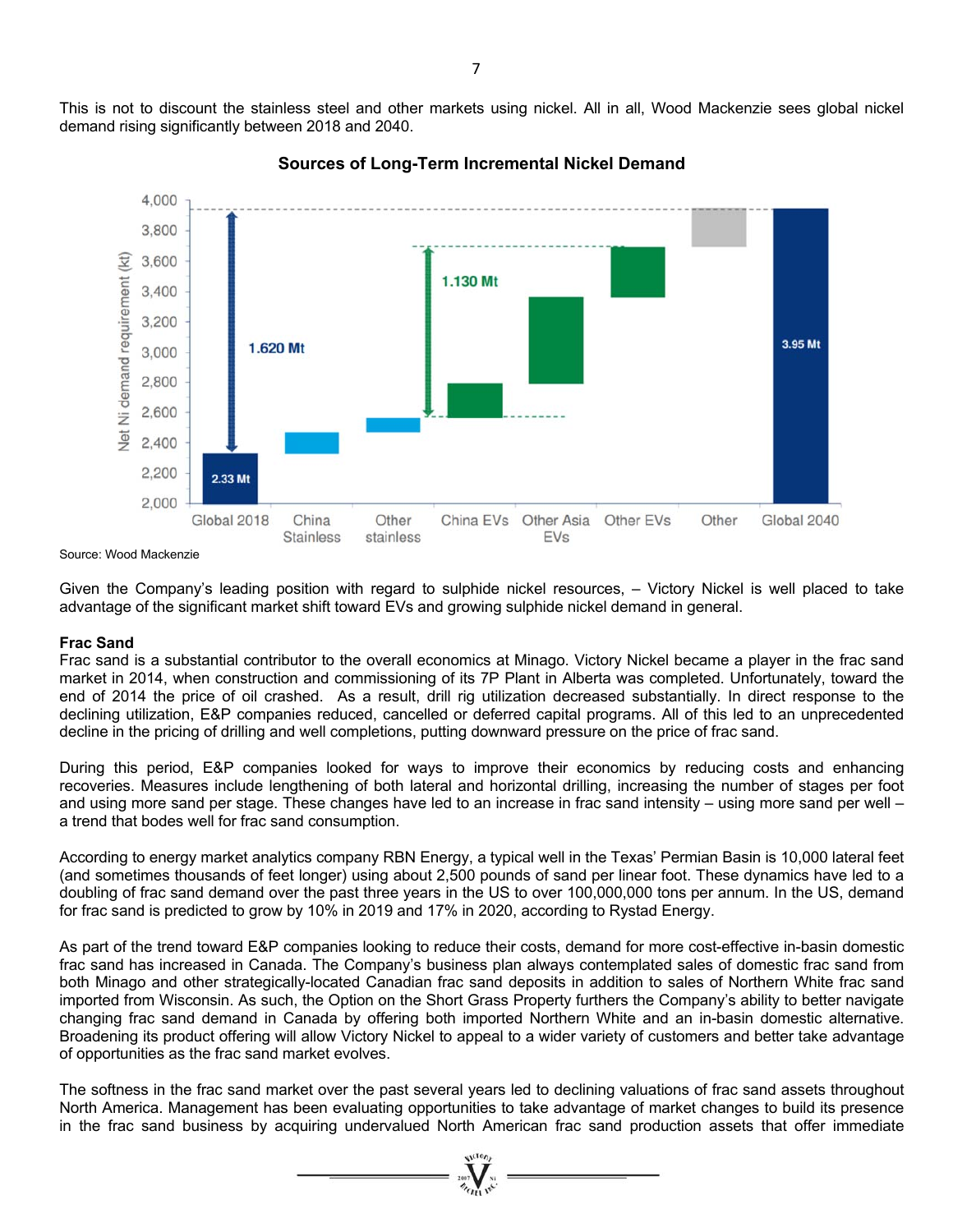This is not to discount the stainless steel and other markets using nickel. All in all, Wood Mackenzie sees global nickel demand rising significantly between 2018 and 2040.



**Sources of Long-Term Incremental Nickel Demand** 

Source: Wood Mackenzie

Given the Company's leading position with regard to sulphide nickel resources, – Victory Nickel is well placed to take advantage of the significant market shift toward EVs and growing sulphide nickel demand in general.

#### **Frac Sand**

Frac sand is a substantial contributor to the overall economics at Minago. Victory Nickel became a player in the frac sand market in 2014, when construction and commissioning of its 7P Plant in Alberta was completed. Unfortunately, toward the end of 2014 the price of oil crashed. As a result, drill rig utilization decreased substantially. In direct response to the declining utilization, E&P companies reduced, cancelled or deferred capital programs. All of this led to an unprecedented decline in the pricing of drilling and well completions, putting downward pressure on the price of frac sand.

During this period, E&P companies looked for ways to improve their economics by reducing costs and enhancing recoveries. Measures include lengthening of both lateral and horizontal drilling, increasing the number of stages per foot and using more sand per stage. These changes have led to an increase in frac sand intensity – using more sand per well – a trend that bodes well for frac sand consumption.

According to energy market analytics company RBN Energy, a typical well in the Texas' Permian Basin is 10,000 lateral feet (and sometimes thousands of feet longer) using about 2,500 pounds of sand per linear foot. These dynamics have led to a doubling of frac sand demand over the past three years in the US to over 100,000,000 tons per annum. In the US, demand for frac sand is predicted to grow by 10% in 2019 and 17% in 2020, according to Rystad Energy.

As part of the trend toward E&P companies looking to reduce their costs, demand for more cost-effective in-basin domestic frac sand has increased in Canada. The Company's business plan always contemplated sales of domestic frac sand from both Minago and other strategically-located Canadian frac sand deposits in addition to sales of Northern White frac sand imported from Wisconsin. As such, the Option on the Short Grass Property furthers the Company's ability to better navigate changing frac sand demand in Canada by offering both imported Northern White and an in-basin domestic alternative. Broadening its product offering will allow Victory Nickel to appeal to a wider variety of customers and better take advantage of opportunities as the frac sand market evolves.

The softness in the frac sand market over the past several years led to declining valuations of frac sand assets throughout North America. Management has been evaluating opportunities to take advantage of market changes to build its presence in the frac sand business by acquiring undervalued North American frac sand production assets that offer immediate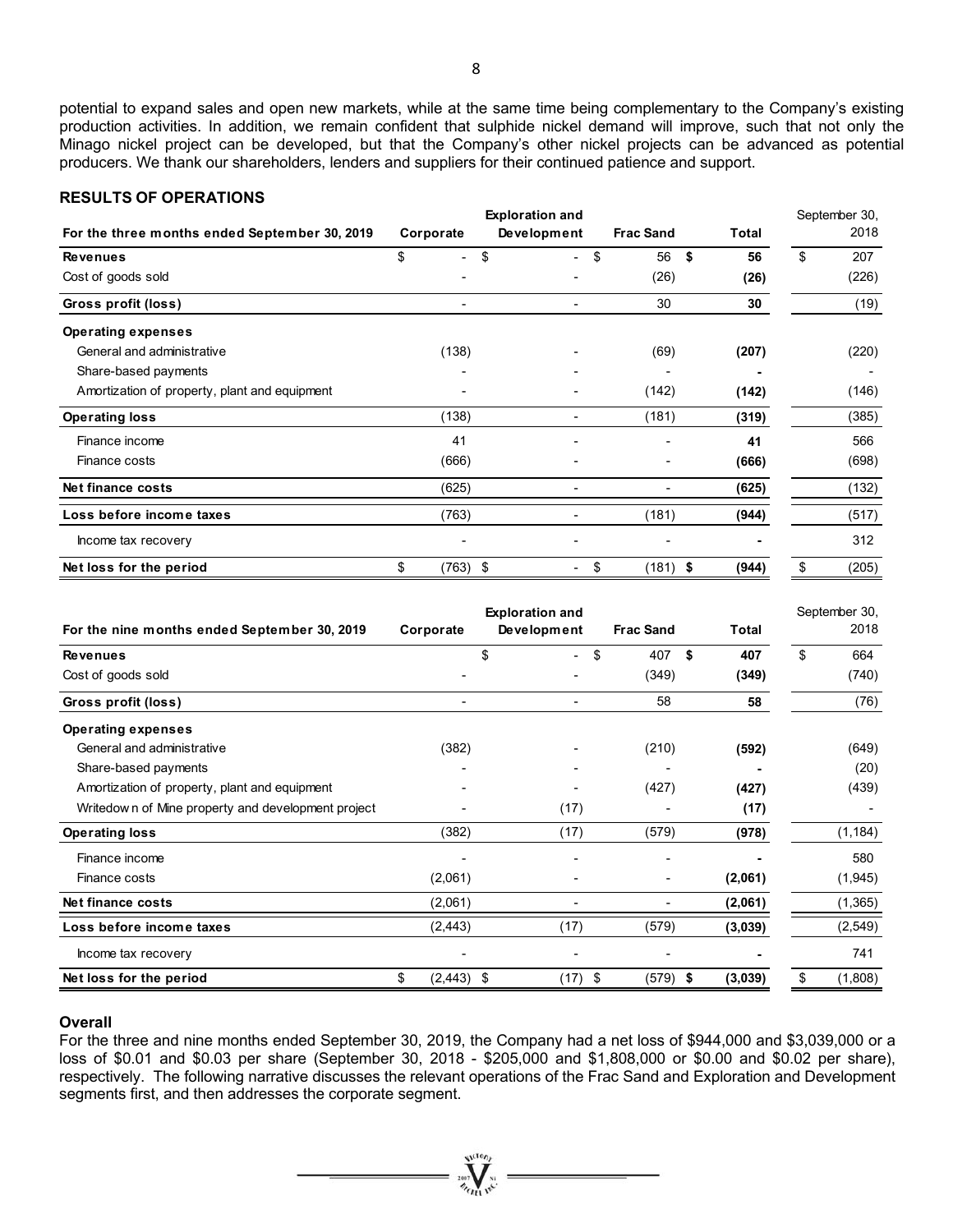8

potential to expand sales and open new markets, while at the same time being complementary to the Company's existing production activities. In addition, we remain confident that sulphide nickel demand will improve, such that not only the Minago nickel project can be developed, but that the Company's other nickel projects can be advanced as potential producers. We thank our shareholders, lenders and suppliers for their continued patience and support.

# **RESULTS OF OPERATIONS**

|                                               | <b>Exploration and</b> |            |    |                          |    |                  |    | September 30, |    |       |  |
|-----------------------------------------------|------------------------|------------|----|--------------------------|----|------------------|----|---------------|----|-------|--|
| For the three months ended September 30, 2019 | Corporate              |            |    | Development              |    | <b>Frac Sand</b> |    | Total         |    | 2018  |  |
| <b>Revenues</b>                               | \$                     |            | \$ | $\overline{\phantom{0}}$ | \$ | 56               | \$ | 56            | \$ | 207   |  |
| Cost of goods sold                            |                        |            |    |                          |    | (26)             |    | (26)          |    | (226) |  |
| Gross profit (loss)                           |                        |            |    | ٠                        |    | 30               |    | 30            |    | (19)  |  |
| <b>Operating expenses</b>                     |                        |            |    |                          |    |                  |    |               |    |       |  |
| General and administrative                    |                        | (138)      |    |                          |    | (69)             |    | (207)         |    | (220) |  |
| Share-based payments                          |                        |            |    |                          |    |                  |    |               |    |       |  |
| Amortization of property, plant and equipment |                        |            |    |                          |    | (142)            |    | (142)         |    | (146) |  |
| <b>Operating loss</b>                         |                        | (138)      |    | ٠                        |    | (181)            |    | (319)         |    | (385) |  |
| Finance income                                |                        | 41         |    |                          |    |                  |    | 41            |    | 566   |  |
| Finance costs                                 |                        | (666)      |    |                          |    |                  |    | (666)         |    | (698) |  |
| Net finance costs                             |                        | (625)      |    | ۰                        |    |                  |    | (625)         |    | (132) |  |
| Loss before income taxes                      |                        | (763)      |    |                          |    | (181)            |    | (944)         |    | (517) |  |
| Income tax recovery                           |                        |            |    |                          |    |                  |    |               |    | 312   |  |
| Net loss for the period                       | \$                     | $(763)$ \$ |    | ۰.                       | \$ | $(181)$ \$       |    | (944)         | \$ | (205) |  |

| For the nine months ended September 30, 2019       | Corporate          | <b>Exploration and</b><br>Development | <b>Frac Sand</b> | Total     | September 30,<br>2018 |
|----------------------------------------------------|--------------------|---------------------------------------|------------------|-----------|-----------------------|
| <b>Revenues</b>                                    |                    | \$<br>$\overline{\phantom{0}}$        | \$<br>407        | \$<br>407 | \$<br>664             |
| Cost of goods sold                                 |                    |                                       | (349)            | (349)     | (740)                 |
| Gross profit (loss)                                |                    |                                       | 58               | 58        | (76)                  |
| <b>Operating expenses</b>                          |                    |                                       |                  |           |                       |
| General and administrative                         | (382)              |                                       | (210)            | (592)     | (649)                 |
| Share-based payments                               |                    |                                       |                  |           | (20)                  |
| Amortization of property, plant and equipment      |                    |                                       | (427)            | (427)     | (439)                 |
| Writedown of Mine property and development project |                    | (17)                                  |                  | (17)      |                       |
| <b>Operating loss</b>                              | (382)              | (17)                                  | (579)            | (978)     | (1, 184)              |
| Finance income                                     |                    |                                       |                  |           | 580                   |
| Finance costs                                      | (2,061)            |                                       |                  | (2,061)   | (1, 945)              |
| Net finance costs                                  | (2,061)            |                                       |                  | (2,061)   | (1, 365)              |
| Loss before income taxes                           | (2, 443)           | (17)                                  | (579)            | (3,039)   | (2, 549)              |
| Income tax recovery                                |                    |                                       |                  |           | 741                   |
| Net loss for the period                            | \$<br>$(2,443)$ \$ | (17)                                  | $(579)$ \$<br>\$ | (3,039)   | \$<br>(1,808)         |

#### **Overall**

For the three and nine months ended September 30, 2019, the Company had a net loss of \$944,000 and \$3,039,000 or a loss of \$0.01 and \$0.03 per share (September 30, 2018 - \$205,000 and \$1,808,000 or \$0.00 and \$0.02 per share), respectively. The following narrative discusses the relevant operations of the Frac Sand and Exploration and Development segments first, and then addresses the corporate segment.

 $\overbrace{\qquad \qquad }^{w(00n)}$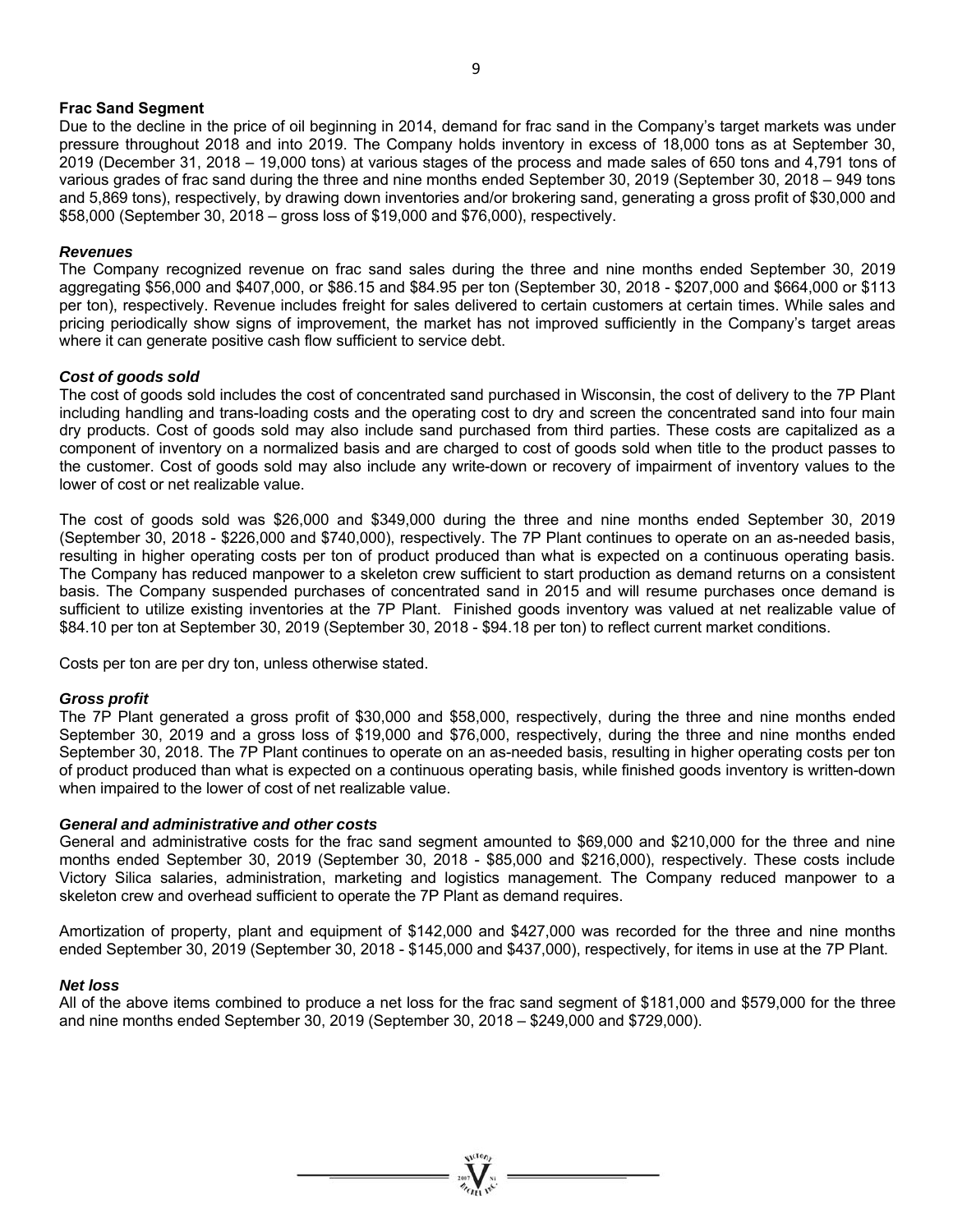#### **Frac Sand Segment**

Due to the decline in the price of oil beginning in 2014, demand for frac sand in the Company's target markets was under pressure throughout 2018 and into 2019. The Company holds inventory in excess of 18,000 tons as at September 30, 2019 (December 31, 2018 – 19,000 tons) at various stages of the process and made sales of 650 tons and 4,791 tons of various grades of frac sand during the three and nine months ended September 30, 2019 (September 30, 2018 – 949 tons and 5,869 tons), respectively, by drawing down inventories and/or brokering sand, generating a gross profit of \$30,000 and \$58,000 (September 30, 2018 – gross loss of \$19,000 and \$76,000), respectively.

#### *Revenues*

The Company recognized revenue on frac sand sales during the three and nine months ended September 30, 2019 aggregating \$56,000 and \$407,000, or \$86.15 and \$84.95 per ton (September 30, 2018 - \$207,000 and \$664,000 or \$113 per ton), respectively. Revenue includes freight for sales delivered to certain customers at certain times. While sales and pricing periodically show signs of improvement, the market has not improved sufficiently in the Company's target areas where it can generate positive cash flow sufficient to service debt.

#### *Cost of goods sold*

The cost of goods sold includes the cost of concentrated sand purchased in Wisconsin, the cost of delivery to the 7P Plant including handling and trans-loading costs and the operating cost to dry and screen the concentrated sand into four main dry products. Cost of goods sold may also include sand purchased from third parties. These costs are capitalized as a component of inventory on a normalized basis and are charged to cost of goods sold when title to the product passes to the customer. Cost of goods sold may also include any write-down or recovery of impairment of inventory values to the lower of cost or net realizable value.

The cost of goods sold was \$26,000 and \$349,000 during the three and nine months ended September 30, 2019 (September 30, 2018 - \$226,000 and \$740,000), respectively. The 7P Plant continues to operate on an as-needed basis, resulting in higher operating costs per ton of product produced than what is expected on a continuous operating basis. The Company has reduced manpower to a skeleton crew sufficient to start production as demand returns on a consistent basis. The Company suspended purchases of concentrated sand in 2015 and will resume purchases once demand is sufficient to utilize existing inventories at the 7P Plant. Finished goods inventory was valued at net realizable value of \$84.10 per ton at September 30, 2019 (September 30, 2018 - \$94.18 per ton) to reflect current market conditions.

Costs per ton are per dry ton, unless otherwise stated.

#### *Gross profit*

The 7P Plant generated a gross profit of \$30,000 and \$58,000, respectively, during the three and nine months ended September 30, 2019 and a gross loss of \$19,000 and \$76,000, respectively, during the three and nine months ended September 30, 2018. The 7P Plant continues to operate on an as-needed basis, resulting in higher operating costs per ton of product produced than what is expected on a continuous operating basis, while finished goods inventory is written-down when impaired to the lower of cost of net realizable value.

#### *General and administrative and other costs*

General and administrative costs for the frac sand segment amounted to \$69,000 and \$210,000 for the three and nine months ended September 30, 2019 (September 30, 2018 - \$85,000 and \$216,000), respectively. These costs include Victory Silica salaries, administration, marketing and logistics management. The Company reduced manpower to a skeleton crew and overhead sufficient to operate the 7P Plant as demand requires.

Amortization of property, plant and equipment of \$142,000 and \$427,000 was recorded for the three and nine months ended September 30, 2019 (September 30, 2018 - \$145,000 and \$437,000), respectively, for items in use at the 7P Plant.

#### *Net loss*

All of the above items combined to produce a net loss for the frac sand segment of \$181,000 and \$579,000 for the three and nine months ended September 30, 2019 (September 30, 2018 – \$249,000 and \$729,000).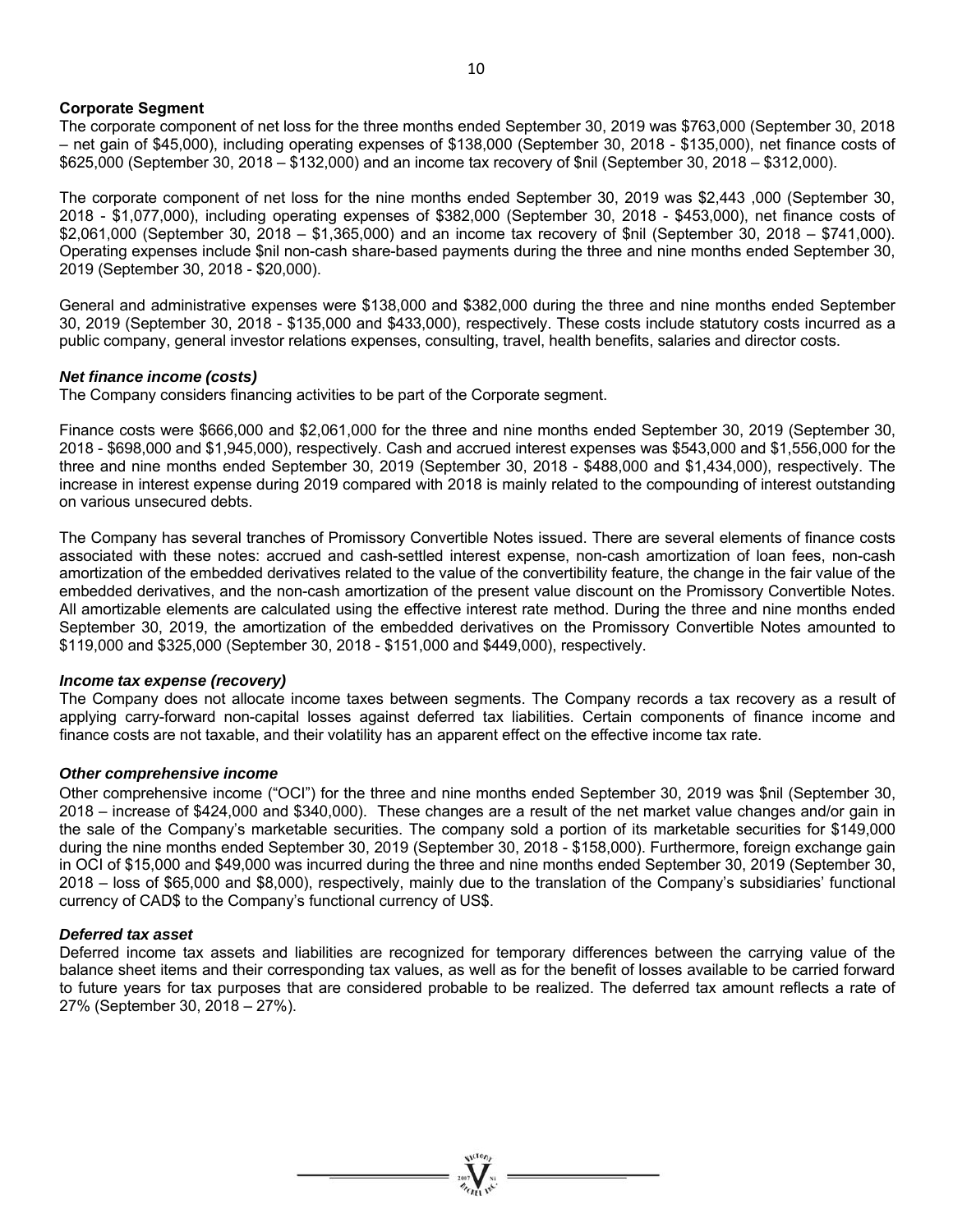#### **Corporate Segment**

The corporate component of net loss for the three months ended September 30, 2019 was \$763,000 (September 30, 2018 – net gain of \$45,000), including operating expenses of \$138,000 (September 30, 2018 - \$135,000), net finance costs of \$625,000 (September 30, 2018 – \$132,000) and an income tax recovery of \$nil (September 30, 2018 – \$312,000).

The corporate component of net loss for the nine months ended September 30, 2019 was \$2,443 ,000 (September 30, 2018 - \$1,077,000), including operating expenses of \$382,000 (September 30, 2018 - \$453,000), net finance costs of \$2,061,000 (September 30, 2018 – \$1,365,000) and an income tax recovery of \$nil (September 30, 2018 – \$741,000). Operating expenses include \$nil non-cash share-based payments during the three and nine months ended September 30, 2019 (September 30, 2018 - \$20,000).

General and administrative expenses were \$138,000 and \$382,000 during the three and nine months ended September 30, 2019 (September 30, 2018 - \$135,000 and \$433,000), respectively. These costs include statutory costs incurred as a public company, general investor relations expenses, consulting, travel, health benefits, salaries and director costs.

#### *Net finance income (costs)*

The Company considers financing activities to be part of the Corporate segment.

Finance costs were \$666,000 and \$2,061,000 for the three and nine months ended September 30, 2019 (September 30, 2018 - \$698,000 and \$1,945,000), respectively. Cash and accrued interest expenses was \$543,000 and \$1,556,000 for the three and nine months ended September 30, 2019 (September 30, 2018 - \$488,000 and \$1,434,000), respectively. The increase in interest expense during 2019 compared with 2018 is mainly related to the compounding of interest outstanding on various unsecured debts.

The Company has several tranches of Promissory Convertible Notes issued. There are several elements of finance costs associated with these notes: accrued and cash-settled interest expense, non-cash amortization of loan fees, non-cash amortization of the embedded derivatives related to the value of the convertibility feature, the change in the fair value of the embedded derivatives, and the non-cash amortization of the present value discount on the Promissory Convertible Notes. All amortizable elements are calculated using the effective interest rate method. During the three and nine months ended September 30, 2019, the amortization of the embedded derivatives on the Promissory Convertible Notes amounted to \$119,000 and \$325,000 (September 30, 2018 - \$151,000 and \$449,000), respectively.

#### *Income tax expense (recovery)*

The Company does not allocate income taxes between segments. The Company records a tax recovery as a result of applying carry-forward non-capital losses against deferred tax liabilities. Certain components of finance income and finance costs are not taxable, and their volatility has an apparent effect on the effective income tax rate.

#### *Other comprehensive income*

Other comprehensive income ("OCI") for the three and nine months ended September 30, 2019 was \$nil (September 30, 2018 – increase of \$424,000 and \$340,000). These changes are a result of the net market value changes and/or gain in the sale of the Company's marketable securities. The company sold a portion of its marketable securities for \$149,000 during the nine months ended September 30, 2019 (September 30, 2018 - \$158,000). Furthermore, foreign exchange gain in OCI of \$15,000 and \$49,000 was incurred during the three and nine months ended September 30, 2019 (September 30, 2018 – loss of \$65,000 and \$8,000), respectively, mainly due to the translation of the Company's subsidiaries' functional currency of CAD\$ to the Company's functional currency of US\$.

#### *Deferred tax asset*

Deferred income tax assets and liabilities are recognized for temporary differences between the carrying value of the balance sheet items and their corresponding tax values, as well as for the benefit of losses available to be carried forward to future years for tax purposes that are considered probable to be realized. The deferred tax amount reflects a rate of 27% (September 30, 2018 – 27%).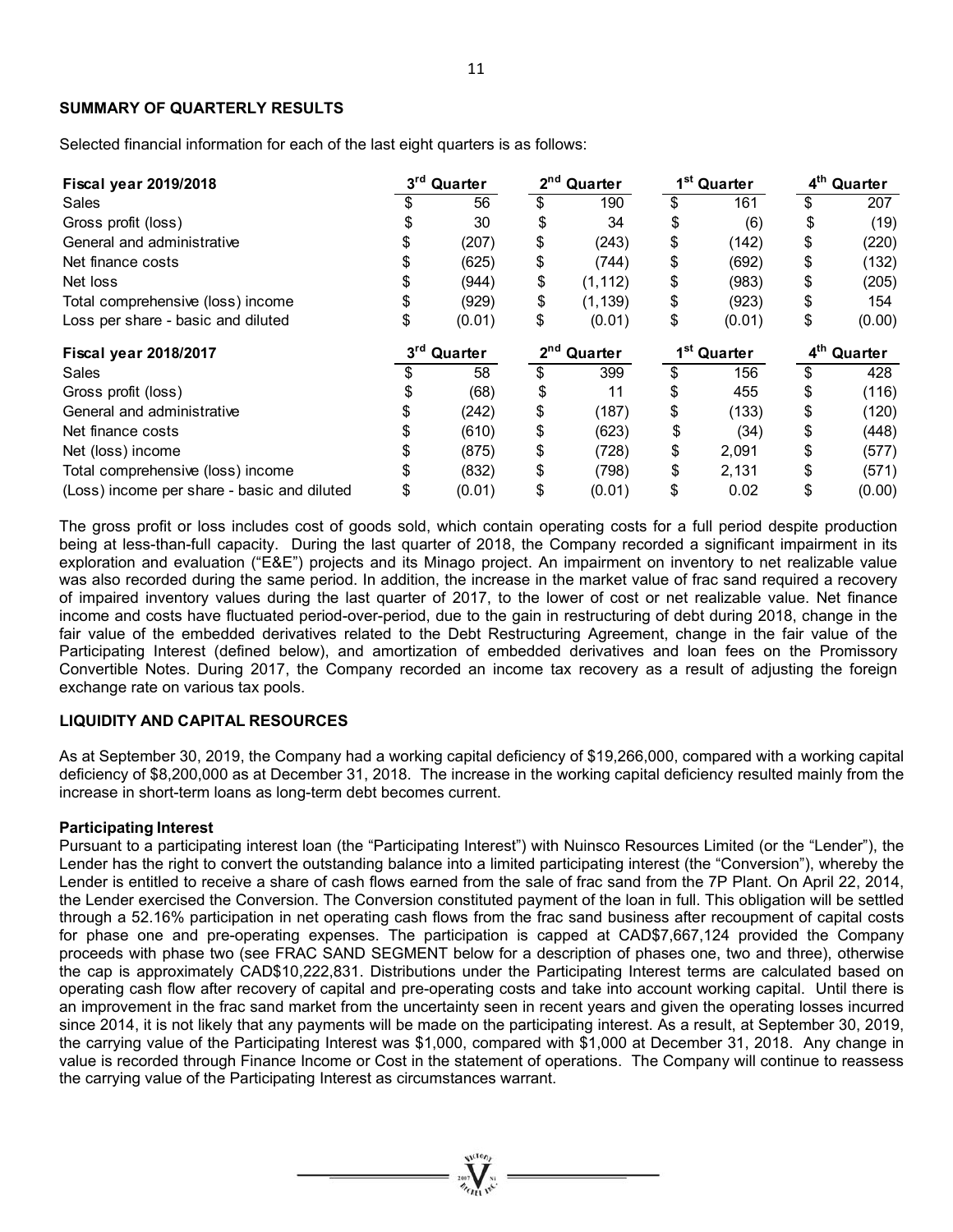#### **SUMMARY OF QUARTERLY RESULTS**

Selected financial information for each of the last eight quarters is as follows:

| <b>Fiscal year 2019/2018</b>                | 3 <sup>rd</sup><br>Quarter |        |                         | 2 <sup>nd</sup> Quarter |                         | 1 <sup>st</sup> Quarter | 4 <sup>th</sup> Quarter |        |
|---------------------------------------------|----------------------------|--------|-------------------------|-------------------------|-------------------------|-------------------------|-------------------------|--------|
| Sales                                       |                            | 56     | \$                      | 190                     | \$                      | 161                     | \$                      | 207    |
| Gross profit (loss)                         |                            | 30     | \$                      | 34                      | \$                      | (6)                     | \$                      | (19)   |
| General and administrative                  |                            | (207)  | \$                      | (243)                   | \$                      | (142)                   | \$                      | (220)  |
| Net finance costs                           |                            | (625)  | \$                      | (744)                   | \$                      | (692)                   | \$                      | (132)  |
| Net loss                                    |                            | (944)  | \$                      | (1, 112)                | \$                      | (983)                   | \$                      | (205)  |
| Total comprehensive (loss) income           |                            | (929)  | \$                      | (1, 139)                | \$                      | (923)                   | \$                      | 154    |
| Loss per share - basic and diluted          | \$                         | (0.01) | \$                      | (0.01)                  | \$                      | (0.01)                  | \$                      | (0.00) |
| <b>Fiscal year 2018/2017</b>                | $3^{\text{rd}}$<br>Quarter |        | 2 <sup>nd</sup> Quarter |                         | 1 <sup>st</sup> Quarter |                         | 4 <sup>th</sup> Quarter |        |
| Sales                                       |                            | 58     | \$                      | 399                     | \$                      | 156                     | \$                      | 428    |
| Gross profit (loss)                         |                            | (68)   | \$                      | 11                      | \$                      | 455                     | \$                      | (116)  |
| General and administrative                  |                            | (242)  | \$                      | (187)                   | \$                      | (133)                   | \$                      | (120)  |
| Net finance costs                           |                            | (610)  | \$                      | (623)                   | \$                      | (34)                    | \$                      | (448)  |
| Net (loss) income                           |                            | (875)  | \$                      | (728)                   | \$                      | 2,091                   | \$                      | (577)  |
| Total comprehensive (loss) income           |                            | (832)  | \$                      | (798)                   | \$                      | 2,131                   | \$                      | (571)  |
| (Loss) income per share - basic and diluted |                            | (0.01) | \$                      | (0.01)                  | \$                      | 0.02                    | \$                      | (0.00) |

The gross profit or loss includes cost of goods sold, which contain operating costs for a full period despite production being at less-than-full capacity. During the last quarter of 2018, the Company recorded a significant impairment in its exploration and evaluation ("E&E") projects and its Minago project. An impairment on inventory to net realizable value was also recorded during the same period. In addition, the increase in the market value of frac sand required a recovery of impaired inventory values during the last quarter of 2017, to the lower of cost or net realizable value. Net finance income and costs have fluctuated period-over-period, due to the gain in restructuring of debt during 2018, change in the fair value of the embedded derivatives related to the Debt Restructuring Agreement, change in the fair value of the Participating Interest (defined below), and amortization of embedded derivatives and loan fees on the Promissory Convertible Notes. During 2017, the Company recorded an income tax recovery as a result of adjusting the foreign exchange rate on various tax pools.

#### **LIQUIDITY AND CAPITAL RESOURCES**

As at September 30, 2019, the Company had a working capital deficiency of \$19,266,000, compared with a working capital deficiency of \$8,200,000 as at December 31, 2018. The increase in the working capital deficiency resulted mainly from the increase in short-term loans as long-term debt becomes current.

#### **Participating Interest**

Pursuant to a participating interest loan (the "Participating Interest") with Nuinsco Resources Limited (or the "Lender"), the Lender has the right to convert the outstanding balance into a limited participating interest (the "Conversion"), whereby the Lender is entitled to receive a share of cash flows earned from the sale of frac sand from the 7P Plant. On April 22, 2014, the Lender exercised the Conversion. The Conversion constituted payment of the loan in full. This obligation will be settled through a 52.16% participation in net operating cash flows from the frac sand business after recoupment of capital costs for phase one and pre-operating expenses. The participation is capped at CAD\$7,667,124 provided the Company proceeds with phase two (see FRAC SAND SEGMENT below for a description of phases one, two and three), otherwise the cap is approximately CAD\$10,222,831. Distributions under the Participating Interest terms are calculated based on operating cash flow after recovery of capital and pre-operating costs and take into account working capital. Until there is an improvement in the frac sand market from the uncertainty seen in recent years and given the operating losses incurred since 2014, it is not likely that any payments will be made on the participating interest. As a result, at September 30, 2019, the carrying value of the Participating Interest was \$1,000, compared with \$1,000 at December 31, 2018. Any change in value is recorded through Finance Income or Cost in the statement of operations. The Company will continue to reassess the carrying value of the Participating Interest as circumstances warrant.

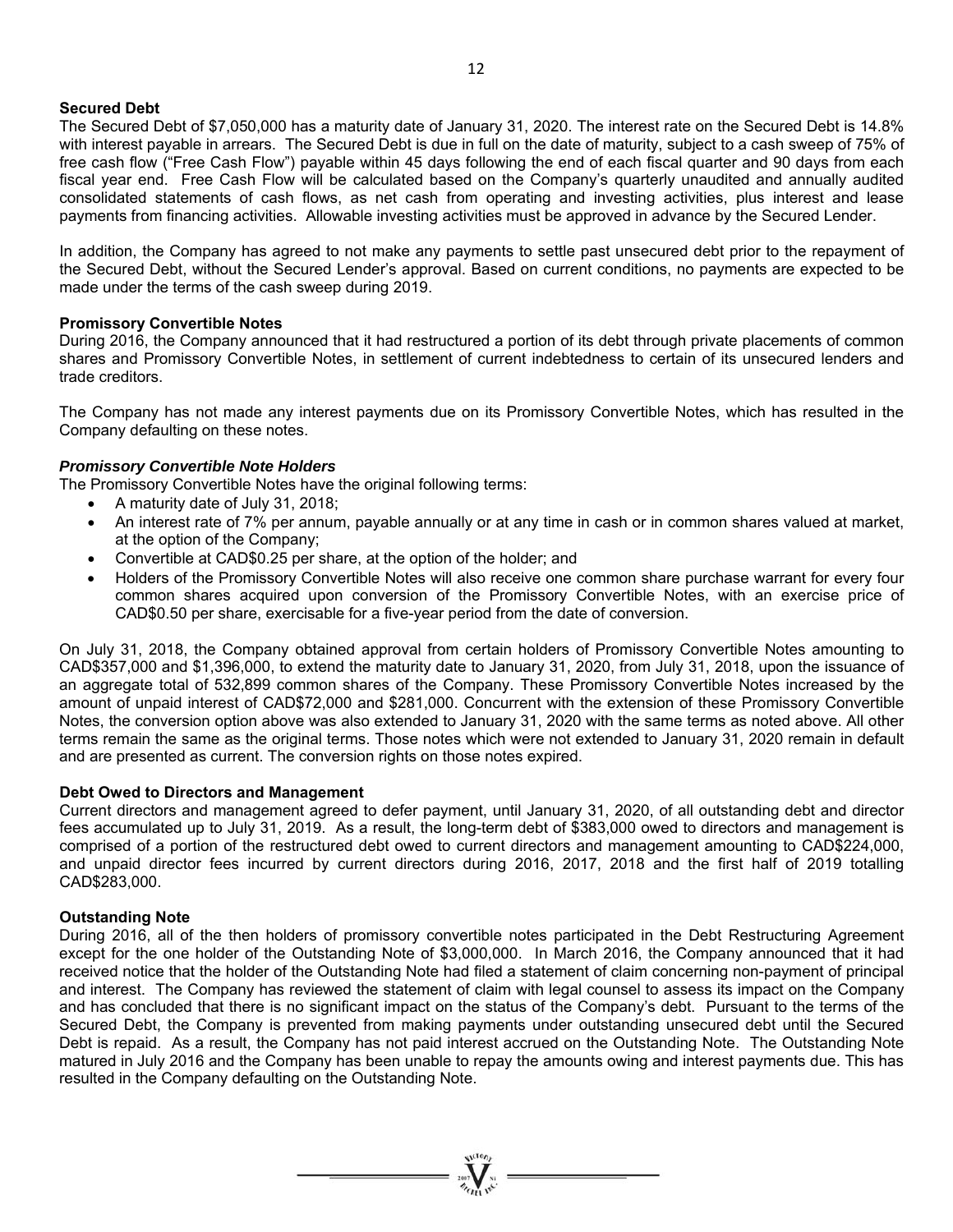#### **Secured Debt**

The Secured Debt of \$7,050,000 has a maturity date of January 31, 2020. The interest rate on the Secured Debt is 14.8% with interest payable in arrears. The Secured Debt is due in full on the date of maturity, subject to a cash sweep of 75% of free cash flow ("Free Cash Flow") payable within 45 days following the end of each fiscal quarter and 90 days from each fiscal year end. Free Cash Flow will be calculated based on the Company's quarterly unaudited and annually audited consolidated statements of cash flows, as net cash from operating and investing activities, plus interest and lease payments from financing activities. Allowable investing activities must be approved in advance by the Secured Lender.

In addition, the Company has agreed to not make any payments to settle past unsecured debt prior to the repayment of the Secured Debt, without the Secured Lender's approval. Based on current conditions, no payments are expected to be made under the terms of the cash sweep during 2019.

#### **Promissory Convertible Notes**

During 2016, the Company announced that it had restructured a portion of its debt through private placements of common shares and Promissory Convertible Notes, in settlement of current indebtedness to certain of its unsecured lenders and trade creditors.

The Company has not made any interest payments due on its Promissory Convertible Notes, which has resulted in the Company defaulting on these notes.

#### *Promissory Convertible Note Holders*

The Promissory Convertible Notes have the original following terms:

- A maturity date of July 31, 2018;
- An interest rate of 7% per annum, payable annually or at any time in cash or in common shares valued at market, at the option of the Company;
- Convertible at CAD\$0.25 per share, at the option of the holder; and
- Holders of the Promissory Convertible Notes will also receive one common share purchase warrant for every four common shares acquired upon conversion of the Promissory Convertible Notes, with an exercise price of CAD\$0.50 per share, exercisable for a five-year period from the date of conversion.

On July 31, 2018, the Company obtained approval from certain holders of Promissory Convertible Notes amounting to CAD\$357,000 and \$1,396,000, to extend the maturity date to January 31, 2020, from July 31, 2018, upon the issuance of an aggregate total of 532,899 common shares of the Company. These Promissory Convertible Notes increased by the amount of unpaid interest of CAD\$72,000 and \$281,000. Concurrent with the extension of these Promissory Convertible Notes, the conversion option above was also extended to January 31, 2020 with the same terms as noted above. All other terms remain the same as the original terms. Those notes which were not extended to January 31, 2020 remain in default and are presented as current. The conversion rights on those notes expired.

#### **Debt Owed to Directors and Management**

Current directors and management agreed to defer payment, until January 31, 2020, of all outstanding debt and director fees accumulated up to July 31, 2019. As a result, the long-term debt of \$383,000 owed to directors and management is comprised of a portion of the restructured debt owed to current directors and management amounting to CAD\$224,000, and unpaid director fees incurred by current directors during 2016, 2017, 2018 and the first half of 2019 totalling CAD\$283,000.

#### **Outstanding Note**

During 2016, all of the then holders of promissory convertible notes participated in the Debt Restructuring Agreement except for the one holder of the Outstanding Note of \$3,000,000. In March 2016, the Company announced that it had received notice that the holder of the Outstanding Note had filed a statement of claim concerning non-payment of principal and interest. The Company has reviewed the statement of claim with legal counsel to assess its impact on the Company and has concluded that there is no significant impact on the status of the Company's debt. Pursuant to the terms of the Secured Debt, the Company is prevented from making payments under outstanding unsecured debt until the Secured Debt is repaid. As a result, the Company has not paid interest accrued on the Outstanding Note. The Outstanding Note matured in July 2016 and the Company has been unable to repay the amounts owing and interest payments due. This has resulted in the Company defaulting on the Outstanding Note.

 $\sum_{i=1}^{n}$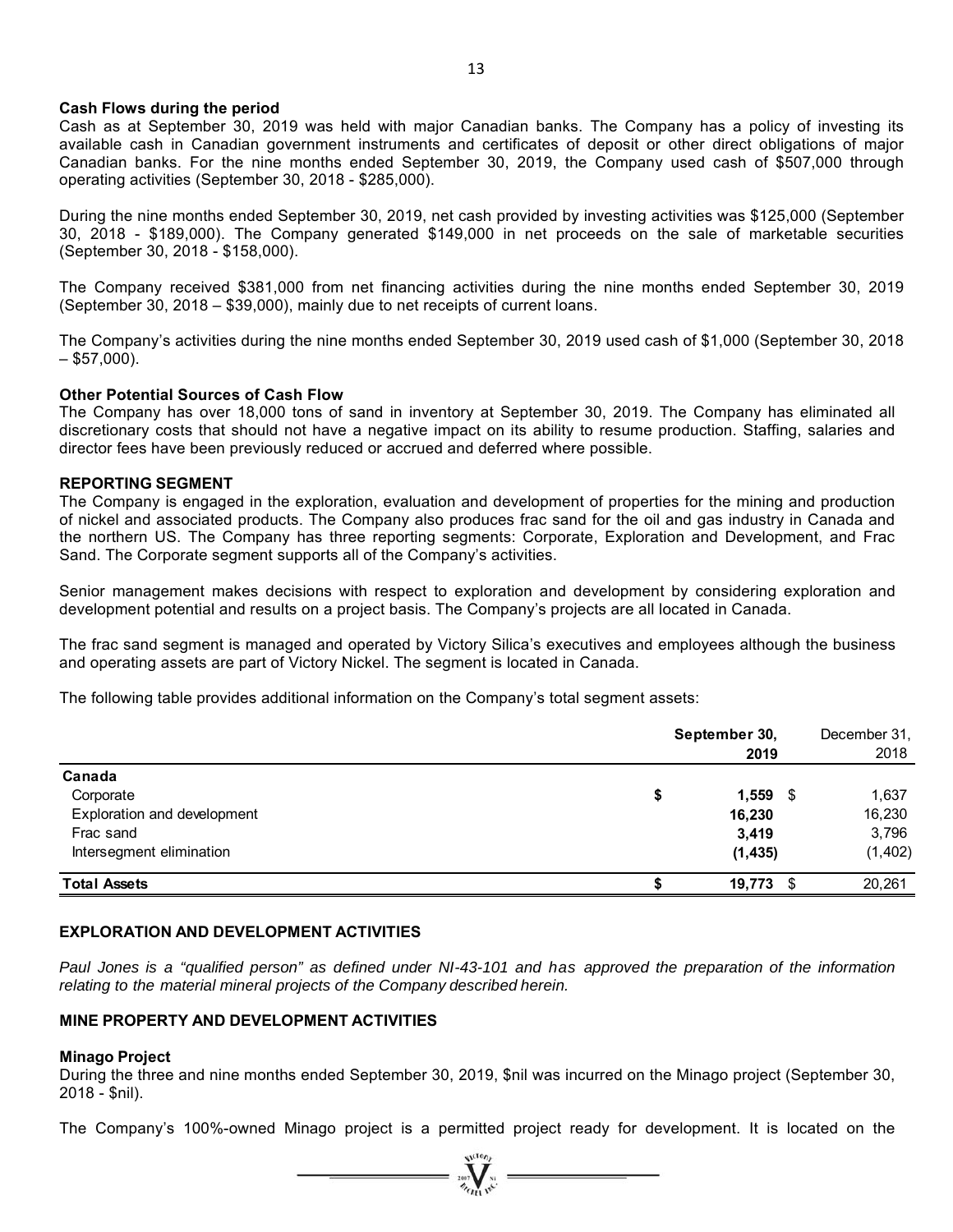#### **Cash Flows during the period**

Cash as at September 30, 2019 was held with major Canadian banks. The Company has a policy of investing its available cash in Canadian government instruments and certificates of deposit or other direct obligations of major Canadian banks. For the nine months ended September 30, 2019, the Company used cash of \$507,000 through operating activities (September 30, 2018 - \$285,000).

During the nine months ended September 30, 2019, net cash provided by investing activities was \$125,000 (September 30, 2018 - \$189,000). The Company generated \$149,000 in net proceeds on the sale of marketable securities (September 30, 2018 - \$158,000).

The Company received \$381,000 from net financing activities during the nine months ended September 30, 2019 (September 30, 2018 – \$39,000), mainly due to net receipts of current loans.

The Company's activities during the nine months ended September 30, 2019 used cash of \$1,000 (September 30, 2018  $-$  \$57,000).

#### **Other Potential Sources of Cash Flow**

The Company has over 18,000 tons of sand in inventory at September 30, 2019. The Company has eliminated all discretionary costs that should not have a negative impact on its ability to resume production. Staffing, salaries and director fees have been previously reduced or accrued and deferred where possible.

#### **REPORTING SEGMENT**

The Company is engaged in the exploration, evaluation and development of properties for the mining and production of nickel and associated products. The Company also produces frac sand for the oil and gas industry in Canada and the northern US. The Company has three reporting segments: Corporate, Exploration and Development, and Frac Sand. The Corporate segment supports all of the Company's activities.

Senior management makes decisions with respect to exploration and development by considering exploration and development potential and results on a project basis. The Company's projects are all located in Canada.

The frac sand segment is managed and operated by Victory Silica's executives and employees although the business and operating assets are part of Victory Nickel. The segment is located in Canada.

The following table provides additional information on the Company's total segment assets:

|                             | September 30,<br>2019 |          |  |  |  |
|-----------------------------|-----------------------|----------|--|--|--|
| Canada                      |                       |          |  |  |  |
| Corporate                   | \$<br>$1,559$ \$      | 1,637    |  |  |  |
| Exploration and development | 16,230                | 16,230   |  |  |  |
| Frac sand                   | 3,419                 | 3,796    |  |  |  |
| Intersegment elimination    | (1, 435)              | (1, 402) |  |  |  |
| <b>Total Assets</b>         | $19,773$ \$           | 20,261   |  |  |  |

#### **EXPLORATION AND DEVELOPMENT ACTIVITIES**

*Paul Jones is a "qualified person" as defined under NI-43-101 and has approved the preparation of the information relating to the material mineral projects of the Company described herein.* 

### **MINE PROPERTY AND DEVELOPMENT ACTIVITIES**

#### **Minago Project**

During the three and nine months ended September 30, 2019, \$nil was incurred on the Minago project (September 30, 2018 - \$nil).

The Company's 100%-owned Minago project is a permitted project ready for development. It is located on the

 $\sum_{\alpha}$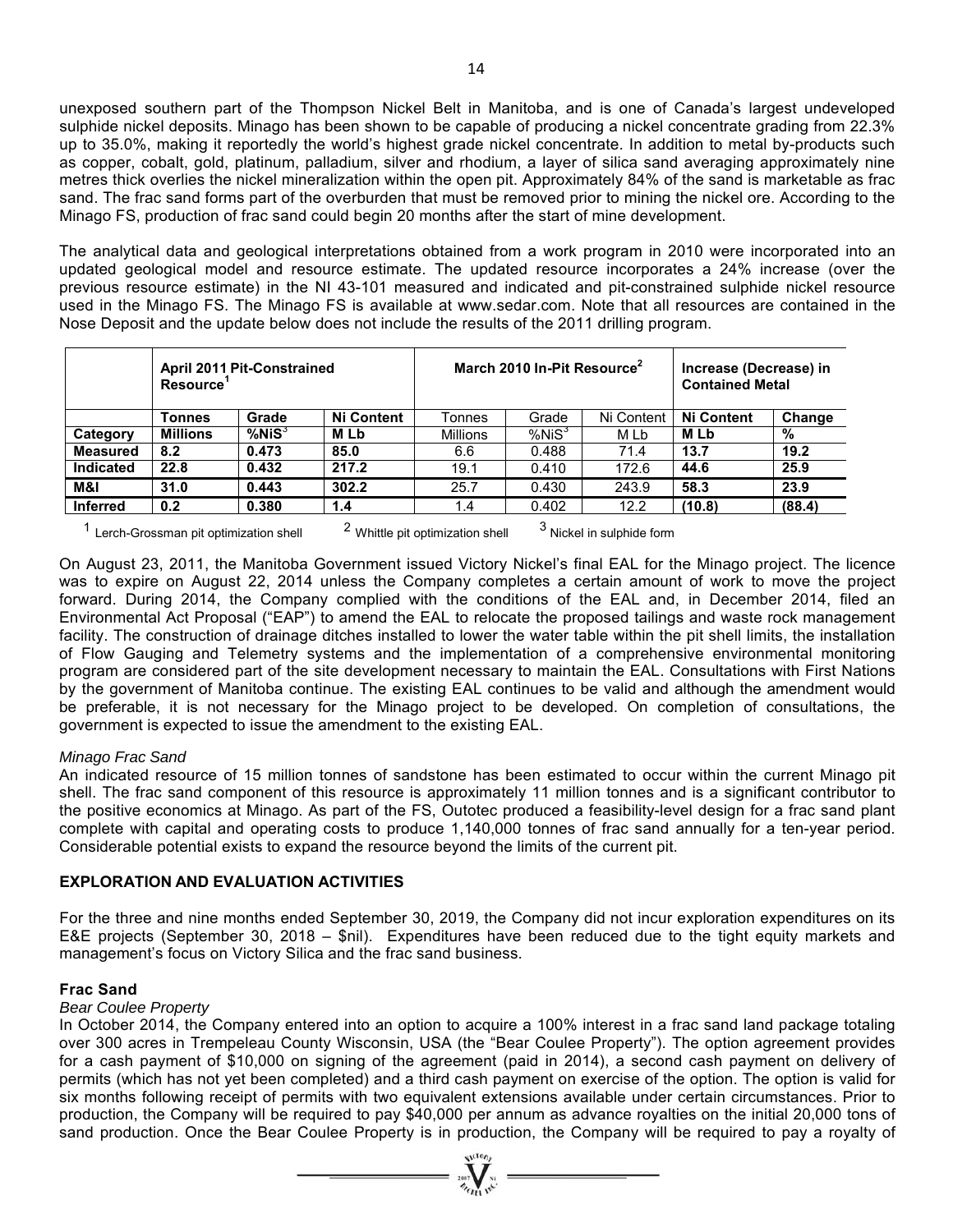unexposed southern part of the Thompson Nickel Belt in Manitoba, and is one of Canada's largest undeveloped sulphide nickel deposits. Minago has been shown to be capable of producing a nickel concentrate grading from 22.3% up to 35.0%, making it reportedly the world's highest grade nickel concentrate. In addition to metal by-products such as copper, cobalt, gold, platinum, palladium, silver and rhodium, a layer of silica sand averaging approximately nine metres thick overlies the nickel mineralization within the open pit. Approximately 84% of the sand is marketable as frac sand. The frac sand forms part of the overburden that must be removed prior to mining the nickel ore. According to the Minago FS, production of frac sand could begin 20 months after the start of mine development.

The analytical data and geological interpretations obtained from a work program in 2010 were incorporated into an updated geological model and resource estimate. The updated resource incorporates a 24% increase (over the previous resource estimate) in the NI 43-101 measured and indicated and pit-constrained sulphide nickel resource used in the Minago FS. The Minago FS is available at www.sedar.com. Note that all resources are contained in the Nose Deposit and the update below does not include the results of the 2011 drilling program.

|                 | <b>April 2011 Pit-Constrained</b><br><b>Resource</b> |              |                   |                 | March 2010 In-Pit Resource <sup>2</sup> | Increase (Decrease) in<br><b>Contained Metal</b> |                   |        |
|-----------------|------------------------------------------------------|--------------|-------------------|-----------------|-----------------------------------------|--------------------------------------------------|-------------------|--------|
|                 | Tonnes                                               | Grade        | <b>Ni Content</b> | Tonnes          | Grade                                   | Ni Content                                       | <b>Ni Content</b> | Change |
| Category        | <b>Millions</b>                                      | $%$ Ni $S^3$ | <b>MLb</b>        | <b>Millions</b> | $%NIS^3$                                | M Lb                                             | M Lb              | %      |
| <b>Measured</b> | 8.2                                                  | 0.473        | 85.0              | 6.6             | 0.488                                   | 71.4                                             | 13.7              | 19.2   |
| Indicated       | 22.8                                                 | 0.432        | 217.2             | 19.1            | 0.410                                   | 172.6                                            | 44.6              | 25.9   |
| M&I             | 31.0                                                 | 0.443        | 302.2             | 25.7            | 0.430                                   | 243.9                                            | 58.3              | 23.9   |
| <b>Inferred</b> | 0.2                                                  | 0.380        | 1.4               | 1.4             | 0.402                                   | 12.2                                             | (10.8)            | (88.4) |

<sup>1</sup> Lerch-Grossman pit optimization shell  $2$  Whittle pit optimization shell  $3$  Nickel in sulphide form

On August 23, 2011, the Manitoba Government issued Victory Nickel's final EAL for the Minago project. The licence was to expire on August 22, 2014 unless the Company completes a certain amount of work to move the project forward. During 2014, the Company complied with the conditions of the EAL and, in December 2014, filed an Environmental Act Proposal ("EAP") to amend the EAL to relocate the proposed tailings and waste rock management facility. The construction of drainage ditches installed to lower the water table within the pit shell limits, the installation of Flow Gauging and Telemetry systems and the implementation of a comprehensive environmental monitoring program are considered part of the site development necessary to maintain the EAL. Consultations with First Nations by the government of Manitoba continue. The existing EAL continues to be valid and although the amendment would be preferable, it is not necessary for the Minago project to be developed. On completion of consultations, the government is expected to issue the amendment to the existing EAL.

#### *Minago Frac Sand*

An indicated resource of 15 million tonnes of sandstone has been estimated to occur within the current Minago pit shell. The frac sand component of this resource is approximately 11 million tonnes and is a significant contributor to the positive economics at Minago. As part of the FS, Outotec produced a feasibility-level design for a frac sand plant complete with capital and operating costs to produce 1,140,000 tonnes of frac sand annually for a ten-year period. Considerable potential exists to expand the resource beyond the limits of the current pit.

#### **EXPLORATION AND EVALUATION ACTIVITIES**

For the three and nine months ended September 30, 2019, the Company did not incur exploration expenditures on its E&E projects (September 30, 2018 – \$nil). Expenditures have been reduced due to the tight equity markets and management's focus on Victory Silica and the frac sand business.

#### **Frac Sand**

#### *Bear Coulee Property*

In October 2014, the Company entered into an option to acquire a 100% interest in a frac sand land package totaling over 300 acres in Trempeleau County Wisconsin, USA (the "Bear Coulee Property"). The option agreement provides for a cash payment of \$10,000 on signing of the agreement (paid in 2014), a second cash payment on delivery of permits (which has not yet been completed) and a third cash payment on exercise of the option. The option is valid for six months following receipt of permits with two equivalent extensions available under certain circumstances. Prior to production, the Company will be required to pay \$40,000 per annum as advance royalties on the initial 20,000 tons of sand production. Once the Bear Coulee Property is in production, the Company will be required to pay a royalty of

 $\sum_{\alpha}$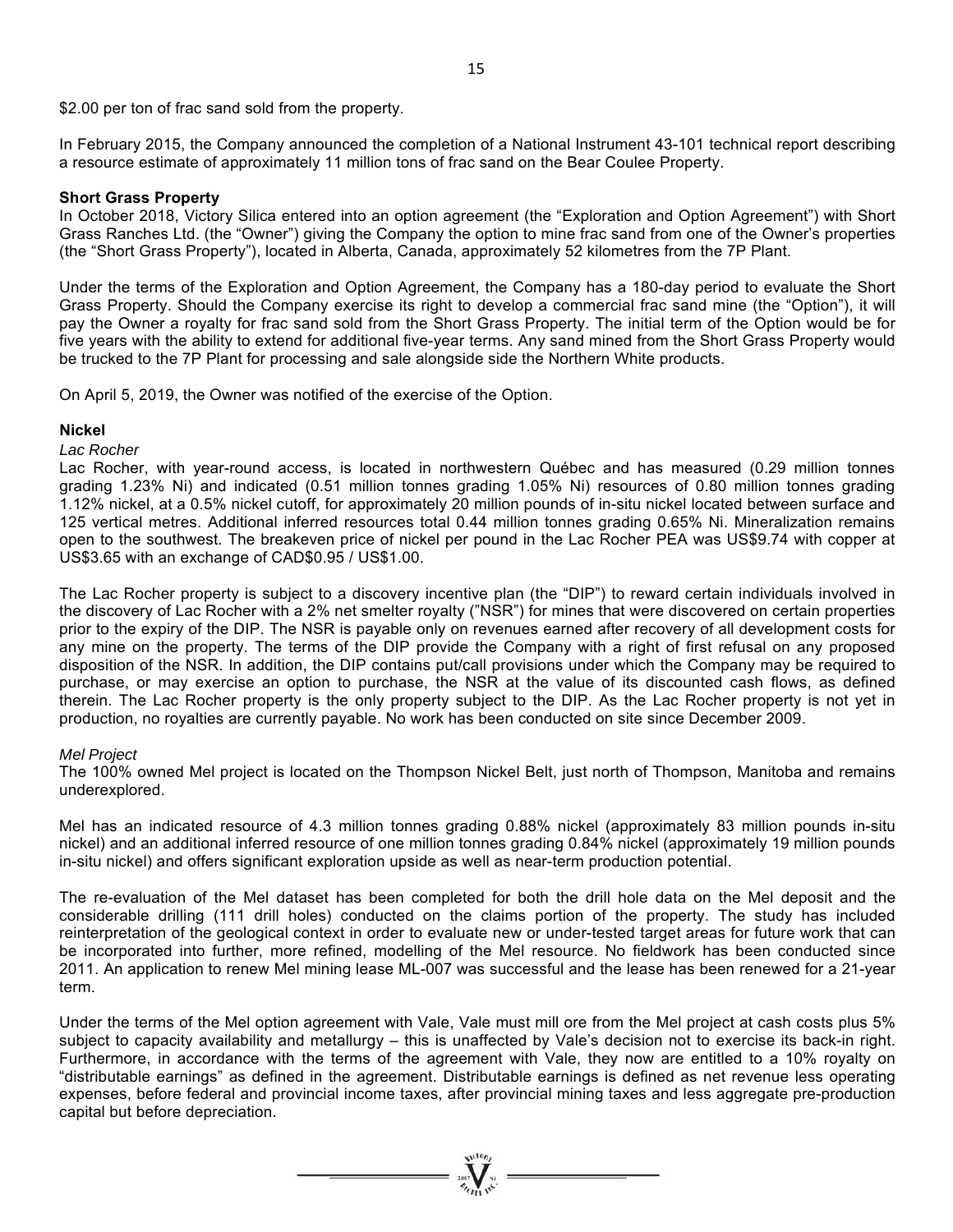\$2.00 per ton of frac sand sold from the property.

In February 2015, the Company announced the completion of a National Instrument 43-101 technical report describing a resource estimate of approximately 11 million tons of frac sand on the Bear Coulee Property.

#### **Short Grass Property**

In October 2018, Victory Silica entered into an option agreement (the "Exploration and Option Agreement") with Short Grass Ranches Ltd. (the "Owner") giving the Company the option to mine frac sand from one of the Owner's properties (the "Short Grass Property"), located in Alberta, Canada, approximately 52 kilometres from the 7P Plant.

Under the terms of the Exploration and Option Agreement, the Company has a 180-day period to evaluate the Short Grass Property. Should the Company exercise its right to develop a commercial frac sand mine (the "Option"), it will pay the Owner a royalty for frac sand sold from the Short Grass Property. The initial term of the Option would be for five years with the ability to extend for additional five-year terms. Any sand mined from the Short Grass Property would be trucked to the 7P Plant for processing and sale alongside side the Northern White products.

On April 5, 2019, the Owner was notified of the exercise of the Option.

#### **Nickel**

#### *Lac Rocher*

Lac Rocher, with year-round access, is located in northwestern Québec and has measured (0.29 million tonnes grading 1.23% Ni) and indicated (0.51 million tonnes grading 1.05% Ni) resources of 0.80 million tonnes grading 1.12% nickel, at a 0.5% nickel cutoff, for approximately 20 million pounds of in-situ nickel located between surface and 125 vertical metres. Additional inferred resources total 0.44 million tonnes grading 0.65% Ni. Mineralization remains open to the southwest. The breakeven price of nickel per pound in the Lac Rocher PEA was US\$9.74 with copper at US\$3.65 with an exchange of CAD\$0.95 / US\$1.00.

The Lac Rocher property is subject to a discovery incentive plan (the "DIP") to reward certain individuals involved in the discovery of Lac Rocher with a 2% net smelter royalty ("NSR") for mines that were discovered on certain properties prior to the expiry of the DIP. The NSR is payable only on revenues earned after recovery of all development costs for any mine on the property. The terms of the DIP provide the Company with a right of first refusal on any proposed disposition of the NSR. In addition, the DIP contains put/call provisions under which the Company may be required to purchase, or may exercise an option to purchase, the NSR at the value of its discounted cash flows, as defined therein. The Lac Rocher property is the only property subject to the DIP. As the Lac Rocher property is not yet in production, no royalties are currently payable. No work has been conducted on site since December 2009.

#### *Mel Project*

The 100% owned Mel project is located on the Thompson Nickel Belt, just north of Thompson, Manitoba and remains underexplored.

Mel has an indicated resource of 4.3 million tonnes grading 0.88% nickel (approximately 83 million pounds in-situ nickel) and an additional inferred resource of one million tonnes grading 0.84% nickel (approximately 19 million pounds in-situ nickel) and offers significant exploration upside as well as near-term production potential.

The re-evaluation of the Mel dataset has been completed for both the drill hole data on the Mel deposit and the considerable drilling (111 drill holes) conducted on the claims portion of the property. The study has included reinterpretation of the geological context in order to evaluate new or under-tested target areas for future work that can be incorporated into further, more refined, modelling of the Mel resource. No fieldwork has been conducted since 2011. An application to renew Mel mining lease ML-007 was successful and the lease has been renewed for a 21-year term.

Under the terms of the Mel option agreement with Vale, Vale must mill ore from the Mel project at cash costs plus 5% subject to capacity availability and metallurgy – this is unaffected by Vale's decision not to exercise its back-in right. Furthermore, in accordance with the terms of the agreement with Vale, they now are entitled to a 10% royalty on "distributable earnings" as defined in the agreement. Distributable earnings is defined as net revenue less operating expenses, before federal and provincial income taxes, after provincial mining taxes and less aggregate pre-production capital but before depreciation.

 $=\prod_{\text{non-}\atop \text{odd }n}$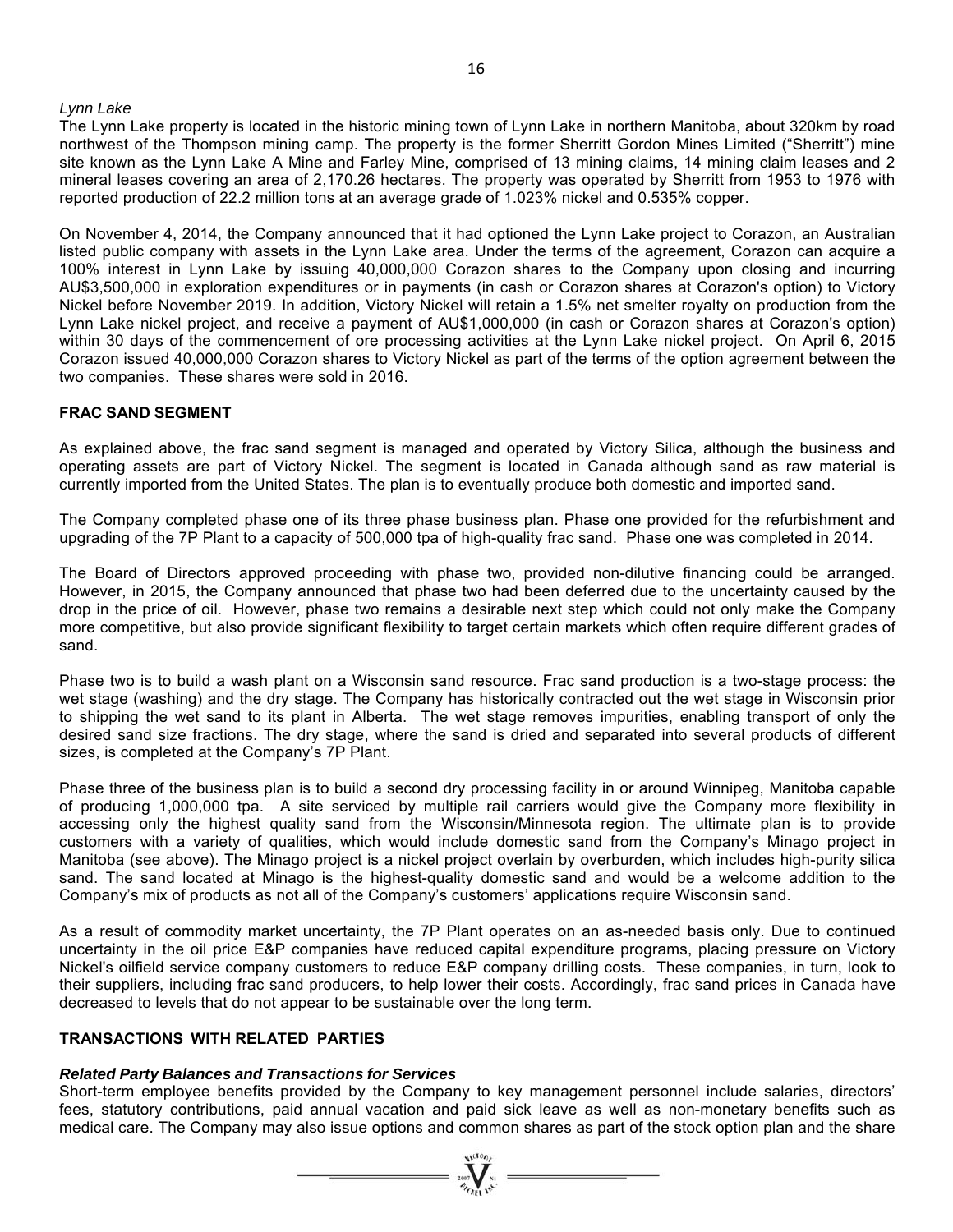#### *Lynn Lake*

The Lynn Lake property is located in the historic mining town of Lynn Lake in northern Manitoba, about 320km by road northwest of the Thompson mining camp. The property is the former Sherritt Gordon Mines Limited ("Sherritt") mine site known as the Lynn Lake A Mine and Farley Mine, comprised of 13 mining claims, 14 mining claim leases and 2 mineral leases covering an area of 2,170.26 hectares. The property was operated by Sherritt from 1953 to 1976 with reported production of 22.2 million tons at an average grade of 1.023% nickel and 0.535% copper.

On November 4, 2014, the Company announced that it had optioned the Lynn Lake project to Corazon, an Australian listed public company with assets in the Lynn Lake area. Under the terms of the agreement, Corazon can acquire a 100% interest in Lynn Lake by issuing 40,000,000 Corazon shares to the Company upon closing and incurring AU\$3,500,000 in exploration expenditures or in payments (in cash or Corazon shares at Corazon's option) to Victory Nickel before November 2019. In addition, Victory Nickel will retain a 1.5% net smelter royalty on production from the Lynn Lake nickel project, and receive a payment of AU\$1,000,000 (in cash or Corazon shares at Corazon's option) within 30 days of the commencement of ore processing activities at the Lynn Lake nickel project. On April 6, 2015 Corazon issued 40,000,000 Corazon shares to Victory Nickel as part of the terms of the option agreement between the two companies. These shares were sold in 2016.

#### **FRAC SAND SEGMENT**

As explained above, the frac sand segment is managed and operated by Victory Silica, although the business and operating assets are part of Victory Nickel. The segment is located in Canada although sand as raw material is currently imported from the United States. The plan is to eventually produce both domestic and imported sand.

The Company completed phase one of its three phase business plan. Phase one provided for the refurbishment and upgrading of the 7P Plant to a capacity of 500,000 tpa of high-quality frac sand. Phase one was completed in 2014.

The Board of Directors approved proceeding with phase two, provided non-dilutive financing could be arranged. However, in 2015, the Company announced that phase two had been deferred due to the uncertainty caused by the drop in the price of oil. However, phase two remains a desirable next step which could not only make the Company more competitive, but also provide significant flexibility to target certain markets which often require different grades of sand.

Phase two is to build a wash plant on a Wisconsin sand resource. Frac sand production is a two-stage process: the wet stage (washing) and the dry stage. The Company has historically contracted out the wet stage in Wisconsin prior to shipping the wet sand to its plant in Alberta. The wet stage removes impurities, enabling transport of only the desired sand size fractions. The dry stage, where the sand is dried and separated into several products of different sizes, is completed at the Company's 7P Plant.

Phase three of the business plan is to build a second dry processing facility in or around Winnipeg, Manitoba capable of producing 1,000,000 tpa. A site serviced by multiple rail carriers would give the Company more flexibility in accessing only the highest quality sand from the Wisconsin/Minnesota region. The ultimate plan is to provide customers with a variety of qualities, which would include domestic sand from the Company's Minago project in Manitoba (see above). The Minago project is a nickel project overlain by overburden, which includes high-purity silica sand. The sand located at Minago is the highest-quality domestic sand and would be a welcome addition to the Company's mix of products as not all of the Company's customers' applications require Wisconsin sand.

As a result of commodity market uncertainty, the 7P Plant operates on an as-needed basis only. Due to continued uncertainty in the oil price E&P companies have reduced capital expenditure programs, placing pressure on Victory Nickel's oilfield service company customers to reduce E&P company drilling costs. These companies, in turn, look to their suppliers, including frac sand producers, to help lower their costs. Accordingly, frac sand prices in Canada have decreased to levels that do not appear to be sustainable over the long term.

#### **TRANSACTIONS WITH RELATED PARTIES**

#### *Related Party Balances and Transactions for Services*

Short-term employee benefits provided by the Company to key management personnel include salaries, directors' fees, statutory contributions, paid annual vacation and paid sick leave as well as non-monetary benefits such as medical care. The Company may also issue options and common shares as part of the stock option plan and the share

 $\sum_{\alpha\in\mathcal{N}}\sum_{\alpha\in\mathcal{N}}\alpha\in\mathcal{N}$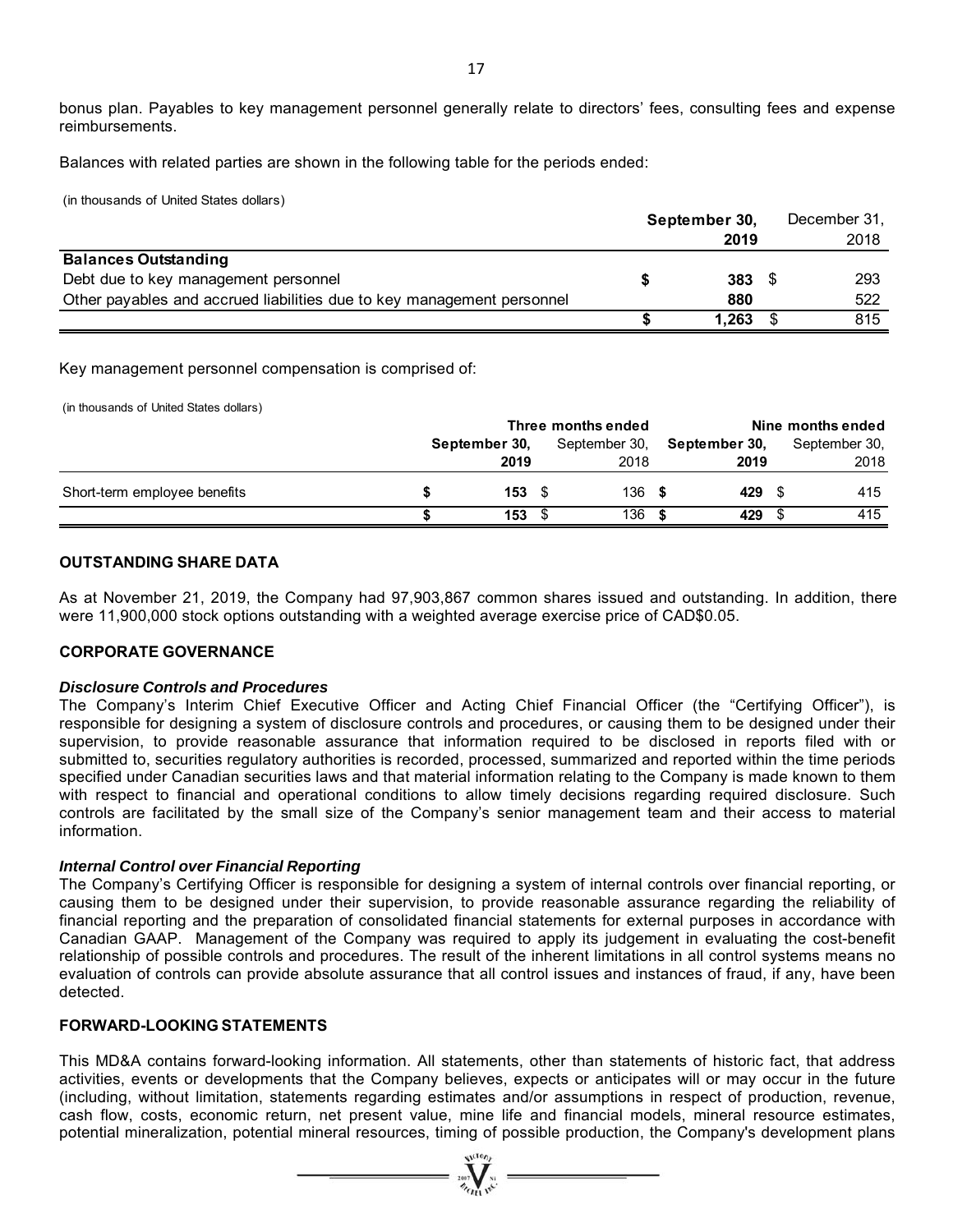bonus plan. Payables to key management personnel generally relate to directors' fees, consulting fees and expense reimbursements.

Balances with related parties are shown in the following table for the periods ended:

(in thousands of United States dollars)

|                                                                        | September 30, | December 31, |
|------------------------------------------------------------------------|---------------|--------------|
|                                                                        | 2019          | 2018         |
| <b>Balances Outstanding</b>                                            |               |              |
| Debt due to key management personnel                                   | 383           | 293          |
| Other payables and accrued liabilities due to key management personnel | 880           | 522          |
|                                                                        | 1,263         | 815          |

Key management personnel compensation is comprised of:

(in thousands of United States dollars)

|                              | Three months ended |             |      |               | Nine months ended |  |               |  |
|------------------------------|--------------------|-------------|------|---------------|-------------------|--|---------------|--|
|                              | September 30,      |             |      | September 30, | September 30,     |  | September 30, |  |
|                              |                    | 2019        |      | 2018          | 2019              |  | 2018          |  |
| Short-term employee benefits |                    | $153 \t{5}$ |      | 136           | 429               |  | 415           |  |
|                              |                    | 153         | - \$ | 136           | 429               |  | 415           |  |

#### **OUTSTANDING SHARE DATA**

As at November 21, 2019, the Company had 97,903,867 common shares issued and outstanding. In addition, there were 11,900,000 stock options outstanding with a weighted average exercise price of CAD\$0.05.

#### **CORPORATE GOVERNANCE**

#### *Disclosure Controls and Procedures*

The Company's Interim Chief Executive Officer and Acting Chief Financial Officer (the "Certifying Officer"), is responsible for designing a system of disclosure controls and procedures, or causing them to be designed under their supervision, to provide reasonable assurance that information required to be disclosed in reports filed with or submitted to, securities regulatory authorities is recorded, processed, summarized and reported within the time periods specified under Canadian securities laws and that material information relating to the Company is made known to them with respect to financial and operational conditions to allow timely decisions regarding required disclosure. Such controls are facilitated by the small size of the Company's senior management team and their access to material information.

#### *Internal Control over Financial Reporting*

The Company's Certifying Officer is responsible for designing a system of internal controls over financial reporting, or causing them to be designed under their supervision, to provide reasonable assurance regarding the reliability of financial reporting and the preparation of consolidated financial statements for external purposes in accordance with Canadian GAAP. Management of the Company was required to apply its judgement in evaluating the cost-benefit relationship of possible controls and procedures. The result of the inherent limitations in all control systems means no evaluation of controls can provide absolute assurance that all control issues and instances of fraud, if any, have been detected.

## **FORWARD-LOOKING STATEMENTS**

This MD&A contains forward-looking information. All statements, other than statements of historic fact, that address activities, events or developments that the Company believes, expects or anticipates will or may occur in the future (including, without limitation, statements regarding estimates and/or assumptions in respect of production, revenue, cash flow, costs, economic return, net present value, mine life and financial models, mineral resource estimates, potential mineralization, potential mineral resources, timing of possible production, the Company's development plans

 $\sum_{\alpha}$